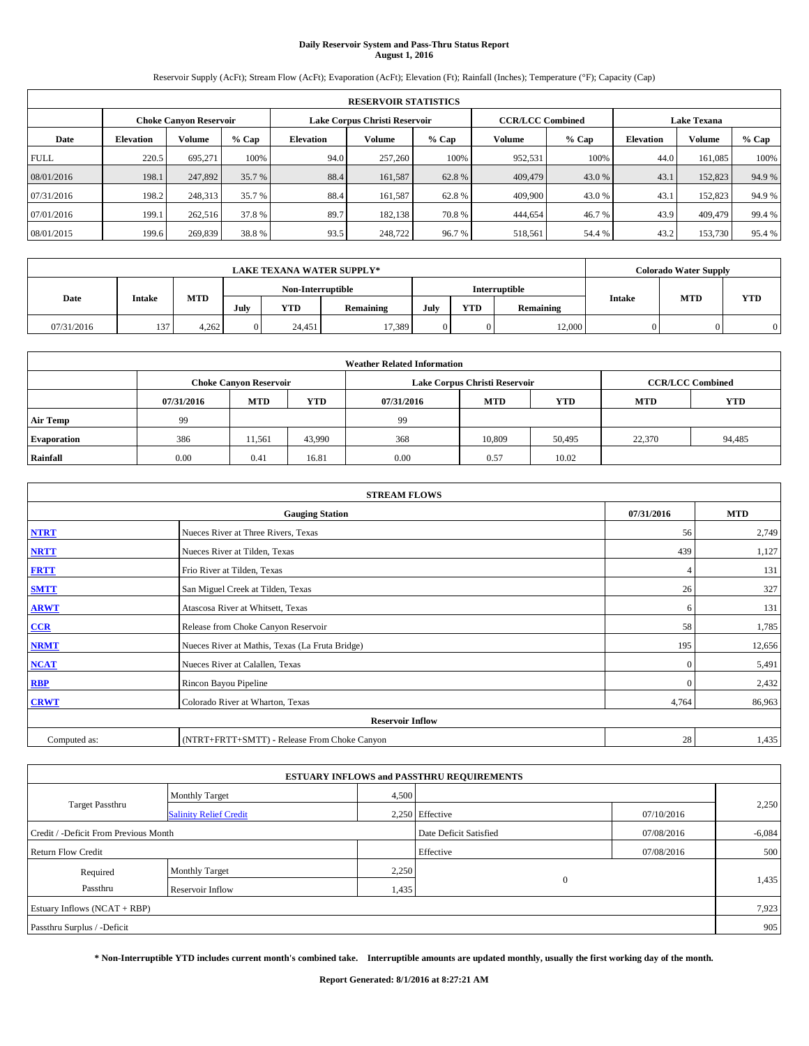# **Daily Reservoir System and Pass-Thru Status Report August 1, 2016**

Reservoir Supply (AcFt); Stream Flow (AcFt); Evaporation (AcFt); Elevation (Ft); Rainfall (Inches); Temperature (°F); Capacity (Cap)

|             | <b>RESERVOIR STATISTICS</b> |                               |        |                                                          |         |         |         |         |                    |         |        |  |
|-------------|-----------------------------|-------------------------------|--------|----------------------------------------------------------|---------|---------|---------|---------|--------------------|---------|--------|--|
|             |                             | <b>Choke Canyon Reservoir</b> |        | Lake Corpus Christi Reservoir<br><b>CCR/LCC Combined</b> |         |         |         |         | <b>Lake Texana</b> |         |        |  |
| Date        | <b>Elevation</b>            | <b>Volume</b>                 | % Cap  | Elevation                                                | Volume  | $%$ Cap | Volume  | $%$ Cap | <b>Elevation</b>   | Volume  | % Cap  |  |
| <b>FULL</b> | 220.5                       | 695.271                       | 100%   | 94.0                                                     | 257,260 | 100%    | 952,531 | 100%    | 44.0               | 161.085 | 100%   |  |
| 08/01/2016  | 198.1                       | 247,892                       | 35.7 % | 88.4                                                     | 161,587 | 62.8%   | 409,479 | 43.0 %  | 43.1               | 152,823 | 94.9%  |  |
| 07/31/2016  | 198.2                       | 248.313                       | 35.7 % | 88.4                                                     | 161.587 | 62.8%   | 409,900 | 43.0 %  | 43.1               | 152,823 | 94.9%  |  |
| 07/01/2016  | 199.1                       | 262,516                       | 37.8%  | 89.7                                                     | 182.138 | 70.8%   | 444,654 | 46.7 %  | 43.9               | 409,479 | 99.4%  |  |
| 08/01/2015  | 199.6                       | 269,839                       | 38.8%  | 93.5                                                     | 248,722 | 96.7%   | 518,561 | 54.4 %  | 43.2               | 153,730 | 95.4 % |  |

|            | <b>LAKE TEXANA WATER SUPPLY*</b> |            |      |                   |                  |      |     |                  |               | <b>Colorado Water Supply</b> |            |  |  |
|------------|----------------------------------|------------|------|-------------------|------------------|------|-----|------------------|---------------|------------------------------|------------|--|--|
|            |                                  |            |      | Non-Interruptible |                  |      |     | Interruptible    |               |                              |            |  |  |
| Date       | <b>Intake</b>                    | <b>MTD</b> | July | <b>YTD</b>        | <b>Remaining</b> | July | YTD | <b>Remaining</b> | <b>Intake</b> | <b>MTD</b>                   | <b>YTD</b> |  |  |
| 07/31/2016 | 137                              | 4.262      |      | 24.451            | 17,389           |      |     | 12.000           |               |                              |            |  |  |

| <b>Weather Related Information</b> |            |                               |        |            |                               |                         |            |            |  |  |
|------------------------------------|------------|-------------------------------|--------|------------|-------------------------------|-------------------------|------------|------------|--|--|
|                                    |            | <b>Choke Canyon Reservoir</b> |        |            | Lake Corpus Christi Reservoir | <b>CCR/LCC Combined</b> |            |            |  |  |
|                                    | 07/31/2016 | <b>MTD</b>                    | YTD    | 07/31/2016 | <b>MTD</b>                    | YTD                     | <b>MTD</b> | <b>YTD</b> |  |  |
| <b>Air Temp</b>                    | 99         |                               |        | 99         |                               |                         |            |            |  |  |
| <b>Evaporation</b>                 | 386        | 11.561                        | 43,990 | 368        | 10.809                        | 50,495                  | 22,370     | 94,485     |  |  |
| Rainfall                           | 0.00       | 0.41                          | 16.81  | 0.00       | 0.57                          | 10.02                   |            |            |  |  |

| <b>STREAM FLOWS</b>     |                                                 |              |            |  |  |  |  |  |  |
|-------------------------|-------------------------------------------------|--------------|------------|--|--|--|--|--|--|
|                         | <b>Gauging Station</b>                          | 07/31/2016   | <b>MTD</b> |  |  |  |  |  |  |
| <b>NTRT</b>             | Nueces River at Three Rivers, Texas             | 56           | 2,749      |  |  |  |  |  |  |
| <b>NRTT</b>             | Nueces River at Tilden, Texas                   | 439          | 1,127      |  |  |  |  |  |  |
| <b>FRTT</b>             | Frio River at Tilden, Texas                     | 4            | 131        |  |  |  |  |  |  |
| <b>SMTT</b>             | San Miguel Creek at Tilden, Texas               | 26           | 327        |  |  |  |  |  |  |
| <b>ARWT</b>             | Atascosa River at Whitsett, Texas               | 6            | 131        |  |  |  |  |  |  |
| $CCR$                   | Release from Choke Canyon Reservoir             | 58           | 1,785      |  |  |  |  |  |  |
| <b>NRMT</b>             | Nueces River at Mathis, Texas (La Fruta Bridge) | 195          | 12,656     |  |  |  |  |  |  |
| <b>NCAT</b>             | Nueces River at Calallen, Texas                 | $\mathbf{0}$ | 5,491      |  |  |  |  |  |  |
| RBP                     | Rincon Bayou Pipeline                           | $\Omega$     | 2,432      |  |  |  |  |  |  |
| <b>CRWT</b>             | Colorado River at Wharton, Texas                | 4,764        | 86,963     |  |  |  |  |  |  |
| <b>Reservoir Inflow</b> |                                                 |              |            |  |  |  |  |  |  |
| Computed as:            | (NTRT+FRTT+SMTT) - Release From Choke Canyon    |              |            |  |  |  |  |  |  |

| <b>ESTUARY INFLOWS and PASSTHRU REQUIREMENTS</b> |                               |                        |                 |            |       |  |  |  |  |  |
|--------------------------------------------------|-------------------------------|------------------------|-----------------|------------|-------|--|--|--|--|--|
|                                                  | <b>Monthly Target</b>         | 4,500                  |                 |            |       |  |  |  |  |  |
| <b>Target Passthru</b>                           | <b>Salinity Relief Credit</b> |                        | 2,250 Effective | 07/10/2016 | 2,250 |  |  |  |  |  |
| Credit / -Deficit From Previous Month            |                               | Date Deficit Satisfied | 07/08/2016      | $-6,084$   |       |  |  |  |  |  |
| <b>Return Flow Credit</b>                        |                               |                        | Effective       | 07/08/2016 | 500   |  |  |  |  |  |
| Required                                         | Monthly Target                | 2,250                  |                 |            |       |  |  |  |  |  |
| Passthru                                         | Reservoir Inflow              | 1,435                  | $\Omega$        |            | 1,435 |  |  |  |  |  |
| Estuary Inflows $(NCAT + RBP)$                   |                               |                        |                 |            |       |  |  |  |  |  |
| Passthru Surplus / -Deficit                      |                               |                        |                 |            |       |  |  |  |  |  |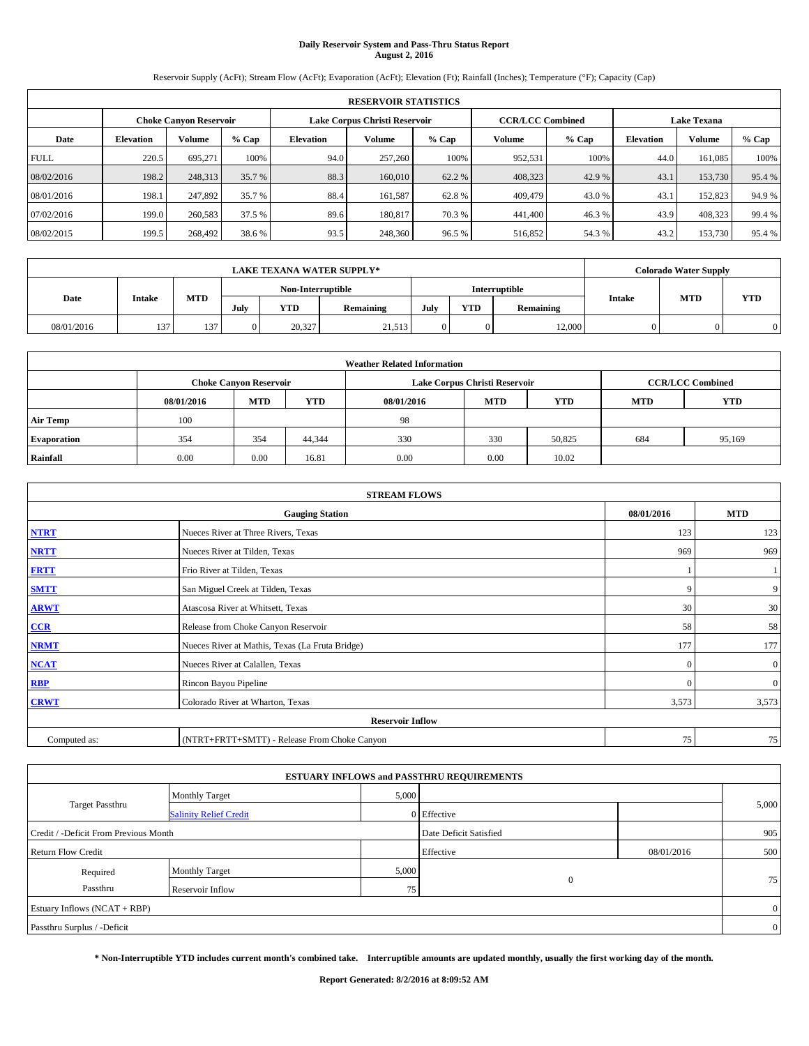# **Daily Reservoir System and Pass-Thru Status Report August 2, 2016**

Reservoir Supply (AcFt); Stream Flow (AcFt); Evaporation (AcFt); Elevation (Ft); Rainfall (Inches); Temperature (°F); Capacity (Cap)

|             | <b>RESERVOIR STATISTICS</b> |                               |        |           |                               |         |                         |         |                    |         |        |  |
|-------------|-----------------------------|-------------------------------|--------|-----------|-------------------------------|---------|-------------------------|---------|--------------------|---------|--------|--|
|             |                             | <b>Choke Canyon Reservoir</b> |        |           | Lake Corpus Christi Reservoir |         | <b>CCR/LCC Combined</b> |         | <b>Lake Texana</b> |         |        |  |
| Date        | <b>Elevation</b>            | <b>Volume</b>                 | % Cap  | Elevation | Volume                        | $%$ Cap | Volume                  | $%$ Cap | <b>Elevation</b>   | Volume  | % Cap  |  |
| <b>FULL</b> | 220.5                       | 695.271                       | 100%   | 94.0      | 257,260                       | 100%    | 952,531                 | 100%    | 44.0               | 161.085 | 100%   |  |
| 08/02/2016  | 198.2                       | 248,313                       | 35.7 % | 88.3      | 160,010                       | 62.2 %  | 408,323                 | 42.9 %  | 43.1               | 153,730 | 95.4%  |  |
| 08/01/2016  | 198.1                       | 247.892                       | 35.7 % | 88.4      | 161.587                       | 62.8%   | 409,479                 | 43.0 %  | 43.1               | 152,823 | 94.9%  |  |
| 07/02/2016  | 199.0                       | 260,583                       | 37.5 % | 89.6      | 180,817                       | 70.3 %  | 441,400                 | 46.3%   | 43.9               | 408,323 | 99.4%  |  |
| 08/02/2015  | 199.5                       | 268,492                       | 38.6%  | 93.5      | 248,360                       | 96.5%   | 516,852                 | 54.3 %  | 43.2               | 153,730 | 95.4 % |  |

|            | <b>LAKE TEXANA WATER SUPPLY*</b> |            |      |                   |           |      |                      |           |               |            | <b>Colorado Water Supply</b> |  |  |
|------------|----------------------------------|------------|------|-------------------|-----------|------|----------------------|-----------|---------------|------------|------------------------------|--|--|
|            |                                  |            |      | Non-Interruptible |           |      | <b>Interruptible</b> |           |               |            |                              |  |  |
| Date       | Intake                           | <b>MTD</b> | July | YTD               | Remaining | July | YTD                  | Remaining | <b>Intake</b> | <b>MTD</b> | <b>YTD</b>                   |  |  |
| 08/01/2016 | 137                              | 137        | 0    | 20,327            | 21,513    | 0.   |                      | 12,000    |               |            |                              |  |  |

| <b>Weather Related Information</b> |            |                               |            |            |                               |                         |            |            |  |  |  |
|------------------------------------|------------|-------------------------------|------------|------------|-------------------------------|-------------------------|------------|------------|--|--|--|
|                                    |            | <b>Choke Canyon Reservoir</b> |            |            | Lake Corpus Christi Reservoir | <b>CCR/LCC Combined</b> |            |            |  |  |  |
|                                    | 08/01/2016 | <b>MTD</b>                    | <b>YTD</b> | 08/01/2016 | <b>MTD</b>                    | <b>YTD</b>              | <b>MTD</b> | <b>YTD</b> |  |  |  |
| <b>Air Temp</b>                    | 100        |                               |            | -98        |                               |                         |            |            |  |  |  |
| <b>Evaporation</b>                 | 354        | 354                           | 44.344     | 330        | 330                           | 50,825                  | 684        | 95,169     |  |  |  |
| Rainfall                           | 0.00       | 0.00                          | 16.81      | 0.00       | 0.00                          | 10.02                   |            |            |  |  |  |

|                                                                                                                                                                                                                                                                                                                                                                                                                                                                                                                                                         | <b>STREAM FLOWS</b>                          |          |                |  |  |  |  |  |  |
|---------------------------------------------------------------------------------------------------------------------------------------------------------------------------------------------------------------------------------------------------------------------------------------------------------------------------------------------------------------------------------------------------------------------------------------------------------------------------------------------------------------------------------------------------------|----------------------------------------------|----------|----------------|--|--|--|--|--|--|
| <b>Gauging Station</b><br>08/01/2016<br><b>NTRT</b><br>Nueces River at Three Rivers, Texas<br><b>NRTT</b><br>Nueces River at Tilden, Texas<br><b>FRTT</b><br>Frio River at Tilden, Texas<br><b>SMTT</b><br>San Miguel Creek at Tilden, Texas<br><b>ARWT</b><br>Atascosa River at Whitsett, Texas<br>$CCR$<br>Release from Choke Canyon Reservoir<br><b>NRMT</b><br>Nueces River at Mathis, Texas (La Fruta Bridge)<br><b>NCAT</b><br>Nueces River at Calallen, Texas<br>RBP<br>Rincon Bayou Pipeline<br><b>CRWT</b><br>Colorado River at Wharton, Texas |                                              |          | <b>MTD</b>     |  |  |  |  |  |  |
|                                                                                                                                                                                                                                                                                                                                                                                                                                                                                                                                                         |                                              | 123      | 123            |  |  |  |  |  |  |
|                                                                                                                                                                                                                                                                                                                                                                                                                                                                                                                                                         |                                              | 969      | 969            |  |  |  |  |  |  |
|                                                                                                                                                                                                                                                                                                                                                                                                                                                                                                                                                         |                                              |          |                |  |  |  |  |  |  |
|                                                                                                                                                                                                                                                                                                                                                                                                                                                                                                                                                         |                                              | 9        | 9              |  |  |  |  |  |  |
|                                                                                                                                                                                                                                                                                                                                                                                                                                                                                                                                                         |                                              | 30       | 30             |  |  |  |  |  |  |
|                                                                                                                                                                                                                                                                                                                                                                                                                                                                                                                                                         |                                              | 58       | 58             |  |  |  |  |  |  |
|                                                                                                                                                                                                                                                                                                                                                                                                                                                                                                                                                         |                                              | 177      | 177            |  |  |  |  |  |  |
|                                                                                                                                                                                                                                                                                                                                                                                                                                                                                                                                                         |                                              | $\Omega$ | $\overline{0}$ |  |  |  |  |  |  |
|                                                                                                                                                                                                                                                                                                                                                                                                                                                                                                                                                         |                                              | $\Omega$ | $\overline{0}$ |  |  |  |  |  |  |
|                                                                                                                                                                                                                                                                                                                                                                                                                                                                                                                                                         |                                              | 3,573    | 3,573          |  |  |  |  |  |  |
|                                                                                                                                                                                                                                                                                                                                                                                                                                                                                                                                                         | <b>Reservoir Inflow</b>                      |          |                |  |  |  |  |  |  |
| Computed as:                                                                                                                                                                                                                                                                                                                                                                                                                                                                                                                                            | (NTRT+FRTT+SMTT) - Release From Choke Canyon | 75       | 75             |  |  |  |  |  |  |

| <b>ESTUARY INFLOWS and PASSTHRU REQUIREMENTS</b> |                               |                        |             |            |                |  |  |  |  |  |
|--------------------------------------------------|-------------------------------|------------------------|-------------|------------|----------------|--|--|--|--|--|
|                                                  | Monthly Target                | 5,000                  |             |            |                |  |  |  |  |  |
| <b>Target Passthru</b>                           | <b>Salinity Relief Credit</b> |                        | 0 Effective |            | 5,000          |  |  |  |  |  |
| Credit / -Deficit From Previous Month            |                               | Date Deficit Satisfied |             | 905        |                |  |  |  |  |  |
| <b>Return Flow Credit</b>                        |                               |                        | Effective   | 08/01/2016 | 500            |  |  |  |  |  |
| Required                                         | <b>Monthly Target</b>         | 5,000                  |             |            |                |  |  |  |  |  |
| Passthru                                         | Reservoir Inflow              | 75                     | $\theta$    |            | 75             |  |  |  |  |  |
| Estuary Inflows (NCAT + RBP)                     |                               |                        |             |            | $\overline{0}$ |  |  |  |  |  |
| Passthru Surplus / -Deficit                      |                               |                        |             |            | $\overline{0}$ |  |  |  |  |  |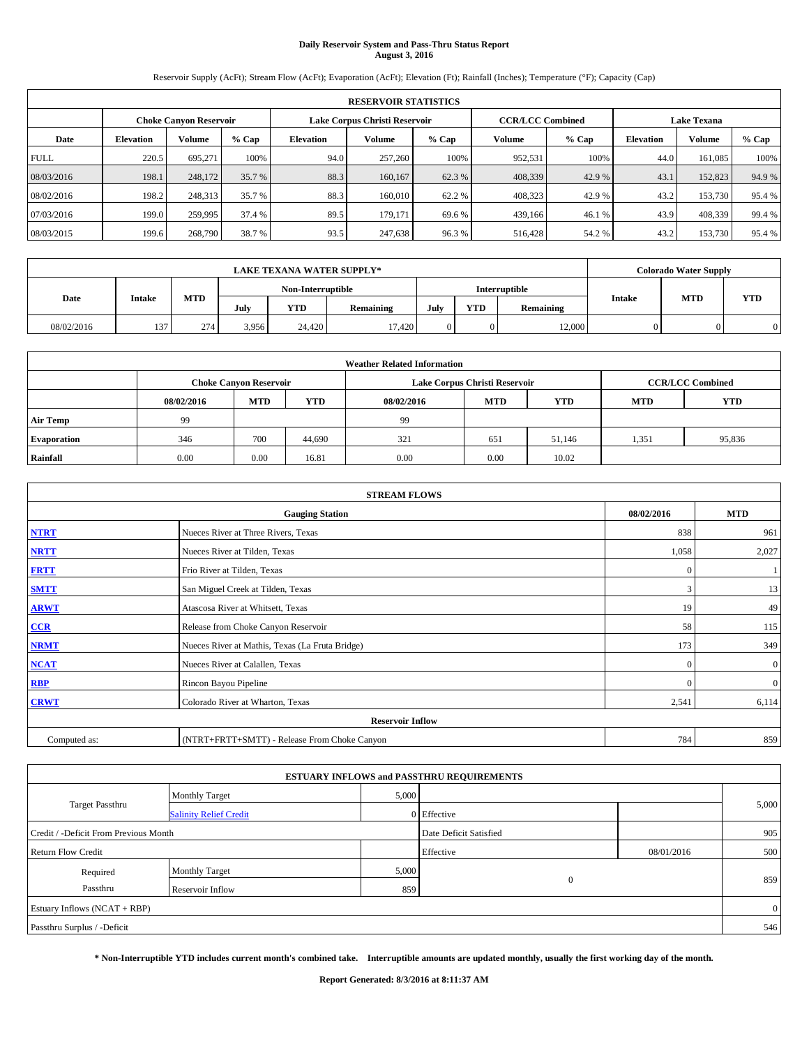# **Daily Reservoir System and Pass-Thru Status Report August 3, 2016**

Reservoir Supply (AcFt); Stream Flow (AcFt); Evaporation (AcFt); Elevation (Ft); Rainfall (Inches); Temperature (°F); Capacity (Cap)

|             | <b>RESERVOIR STATISTICS</b> |                               |        |           |                               |         |                         |         |                    |         |        |  |
|-------------|-----------------------------|-------------------------------|--------|-----------|-------------------------------|---------|-------------------------|---------|--------------------|---------|--------|--|
|             |                             | <b>Choke Canyon Reservoir</b> |        |           | Lake Corpus Christi Reservoir |         | <b>CCR/LCC Combined</b> |         | <b>Lake Texana</b> |         |        |  |
| Date        | <b>Elevation</b>            | <b>Volume</b>                 | % Cap  | Elevation | Volume                        | $%$ Cap | Volume                  | $%$ Cap | <b>Elevation</b>   | Volume  | % Cap  |  |
| <b>FULL</b> | 220.5                       | 695.271                       | 100%   | 94.0      | 257,260                       | 100%    | 952,531                 | 100%    | 44.0               | 161.085 | 100%   |  |
| 08/03/2016  | 198.1                       | 248,172                       | 35.7 % | 88.3      | 160,167                       | 62.3 %  | 408,339                 | 42.9 %  | 43.1               | 152,823 | 94.9%  |  |
| 08/02/2016  | 198.2                       | 248,313                       | 35.7 % | 88.3      | 160,010                       | 62.2%   | 408,323                 | 42.9 %  | 43.2               | 153,730 | 95.4 % |  |
| 07/03/2016  | 199.0                       | 259,995                       | 37.4 % | 89.5      | 179,171                       | 69.6 %  | 439,166                 | 46.1 %  | 43.9               | 408,339 | 99.4%  |  |
| 08/03/2015  | 199.6                       | 268,790                       | 38.7 % | 93.5      | 247,638                       | 96.3%   | 516,428                 | 54.2 %  | 43.2               | 153,730 | 95.4 % |  |

|            | <b>LAKE TEXANA WATER SUPPLY*</b> |            |                   |            |           |               |          |           |               |            | <b>Colorado Water Supply</b> |  |  |
|------------|----------------------------------|------------|-------------------|------------|-----------|---------------|----------|-----------|---------------|------------|------------------------------|--|--|
|            |                                  |            | Non-Interruptible |            |           | Interruptible |          |           |               |            |                              |  |  |
| Date       | Intake                           | <b>MTD</b> | July              | <b>YTD</b> | Remaining | July          | YTD      | Remaining | <b>Intake</b> | <b>MTD</b> | <b>YTD</b>                   |  |  |
| 08/02/2016 | 137                              | 274        | 3.956             | 24.420     | 17,420    | 0             | $\Omega$ | 12,000    |               |            |                              |  |  |

| <b>Weather Related Information</b> |            |                               |            |            |                               |                         |            |            |  |
|------------------------------------|------------|-------------------------------|------------|------------|-------------------------------|-------------------------|------------|------------|--|
|                                    |            | <b>Choke Canyon Reservoir</b> |            |            | Lake Corpus Christi Reservoir | <b>CCR/LCC Combined</b> |            |            |  |
|                                    | 08/02/2016 | <b>MTD</b>                    | <b>YTD</b> | 08/02/2016 | <b>MTD</b>                    | <b>YTD</b>              | <b>MTD</b> | <b>YTD</b> |  |
| <b>Air Temp</b>                    | 99         |                               |            | -99        |                               |                         |            |            |  |
| <b>Evaporation</b>                 | 346        | 700                           | 44,690     | 321        | 651                           | 51.146                  | 1,351      | 95,836     |  |
| Rainfall                           | 0.00       | 0.00                          | 16.81      | 0.00       | 0.00                          | 10.02                   |            |            |  |

| <b>STREAM FLOWS</b> |                                                 |            |                |  |  |  |  |  |  |
|---------------------|-------------------------------------------------|------------|----------------|--|--|--|--|--|--|
|                     | 08/02/2016                                      | <b>MTD</b> |                |  |  |  |  |  |  |
| <b>NTRT</b>         | Nueces River at Three Rivers, Texas             | 838        | 961            |  |  |  |  |  |  |
| <b>NRTT</b>         | Nueces River at Tilden, Texas                   | 1,058      | 2,027          |  |  |  |  |  |  |
| <b>FRTT</b>         | Frio River at Tilden, Texas                     | $\Omega$   |                |  |  |  |  |  |  |
| <b>SMTT</b>         | San Miguel Creek at Tilden, Texas               | 3          | 13             |  |  |  |  |  |  |
| <b>ARWT</b>         | Atascosa River at Whitsett, Texas               | 19         | 49             |  |  |  |  |  |  |
| $CCR$               | Release from Choke Canyon Reservoir             | 58         | 115            |  |  |  |  |  |  |
| <b>NRMT</b>         | Nueces River at Mathis, Texas (La Fruta Bridge) | 173        | 349            |  |  |  |  |  |  |
| <b>NCAT</b>         | Nueces River at Calallen, Texas                 | $\Omega$   | $\overline{0}$ |  |  |  |  |  |  |
| RBP                 | Rincon Bayou Pipeline                           | $\Omega$   | $\overline{0}$ |  |  |  |  |  |  |
| <b>CRWT</b>         | Colorado River at Wharton, Texas                | 2,541      | 6,114          |  |  |  |  |  |  |
|                     | <b>Reservoir Inflow</b>                         |            |                |  |  |  |  |  |  |
| Computed as:        | (NTRT+FRTT+SMTT) - Release From Choke Canyon    | 784        | 859            |  |  |  |  |  |  |

|                                       |                               |       | <b>ESTUARY INFLOWS and PASSTHRU REQUIREMENTS</b> |            |       |  |  |  |
|---------------------------------------|-------------------------------|-------|--------------------------------------------------|------------|-------|--|--|--|
|                                       | <b>Monthly Target</b>         | 5,000 |                                                  |            |       |  |  |  |
| <b>Target Passthru</b>                | <b>Salinity Relief Credit</b> |       | 0 Effective                                      |            | 5,000 |  |  |  |
| Credit / -Deficit From Previous Month |                               |       | Date Deficit Satisfied                           |            | 905   |  |  |  |
| <b>Return Flow Credit</b>             |                               |       | Effective                                        | 08/01/2016 | 500   |  |  |  |
| Required                              | <b>Monthly Target</b>         | 5,000 |                                                  |            |       |  |  |  |
| Passthru                              | Reservoir Inflow              | 859   | $\theta$                                         |            | 859   |  |  |  |
| Estuary Inflows (NCAT + RBP)          |                               |       |                                                  |            |       |  |  |  |
| Passthru Surplus / -Deficit           |                               |       |                                                  |            | 546   |  |  |  |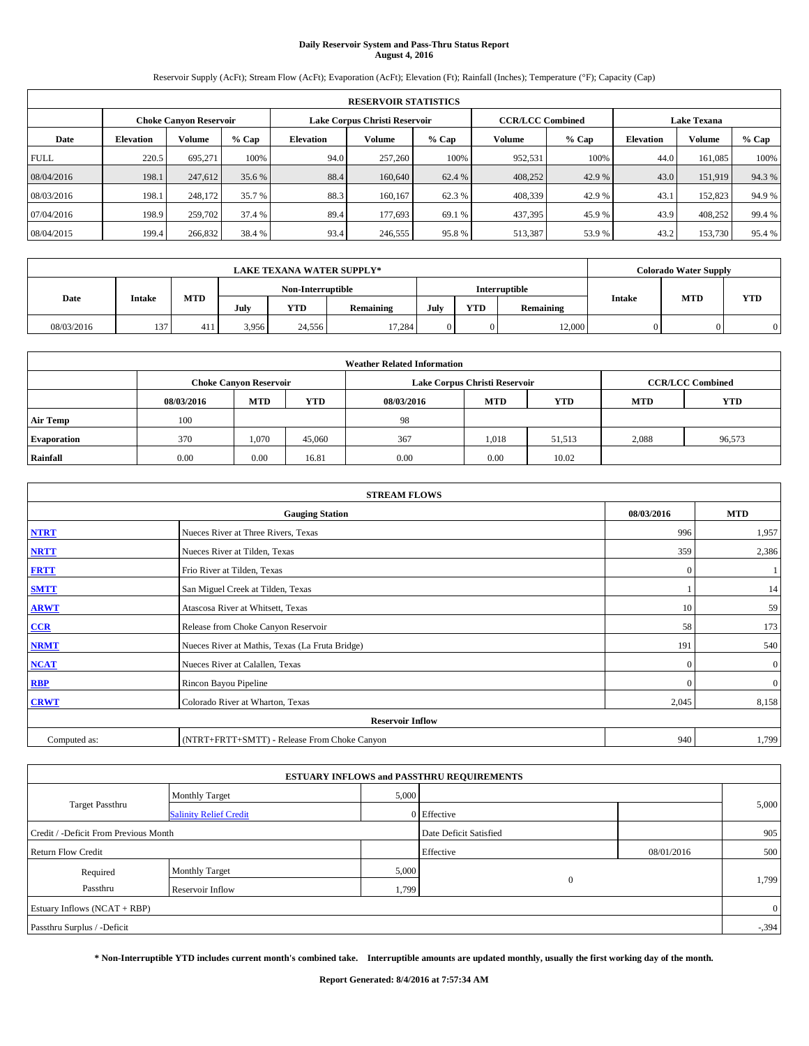# **Daily Reservoir System and Pass-Thru Status Report August 4, 2016**

Reservoir Supply (AcFt); Stream Flow (AcFt); Evaporation (AcFt); Elevation (Ft); Rainfall (Inches); Temperature (°F); Capacity (Cap)

| <b>RESERVOIR STATISTICS</b> |                  |                               |        |           |                               |        |                         |         |                    |               |        |
|-----------------------------|------------------|-------------------------------|--------|-----------|-------------------------------|--------|-------------------------|---------|--------------------|---------------|--------|
|                             |                  | <b>Choke Canyon Reservoir</b> |        |           | Lake Corpus Christi Reservoir |        | <b>CCR/LCC Combined</b> |         | <b>Lake Texana</b> |               |        |
| Date                        | <b>Elevation</b> | <b>Volume</b>                 | % Cap  | Elevation | Volume                        | % Cap  | Volume                  | $%$ Cap | <b>Elevation</b>   | <b>Volume</b> | % Cap  |
| <b>FULL</b>                 | 220.5            | 695,271                       | 100%   | 94.0      | 257,260                       | 100%   | 952.531                 | 100%    | 44.0               | 161,085       | 100%   |
| 08/04/2016                  | 198.1            | 247,612                       | 35.6 % | 88.4      | 160,640                       | 62.4 % | 408,252                 | 42.9 %  | 43.0               | 151.919       | 94.3%  |
| 08/03/2016                  | 198.1            | 248,172                       | 35.7 % | 88.3      | 160,167                       | 62.3 % | 408.339                 | 42.9 %  | 43.1               | 152,823       | 94.9 % |
| 07/04/2016                  | 198.9            | 259,702                       | 37.4 % | 89.4      | 177,693                       | 69.1 % | 437,395                 | 45.9%   | 43.9               | 408.252       | 99.4 % |
| 08/04/2015                  | 199.4            | 266,832                       | 38.4 % | 93.4      | 246,555                       | 95.8%  | 513,387                 | 53.9%   | 43.2               | 153,730       | 95.4 % |

| <b>LAKE TEXANA WATER SUPPLY*</b> |        |            |       |                   |                  |      |            |               |               | <b>Colorado Water Supply</b> |            |
|----------------------------------|--------|------------|-------|-------------------|------------------|------|------------|---------------|---------------|------------------------------|------------|
|                                  |        |            |       | Non-Interruptible |                  |      |            | Interruptible |               |                              |            |
| Date                             | Intake | <b>MTD</b> | July  | <b>YTD</b>        | <b>Remaining</b> | July | <b>YTD</b> | Remaining     | <b>Intake</b> | <b>MTD</b>                   | <b>YTD</b> |
| 08/03/2016                       | 137    | -411       | 3.956 | 24.556            | 17.284           |      | 0          | 12,000        |               |                              |            |

| <b>Weather Related Information</b> |            |                               |            |            |                               |                         |            |            |  |
|------------------------------------|------------|-------------------------------|------------|------------|-------------------------------|-------------------------|------------|------------|--|
|                                    |            | <b>Choke Canyon Reservoir</b> |            |            | Lake Corpus Christi Reservoir | <b>CCR/LCC Combined</b> |            |            |  |
|                                    | 08/03/2016 | <b>MTD</b>                    | <b>YTD</b> | 08/03/2016 | <b>MTD</b>                    | <b>YTD</b>              | <b>MTD</b> | <b>YTD</b> |  |
| <b>Air Temp</b>                    | 100        |                               |            | -98        |                               |                         |            |            |  |
| <b>Evaporation</b>                 | 370        | 1,070                         | 45,060     | 367        | 1,018                         | 51,513                  | 2,088      | 96,573     |  |
| Rainfall                           | 0.00       | 0.00                          | 16.81      | 0.00       | 0.00                          | 10.02                   |            |            |  |

| <b>STREAM FLOWS</b> |                                                 |            |                |  |  |  |  |  |  |
|---------------------|-------------------------------------------------|------------|----------------|--|--|--|--|--|--|
|                     | 08/03/2016                                      | <b>MTD</b> |                |  |  |  |  |  |  |
| <b>NTRT</b>         | Nueces River at Three Rivers, Texas             | 996        | 1,957          |  |  |  |  |  |  |
| <b>NRTT</b>         | Nueces River at Tilden, Texas                   | 359        | 2,386          |  |  |  |  |  |  |
| <b>FRTT</b>         | Frio River at Tilden, Texas                     | $\bf{0}$   |                |  |  |  |  |  |  |
| <b>SMTT</b>         | San Miguel Creek at Tilden, Texas               |            | 14             |  |  |  |  |  |  |
| <b>ARWT</b>         | Atascosa River at Whitsett, Texas               | 10         | 59             |  |  |  |  |  |  |
| $CCR$               | Release from Choke Canyon Reservoir             | 58         | 173            |  |  |  |  |  |  |
| <b>NRMT</b>         | Nueces River at Mathis, Texas (La Fruta Bridge) | 191        | 540            |  |  |  |  |  |  |
| <b>NCAT</b>         | Nueces River at Calallen, Texas                 | $\Omega$   | $\overline{0}$ |  |  |  |  |  |  |
| RBP                 | Rincon Bayou Pipeline                           | $\Omega$   | $\overline{0}$ |  |  |  |  |  |  |
| <b>CRWT</b>         | Colorado River at Wharton, Texas                | 2,045      | 8,158          |  |  |  |  |  |  |
|                     | <b>Reservoir Inflow</b>                         |            |                |  |  |  |  |  |  |
| Computed as:        | 940                                             | 1,799      |                |  |  |  |  |  |  |

|                                       |                               |       | <b>ESTUARY INFLOWS and PASSTHRU REQUIREMENTS</b> |            |                |
|---------------------------------------|-------------------------------|-------|--------------------------------------------------|------------|----------------|
|                                       | <b>Monthly Target</b>         | 5,000 |                                                  |            |                |
| <b>Target Passthru</b>                | <b>Salinity Relief Credit</b> |       | 0 Effective                                      |            | 5,000          |
| Credit / -Deficit From Previous Month |                               |       | Date Deficit Satisfied                           |            | 905            |
| <b>Return Flow Credit</b>             |                               |       | Effective                                        | 08/01/2016 | 500            |
| Required                              | <b>Monthly Target</b>         | 5,000 |                                                  |            |                |
| Passthru                              | Reservoir Inflow              | 1,799 | $\theta$                                         |            | 1,799          |
| Estuary Inflows (NCAT + RBP)          |                               |       |                                                  |            | $\overline{0}$ |
| Passthru Surplus / -Deficit           |                               |       |                                                  |            | $-394$         |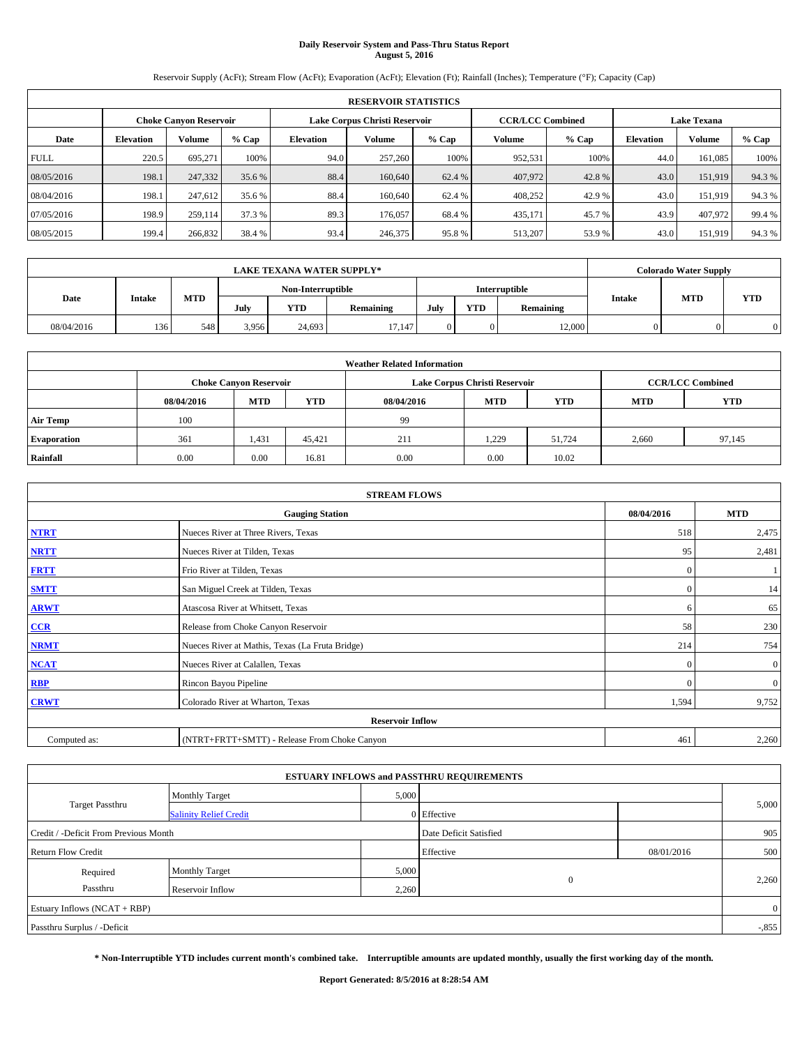# **Daily Reservoir System and Pass-Thru Status Report August 5, 2016**

Reservoir Supply (AcFt); Stream Flow (AcFt); Evaporation (AcFt); Elevation (Ft); Rainfall (Inches); Temperature (°F); Capacity (Cap)

| <b>RESERVOIR STATISTICS</b> |                  |                               |        |           |                               |        |                         |         |                    |               |        |
|-----------------------------|------------------|-------------------------------|--------|-----------|-------------------------------|--------|-------------------------|---------|--------------------|---------------|--------|
|                             |                  | <b>Choke Canyon Reservoir</b> |        |           | Lake Corpus Christi Reservoir |        | <b>CCR/LCC Combined</b> |         | <b>Lake Texana</b> |               |        |
| Date                        | <b>Elevation</b> | <b>Volume</b>                 | % Cap  | Elevation | Volume                        | % Cap  | Volume                  | $%$ Cap | <b>Elevation</b>   | <b>Volume</b> | % Cap  |
| <b>FULL</b>                 | 220.5            | 695,271                       | 100%   | 94.0      | 257,260                       | 100%   | 952.531                 | 100%    | 44.0               | 161,085       | 100%   |
| 08/05/2016                  | 198.1            | 247,332                       | 35.6 % | 88.4      | 160,640                       | 62.4 % | 407,972                 | 42.8%   | 43.0               | 151.919       | 94.3%  |
| 08/04/2016                  | 198.1            | 247.612                       | 35.6 % | 88.4      | 160,640                       | 62.4 % | 408.252                 | 42.9 %  | 43.0               | 151.919       | 94.3 % |
| 07/05/2016                  | 198.9            | 259.114                       | 37.3 % | 89.3      | 176,057                       | 68.4 % | 435.171                 | 45.7 %  | 43.9               | 407.972       | 99.4 % |
| 08/05/2015                  | 199.4            | 266,832                       | 38.4 % | 93.4      | 246,375                       | 95.8%  | 513,207                 | 53.9%   | 43.0               | 151,919       | 94.3%  |

| <b>LAKE TEXANA WATER SUPPLY*</b> |        |            |       |                   |                  |      |            |               |                             | <b>Colorado Water Supply</b> |            |
|----------------------------------|--------|------------|-------|-------------------|------------------|------|------------|---------------|-----------------------------|------------------------------|------------|
|                                  |        |            |       | Non-Interruptible |                  |      |            | Interruptible |                             |                              |            |
| Date                             | Intake | <b>MTD</b> | July  | <b>YTD</b>        | <b>Remaining</b> | July | <b>YTD</b> | Remaining     | <b>Intake</b><br><b>MTD</b> |                              | <b>YTD</b> |
| 08/04/2016                       | 136    | 548        | 3.956 | 24,693            | 17.147           |      |            | 12,000        |                             |                              |            |

| <b>Weather Related Information</b> |            |                               |            |            |                               |                         |            |            |  |
|------------------------------------|------------|-------------------------------|------------|------------|-------------------------------|-------------------------|------------|------------|--|
|                                    |            | <b>Choke Canyon Reservoir</b> |            |            | Lake Corpus Christi Reservoir | <b>CCR/LCC Combined</b> |            |            |  |
|                                    | 08/04/2016 | <b>MTD</b>                    | <b>YTD</b> | 08/04/2016 | <b>MTD</b>                    | <b>YTD</b>              | <b>MTD</b> | <b>YTD</b> |  |
| <b>Air Temp</b>                    | 100        |                               |            | -99        |                               |                         |            |            |  |
| <b>Evaporation</b>                 | 361        | 1,431                         | 45.421     | 211        | 1,229                         | 51.724                  | 2,660      | 97,145     |  |
| Rainfall                           | 0.00       | 0.00                          | 16.81      | 0.00       | 0.00                          | 10.02                   |            |            |  |

| <b>STREAM FLOWS</b> |                                                 |              |              |  |  |  |  |  |  |
|---------------------|-------------------------------------------------|--------------|--------------|--|--|--|--|--|--|
|                     | 08/04/2016                                      | <b>MTD</b>   |              |  |  |  |  |  |  |
| <b>NTRT</b>         | Nueces River at Three Rivers, Texas             | 518          | 2,475        |  |  |  |  |  |  |
| <b>NRTT</b>         | Nueces River at Tilden, Texas                   | 95           | 2,481        |  |  |  |  |  |  |
| <b>FRTT</b>         | Frio River at Tilden, Texas                     | $\mathbf{0}$ |              |  |  |  |  |  |  |
| <b>SMTT</b>         | San Miguel Creek at Tilden, Texas               | $\mathbf{0}$ | 14           |  |  |  |  |  |  |
| <b>ARWT</b>         | Atascosa River at Whitsett, Texas               | 6            | 65           |  |  |  |  |  |  |
| $CCR$               | Release from Choke Canyon Reservoir             | 58           | 230          |  |  |  |  |  |  |
| <b>NRMT</b>         | Nueces River at Mathis, Texas (La Fruta Bridge) | 214          | 754          |  |  |  |  |  |  |
| <b>NCAT</b>         | Nueces River at Calallen, Texas                 | $\Omega$     | $\mathbf{0}$ |  |  |  |  |  |  |
| RBP                 | Rincon Bayou Pipeline                           | $\mathbf{0}$ | $\mathbf{0}$ |  |  |  |  |  |  |
| <b>CRWT</b>         | Colorado River at Wharton, Texas                | 1,594        | 9,752        |  |  |  |  |  |  |
|                     | <b>Reservoir Inflow</b>                         |              |              |  |  |  |  |  |  |
| Computed as:        | 461                                             | 2,260        |              |  |  |  |  |  |  |

| <b>ESTUARY INFLOWS and PASSTHRU REQUIREMENTS</b> |                               |       |                        |            |         |  |  |  |  |  |
|--------------------------------------------------|-------------------------------|-------|------------------------|------------|---------|--|--|--|--|--|
|                                                  | <b>Monthly Target</b>         | 5,000 |                        |            |         |  |  |  |  |  |
| <b>Target Passthru</b>                           | <b>Salinity Relief Credit</b> |       | 0 Effective            |            | 5,000   |  |  |  |  |  |
| Credit / -Deficit From Previous Month            |                               |       | Date Deficit Satisfied |            | 905     |  |  |  |  |  |
| <b>Return Flow Credit</b>                        |                               |       | Effective              | 08/01/2016 | 500     |  |  |  |  |  |
| Required                                         | <b>Monthly Target</b>         | 5,000 |                        |            |         |  |  |  |  |  |
| Passthru                                         | Reservoir Inflow              | 2,260 | $\theta$               |            | 2,260   |  |  |  |  |  |
| Estuary Inflows (NCAT + RBP)                     |                               |       |                        |            |         |  |  |  |  |  |
| Passthru Surplus / -Deficit                      |                               |       |                        |            | $-.855$ |  |  |  |  |  |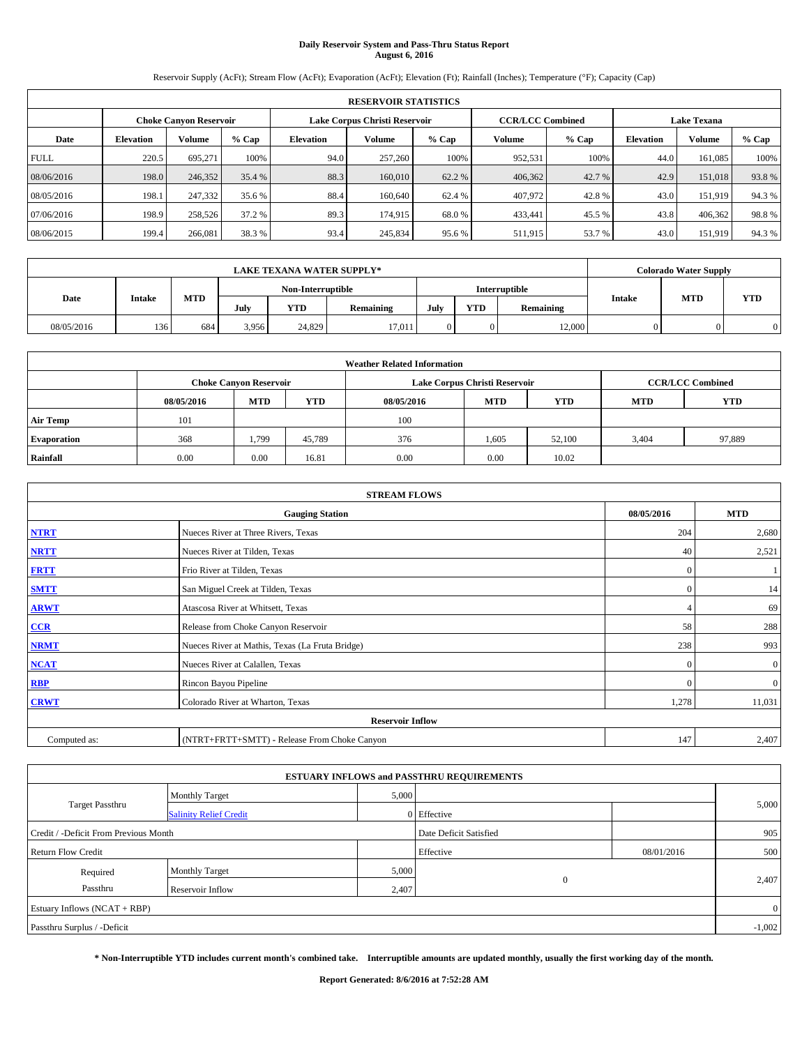# **Daily Reservoir System and Pass-Thru Status Report August 6, 2016**

Reservoir Supply (AcFt); Stream Flow (AcFt); Evaporation (AcFt); Elevation (Ft); Rainfall (Inches); Temperature (°F); Capacity (Cap)

| <b>RESERVOIR STATISTICS</b> |                  |                               |        |           |                               |         |                                               |         |                  |         |       |
|-----------------------------|------------------|-------------------------------|--------|-----------|-------------------------------|---------|-----------------------------------------------|---------|------------------|---------|-------|
|                             |                  | <b>Choke Canyon Reservoir</b> |        |           | Lake Corpus Christi Reservoir |         | <b>Lake Texana</b><br><b>CCR/LCC Combined</b> |         |                  |         |       |
| Date                        | <b>Elevation</b> | Volume                        | % Cap  | Elevation | Volume                        | $%$ Cap | Volume                                        | $%$ Cap | <b>Elevation</b> | Volume  | % Cap |
| <b>FULL</b>                 | 220.5            | 695.271                       | 100%   | 94.0      | 257,260                       | 100%    | 952,531                                       | 100%    | 44.0             | 161.085 | 100%  |
| 08/06/2016                  | 198.0            | 246,352                       | 35.4 % | 88.3      | 160,010                       | 62.2 %  | 406,362                                       | 42.7 %  | 42.9             | 151,018 | 93.8% |
| 08/05/2016                  | 198.1            | 247.332                       | 35.6 % | 88.4      | 160,640                       | 62.4 %  | 407.972                                       | 42.8%   | 43.0             | 151.919 | 94.3% |
| 07/06/2016                  | 198.9            | 258,526                       | 37.2 % | 89.3      | 174,915                       | 68.0%   | 433.441                                       | 45.5 %  | 43.8             | 406.362 | 98.8% |
| 08/06/2015                  | 199.4            | 266,081                       | 38.3%  | 93.4      | 245,834                       | 95.6%   | 511,915                                       | 53.7 %  | 43.0             | 151,919 | 94.3% |

|            | LAKE TEXANA WATER SUPPLY* |     |                   |            |           |                      |            |           |               | <b>Colorado Water Supply</b> |            |
|------------|---------------------------|-----|-------------------|------------|-----------|----------------------|------------|-----------|---------------|------------------------------|------------|
|            |                           |     | Non-Interruptible |            |           | <b>Interruptible</b> |            |           |               |                              |            |
| Date       | Intake                    | MTD | July              | <b>YTD</b> | Remaining | July                 | <b>YTD</b> | Remaining | <b>Intake</b> | <b>MTD</b>                   | <b>YTD</b> |
| 08/05/2016 | 136                       | 684 | 3.956             | 24,829     | 17,011    |                      | 0          | 12,000    |               |                              |            |

| <b>Weather Related Information</b> |            |                                                                                  |        |      |                               |        |                         |        |  |  |
|------------------------------------|------------|----------------------------------------------------------------------------------|--------|------|-------------------------------|--------|-------------------------|--------|--|--|
|                                    |            | <b>Choke Canyon Reservoir</b>                                                    |        |      | Lake Corpus Christi Reservoir |        | <b>CCR/LCC Combined</b> |        |  |  |
|                                    | 08/05/2016 | <b>YTD</b><br><b>MTD</b><br><b>MTD</b><br>08/05/2016<br><b>YTD</b><br><b>MTD</b> |        |      |                               |        |                         |        |  |  |
| <b>Air Temp</b>                    | 101        |                                                                                  |        | 100  |                               |        |                         |        |  |  |
| <b>Evaporation</b>                 | 368        | 1,799                                                                            | 45.789 | 376  | 1,605                         | 52,100 | 3,404                   | 97,889 |  |  |
| Rainfall                           | 0.00       | 0.00                                                                             | 16.81  | 0.00 | 0.00                          | 10.02  |                         |        |  |  |

| <b>STREAM FLOWS</b> |                                                 |              |              |  |  |  |  |  |  |
|---------------------|-------------------------------------------------|--------------|--------------|--|--|--|--|--|--|
|                     | <b>Gauging Station</b>                          | 08/05/2016   | <b>MTD</b>   |  |  |  |  |  |  |
| <b>NTRT</b>         | Nueces River at Three Rivers, Texas             | 204          | 2,680        |  |  |  |  |  |  |
| <b>NRTT</b>         | Nueces River at Tilden, Texas                   | 40           | 2,521        |  |  |  |  |  |  |
| <b>FRTT</b>         | Frio River at Tilden, Texas                     | $\mathbf{0}$ |              |  |  |  |  |  |  |
| <b>SMTT</b>         | San Miguel Creek at Tilden, Texas               | $\mathbf{0}$ | 14           |  |  |  |  |  |  |
| <b>ARWT</b>         | Atascosa River at Whitsett, Texas               |              | 69           |  |  |  |  |  |  |
| $CCR$               | Release from Choke Canyon Reservoir             | 58           | 288          |  |  |  |  |  |  |
| <b>NRMT</b>         | Nueces River at Mathis, Texas (La Fruta Bridge) | 238          | 993          |  |  |  |  |  |  |
| <b>NCAT</b>         | Nueces River at Calallen, Texas                 | $\mathbf{0}$ | $\mathbf{0}$ |  |  |  |  |  |  |
| RBP                 | Rincon Bayou Pipeline                           | $\Omega$     | $\mathbf{0}$ |  |  |  |  |  |  |
| <b>CRWT</b>         | Colorado River at Wharton, Texas                | 1,278        | 11,031       |  |  |  |  |  |  |
|                     | <b>Reservoir Inflow</b>                         |              |              |  |  |  |  |  |  |
| Computed as:        | (NTRT+FRTT+SMTT) - Release From Choke Canyon    |              |              |  |  |  |  |  |  |

| <b>ESTUARY INFLOWS and PASSTHRU REQUIREMENTS</b> |                               |           |                        |     |       |  |  |  |  |  |
|--------------------------------------------------|-------------------------------|-----------|------------------------|-----|-------|--|--|--|--|--|
|                                                  | <b>Monthly Target</b>         | 5,000     |                        |     |       |  |  |  |  |  |
| <b>Target Passthru</b>                           | <b>Salinity Relief Credit</b> |           | 0 Effective            |     | 5,000 |  |  |  |  |  |
| Credit / -Deficit From Previous Month            |                               |           | Date Deficit Satisfied |     | 905   |  |  |  |  |  |
| <b>Return Flow Credit</b>                        |                               | Effective | 08/01/2016             | 500 |       |  |  |  |  |  |
| Required                                         | <b>Monthly Target</b>         | 5,000     |                        |     |       |  |  |  |  |  |
| Passthru                                         | Reservoir Inflow              | 2,407     | $\Omega$               |     | 2,407 |  |  |  |  |  |
| Estuary Inflows (NCAT + RBP)                     |                               |           |                        |     |       |  |  |  |  |  |
| Passthru Surplus / -Deficit                      |                               |           |                        |     |       |  |  |  |  |  |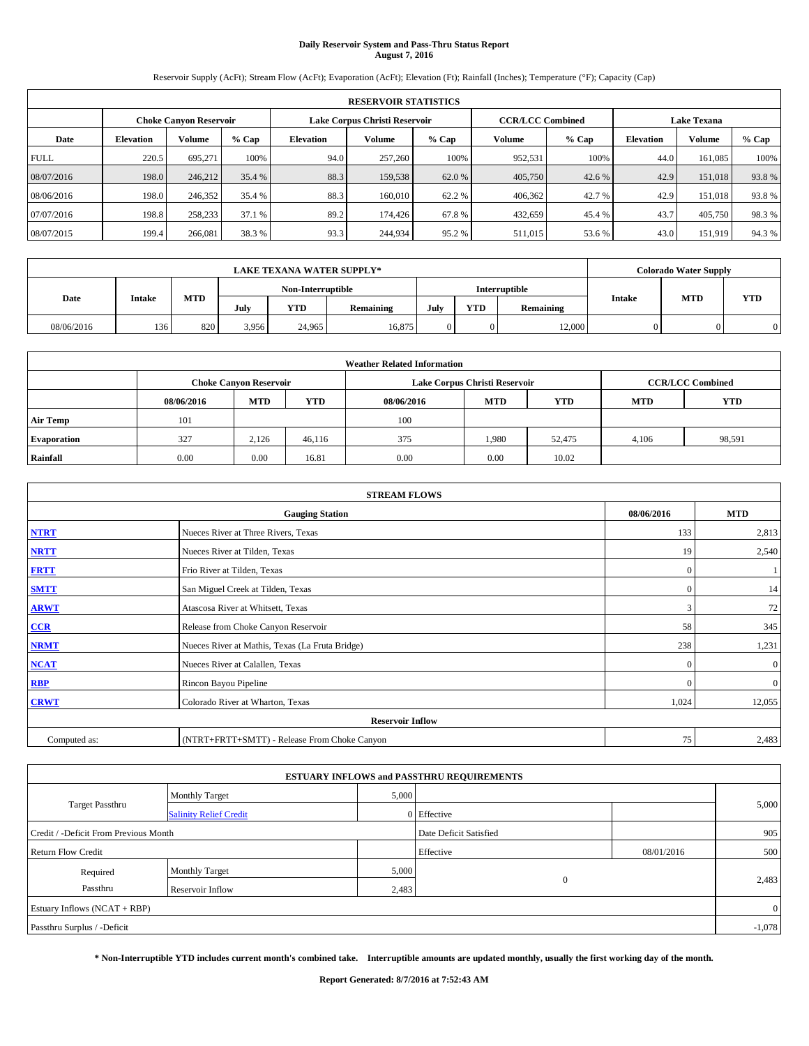# **Daily Reservoir System and Pass-Thru Status Report August 7, 2016**

Reservoir Supply (AcFt); Stream Flow (AcFt); Evaporation (AcFt); Elevation (Ft); Rainfall (Inches); Temperature (°F); Capacity (Cap)

| <b>RESERVOIR STATISTICS</b> |                               |               |        |           |                               |        |                                               |         |                  |               |       |
|-----------------------------|-------------------------------|---------------|--------|-----------|-------------------------------|--------|-----------------------------------------------|---------|------------------|---------------|-------|
|                             | <b>Choke Canyon Reservoir</b> |               |        |           | Lake Corpus Christi Reservoir |        | <b>Lake Texana</b><br><b>CCR/LCC Combined</b> |         |                  |               |       |
| Date                        | <b>Elevation</b>              | <b>Volume</b> | % Cap  | Elevation | Volume                        | % Cap  | Volume                                        | $%$ Cap | <b>Elevation</b> | <b>Volume</b> | % Cap |
| <b>FULL</b>                 | 220.5                         | 695,271       | 100%   | 94.0      | 257,260                       | 100%   | 952.531                                       | 100%    | 44.0             | 161,085       | 100%  |
| 08/07/2016                  | 198.0                         | 246,212       | 35.4 % | 88.3      | 159,538                       | 62.0 % | 405,750                                       | 42.6 %  | 42.9             | 151,018       | 93.8% |
| 08/06/2016                  | 198.0                         | 246,352       | 35.4 % | 88.3      | 160,010                       | 62.2 % | 406,362                                       | 42.7 %  | 42.9             | 151,018       | 93.8% |
| 07/07/2016                  | 198.8                         | 258,233       | 37.1 % | 89.2      | 174,426                       | 67.8%  | 432.659                                       | 45.4 %  | 43.7             | 405,750       | 98.3% |
| 08/07/2015                  | 199.4                         | 266,081       | 38.3%  | 93.3      | 244,934                       | 95.2%  | 511,015                                       | 53.6 %  | 43.0             | 151,919       | 94.3% |

|            | <b>LAKE TEXANA WATER SUPPLY*</b> |                   |       |            |                  |      |            |           |                             | <b>Colorado Water Supply</b> |  |
|------------|----------------------------------|-------------------|-------|------------|------------------|------|------------|-----------|-----------------------------|------------------------------|--|
|            |                                  | Non-Interruptible |       |            | Interruptible    |      |            |           |                             |                              |  |
| Date       | Intake                           | <b>MTD</b>        | July  | <b>YTD</b> | <b>Remaining</b> | July | <b>YTD</b> | Remaining | <b>Intake</b><br><b>MTD</b> | <b>YTD</b>                   |  |
| 08/06/2016 | 136                              | 820               | 3.956 | 24.965     | 16.875           |      |            | 12,000    |                             |                              |  |

| <b>Weather Related Information</b> |            |                                                                                  |        |      |                               |        |                         |        |  |  |
|------------------------------------|------------|----------------------------------------------------------------------------------|--------|------|-------------------------------|--------|-------------------------|--------|--|--|
|                                    |            | <b>Choke Canyon Reservoir</b>                                                    |        |      | Lake Corpus Christi Reservoir |        | <b>CCR/LCC Combined</b> |        |  |  |
|                                    | 08/06/2016 | <b>YTD</b><br><b>MTD</b><br><b>MTD</b><br>08/06/2016<br><b>YTD</b><br><b>MTD</b> |        |      |                               |        |                         |        |  |  |
| <b>Air Temp</b>                    | 101        |                                                                                  |        | 100  |                               |        |                         |        |  |  |
| <b>Evaporation</b>                 | 327        | 2,126                                                                            | 46.116 | 375  | 1.980                         | 52,475 | 4,106                   | 98,591 |  |  |
| Rainfall                           | 0.00       | 0.00                                                                             | 16.81  | 0.00 | 0.00                          | 10.02  |                         |        |  |  |

| <b>STREAM FLOWS</b> |                                                 |              |              |  |  |  |  |  |  |
|---------------------|-------------------------------------------------|--------------|--------------|--|--|--|--|--|--|
|                     | <b>Gauging Station</b>                          | 08/06/2016   | <b>MTD</b>   |  |  |  |  |  |  |
| <b>NTRT</b>         | Nueces River at Three Rivers, Texas             | 133          | 2,813        |  |  |  |  |  |  |
| <b>NRTT</b>         | Nueces River at Tilden, Texas                   | 19           | 2,540        |  |  |  |  |  |  |
| <b>FRTT</b>         | Frio River at Tilden, Texas                     | $\mathbf{0}$ |              |  |  |  |  |  |  |
| <b>SMTT</b>         | San Miguel Creek at Tilden, Texas               | $\mathbf{0}$ | 14           |  |  |  |  |  |  |
| <b>ARWT</b>         | Atascosa River at Whitsett, Texas               | 3            | 72           |  |  |  |  |  |  |
| $CCR$               | Release from Choke Canyon Reservoir             | 58           | 345          |  |  |  |  |  |  |
| <b>NRMT</b>         | Nueces River at Mathis, Texas (La Fruta Bridge) | 238          | 1,231        |  |  |  |  |  |  |
| <b>NCAT</b>         | Nueces River at Calallen, Texas                 | $\Omega$     | $\mathbf{0}$ |  |  |  |  |  |  |
| RBP                 | Rincon Bayou Pipeline                           | $\mathbf{0}$ | $\mathbf{0}$ |  |  |  |  |  |  |
| <b>CRWT</b>         | Colorado River at Wharton, Texas                | 1,024        | 12,055       |  |  |  |  |  |  |
|                     |                                                 |              |              |  |  |  |  |  |  |
| Computed as:        | (NTRT+FRTT+SMTT) - Release From Choke Canyon    |              |              |  |  |  |  |  |  |

| <b>ESTUARY INFLOWS and PASSTHRU REQUIREMENTS</b> |                               |           |                        |     |       |  |  |  |  |  |
|--------------------------------------------------|-------------------------------|-----------|------------------------|-----|-------|--|--|--|--|--|
|                                                  | <b>Monthly Target</b>         | 5,000     |                        |     |       |  |  |  |  |  |
| Target Passthru                                  | <b>Salinity Relief Credit</b> |           | 0 Effective            |     | 5,000 |  |  |  |  |  |
| Credit / -Deficit From Previous Month            |                               |           | Date Deficit Satisfied |     | 905   |  |  |  |  |  |
| <b>Return Flow Credit</b>                        |                               | Effective | 08/01/2016             | 500 |       |  |  |  |  |  |
| Required                                         | <b>Monthly Target</b>         | 5,000     |                        |     |       |  |  |  |  |  |
| Passthru                                         | <b>Reservoir Inflow</b>       | 2,483     | $\Omega$               |     | 2,483 |  |  |  |  |  |
| Estuary Inflows (NCAT + RBP)                     |                               |           |                        |     |       |  |  |  |  |  |
| Passthru Surplus / -Deficit                      |                               |           |                        |     |       |  |  |  |  |  |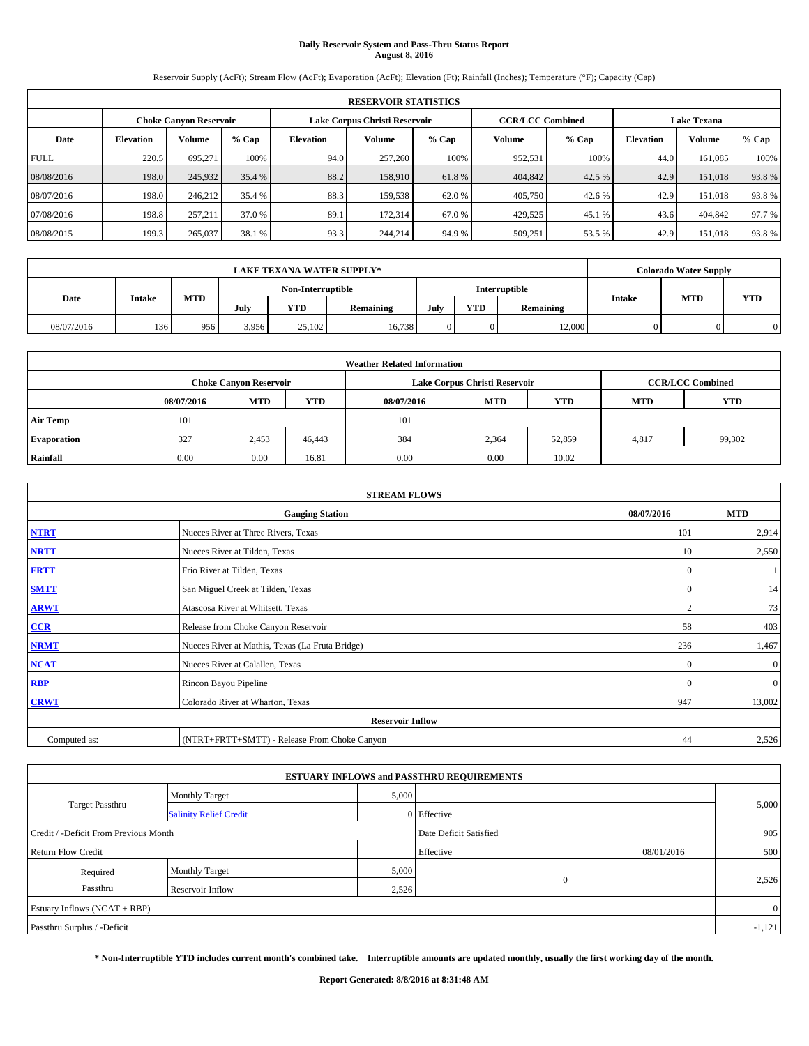# **Daily Reservoir System and Pass-Thru Status Report August 8, 2016**

Reservoir Supply (AcFt); Stream Flow (AcFt); Evaporation (AcFt); Elevation (Ft); Rainfall (Inches); Temperature (°F); Capacity (Cap)

| <b>RESERVOIR STATISTICS</b> |                               |               |        |           |                               |        |                                               |         |                  |               |        |
|-----------------------------|-------------------------------|---------------|--------|-----------|-------------------------------|--------|-----------------------------------------------|---------|------------------|---------------|--------|
|                             | <b>Choke Canyon Reservoir</b> |               |        |           | Lake Corpus Christi Reservoir |        | <b>Lake Texana</b><br><b>CCR/LCC Combined</b> |         |                  |               |        |
| Date                        | <b>Elevation</b>              | <b>Volume</b> | % Cap  | Elevation | Volume                        | % Cap  | Volume                                        | $%$ Cap | <b>Elevation</b> | <b>Volume</b> | % Cap  |
| <b>FULL</b>                 | 220.5                         | 695,271       | 100%   | 94.0      | 257,260                       | 100%   | 952.531                                       | 100%    | 44.0             | 161,085       | 100%   |
| 08/08/2016                  | 198.0                         | 245,932       | 35.4 % | 88.2      | 158,910                       | 61.8%  | 404,842                                       | 42.5 %  | 42.9             | 151,018       | 93.8%  |
| 08/07/2016                  | 198.0                         | 246.212       | 35.4 % | 88.3      | 159.538                       | 62.0 % | 405,750                                       | 42.6 %  | 42.9             | 151,018       | 93.8%  |
| 07/08/2016                  | 198.8                         | 257,211       | 37.0 % | 89.1      | 172.314                       | 67.0 % | 429,525                                       | 45.1 %  | 43.6             | 404,842       | 97.7 % |
| 08/08/2015                  | 199.3                         | 265,037       | 38.1 % | 93.3      | 244,214                       | 94.9 % | 509,251                                       | 53.5 %  | 42.9             | 151,018       | 93.8%  |

|            |        |            |                   | <b>LAKE TEXANA WATER SUPPLY*</b> |                  |               |            |           |               | <b>Colorado Water Supply</b> |            |
|------------|--------|------------|-------------------|----------------------------------|------------------|---------------|------------|-----------|---------------|------------------------------|------------|
|            |        |            | Non-Interruptible |                                  |                  | Interruptible |            |           |               |                              |            |
| Date       | Intake | <b>MTD</b> | July              | <b>YTD</b>                       | <b>Remaining</b> | July          | <b>YTD</b> | Remaining | <b>Intake</b> | <b>MTD</b>                   | <b>YTD</b> |
| 08/07/2016 | 136    | 956        | 3.956             | 25,102                           | 16.738           |               |            | 12,000    |               |                              |            |

|                    | <b>Weather Related Information</b> |                                                                                  |        |      |                               |                         |       |        |  |  |  |  |
|--------------------|------------------------------------|----------------------------------------------------------------------------------|--------|------|-------------------------------|-------------------------|-------|--------|--|--|--|--|
|                    |                                    | <b>Choke Canyon Reservoir</b>                                                    |        |      | Lake Corpus Christi Reservoir | <b>CCR/LCC Combined</b> |       |        |  |  |  |  |
|                    | 08/07/2016                         | <b>YTD</b><br><b>MTD</b><br><b>MTD</b><br><b>YTD</b><br>08/07/2016<br><b>MTD</b> |        |      |                               |                         |       |        |  |  |  |  |
| <b>Air Temp</b>    | 101                                |                                                                                  |        | 101  |                               |                         |       |        |  |  |  |  |
| <b>Evaporation</b> | 327                                | 2,453                                                                            | 46,443 | 384  | 2,364                         | 52,859                  | 4,817 | 99,302 |  |  |  |  |
| Rainfall           | 0.00                               | 0.00                                                                             | 16.81  | 0.00 | 0.00                          | 10.02                   |       |        |  |  |  |  |

| <b>STREAM FLOWS</b> |                                                 |                |              |  |  |  |  |  |
|---------------------|-------------------------------------------------|----------------|--------------|--|--|--|--|--|
|                     | <b>Gauging Station</b>                          | 08/07/2016     | <b>MTD</b>   |  |  |  |  |  |
| <b>NTRT</b>         | Nueces River at Three Rivers, Texas             | 101            | 2,914        |  |  |  |  |  |
| <b>NRTT</b>         | Nueces River at Tilden, Texas                   | 10             | 2,550        |  |  |  |  |  |
| <b>FRTT</b>         | Frio River at Tilden, Texas                     | $\mathbf{0}$   |              |  |  |  |  |  |
| <b>SMTT</b>         | San Miguel Creek at Tilden, Texas               | $\mathbf{0}$   | 14           |  |  |  |  |  |
| <b>ARWT</b>         | Atascosa River at Whitsett, Texas               | $\overline{2}$ | 73           |  |  |  |  |  |
| $CCR$               | Release from Choke Canyon Reservoir             | 58             | 403          |  |  |  |  |  |
| <b>NRMT</b>         | Nueces River at Mathis, Texas (La Fruta Bridge) | 236            | 1,467        |  |  |  |  |  |
| <b>NCAT</b>         | Nueces River at Calallen, Texas                 | $\mathbf{0}$   | $\mathbf{0}$ |  |  |  |  |  |
| RBP                 | Rincon Bayou Pipeline                           | $\Omega$       | $\mathbf{0}$ |  |  |  |  |  |
| <b>CRWT</b>         | Colorado River at Wharton, Texas                | 947            | 13,002       |  |  |  |  |  |
|                     | <b>Reservoir Inflow</b>                         |                |              |  |  |  |  |  |
| Computed as:        | (NTRT+FRTT+SMTT) - Release From Choke Canyon    | 44             | 2,526        |  |  |  |  |  |

|                                       |                               |       | <b>ESTUARY INFLOWS and PASSTHRU REQUIREMENTS</b> |            |                |
|---------------------------------------|-------------------------------|-------|--------------------------------------------------|------------|----------------|
|                                       | <b>Monthly Target</b>         | 5,000 |                                                  |            |                |
| Target Passthru                       | <b>Salinity Relief Credit</b> |       | 0 Effective                                      |            | 5,000          |
| Credit / -Deficit From Previous Month |                               |       | Date Deficit Satisfied                           |            | 905            |
| <b>Return Flow Credit</b>             |                               |       | Effective                                        | 08/01/2016 | 500            |
| Required                              | <b>Monthly Target</b>         | 5,000 |                                                  |            |                |
| Passthru                              | <b>Reservoir Inflow</b>       | 2,526 | $\Omega$                                         |            | 2,526          |
| Estuary Inflows (NCAT + RBP)          |                               |       |                                                  |            | $\overline{0}$ |
| Passthru Surplus / -Deficit           |                               |       |                                                  |            | $-1,121$       |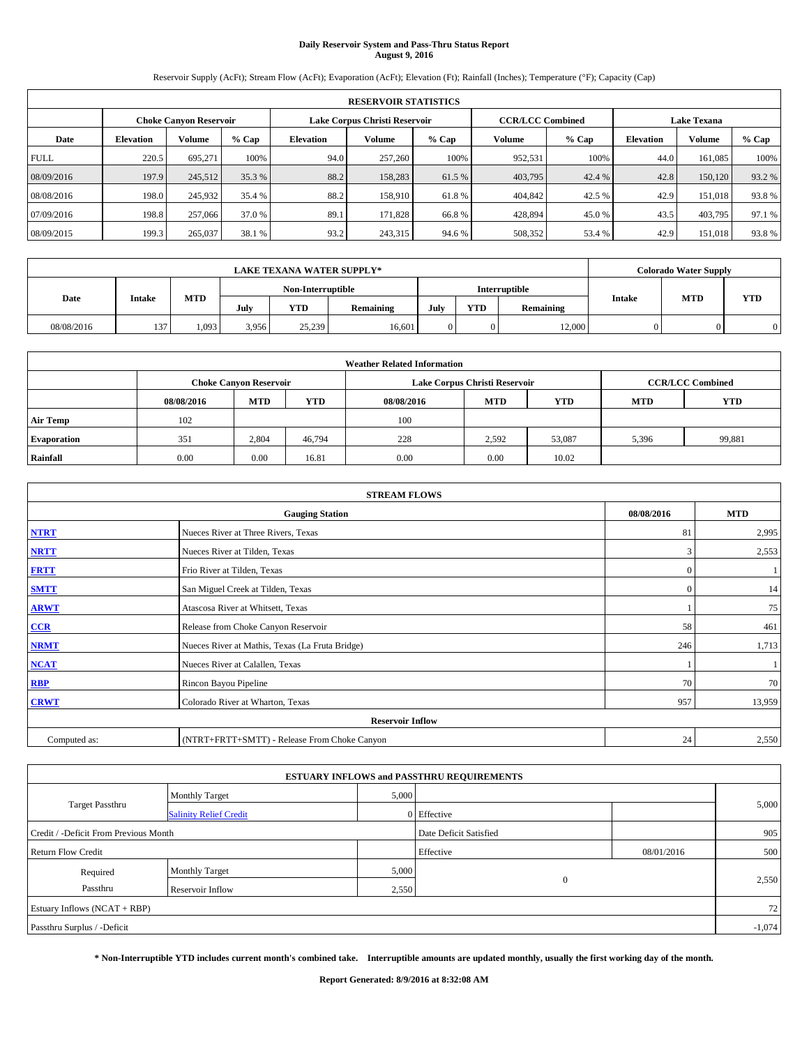# **Daily Reservoir System and Pass-Thru Status Report August 9, 2016**

Reservoir Supply (AcFt); Stream Flow (AcFt); Evaporation (AcFt); Elevation (Ft); Rainfall (Inches); Temperature (°F); Capacity (Cap)

|             | <b>RESERVOIR STATISTICS</b> |                               |        |           |                               |        |                         |         |                    |               |        |  |
|-------------|-----------------------------|-------------------------------|--------|-----------|-------------------------------|--------|-------------------------|---------|--------------------|---------------|--------|--|
|             |                             | <b>Choke Canyon Reservoir</b> |        |           | Lake Corpus Christi Reservoir |        | <b>CCR/LCC Combined</b> |         | <b>Lake Texana</b> |               |        |  |
| Date        | <b>Elevation</b>            | <b>Volume</b>                 | % Cap  | Elevation | Volume                        | % Cap  | Volume                  | $%$ Cap | <b>Elevation</b>   | <b>Volume</b> | % Cap  |  |
| <b>FULL</b> | 220.5                       | 695,271                       | 100%   | 94.0      | 257,260                       | 100%   | 952.531                 | 100%    | 44.0               | 161,085       | 100%   |  |
| 08/09/2016  | 197.9                       | 245,512                       | 35.3 % | 88.2      | 158,283                       | 61.5 % | 403,795                 | 42.4 %  | 42.8               | 150,120       | 93.2%  |  |
| 08/08/2016  | 198.0                       | 245.932                       | 35.4 % | 88.2      | 158,910                       | 61.8%  | 404,842                 | 42.5 %  | 42.9               | 151,018       | 93.8%  |  |
| 07/09/2016  | 198.8                       | 257,066                       | 37.0 % | 89.1      | 171.828                       | 66.8%  | 428.894                 | 45.0 %  | 43.5               | 403.795       | 97.1 % |  |
| 08/09/2015  | 199.3                       | 265,037                       | 38.1 % | 93.2      | 243,315                       | 94.6 % | 508,352                 | 53.4 %  | 42.9               | 151,018       | 93.8%  |  |

|            |        |            |       | <b>LAKE TEXANA WATER SUPPLY*</b> |           |      |            |               |               | <b>Colorado Water Supply</b> |            |
|------------|--------|------------|-------|----------------------------------|-----------|------|------------|---------------|---------------|------------------------------|------------|
|            |        |            |       | Non-Interruptible                |           |      |            | Interruptible |               | <b>MTD</b>                   |            |
| Date       | Intake | <b>MTD</b> | July  | <b>YTD</b>                       | Remaining | July | <b>YTD</b> | Remaining     | <b>Intake</b> |                              | <b>YTD</b> |
| 08/08/2016 | 137    | 1.093      | 3.956 | 25,239                           | 16.601    |      |            | 12,000        |               |                              |            |

|                    | <b>Weather Related Information</b> |                                                                                  |        |      |                               |                         |       |        |  |  |  |  |
|--------------------|------------------------------------|----------------------------------------------------------------------------------|--------|------|-------------------------------|-------------------------|-------|--------|--|--|--|--|
|                    |                                    | <b>Choke Canyon Reservoir</b>                                                    |        |      | Lake Corpus Christi Reservoir | <b>CCR/LCC Combined</b> |       |        |  |  |  |  |
|                    | 08/08/2016                         | <b>YTD</b><br><b>MTD</b><br><b>MTD</b><br><b>YTD</b><br>08/08/2016<br><b>MTD</b> |        |      |                               |                         |       |        |  |  |  |  |
| <b>Air Temp</b>    | 102                                |                                                                                  |        | 100  |                               |                         |       |        |  |  |  |  |
| <b>Evaporation</b> | 351                                | 2,804                                                                            | 46.794 | 228  | 2,592                         | 53,087                  | 5,396 | 99,881 |  |  |  |  |
| Rainfall           | 0.00                               | 0.00                                                                             | 16.81  | 0.00 | 0.00                          | 10.02                   |       |        |  |  |  |  |

| <b>STREAM FLOWS</b> |                                                 |              |            |  |  |  |  |  |
|---------------------|-------------------------------------------------|--------------|------------|--|--|--|--|--|
|                     | <b>Gauging Station</b>                          | 08/08/2016   | <b>MTD</b> |  |  |  |  |  |
| <b>NTRT</b>         | Nueces River at Three Rivers, Texas             | 81           | 2,995      |  |  |  |  |  |
| <b>NRTT</b>         | Nueces River at Tilden, Texas                   | 3            | 2,553      |  |  |  |  |  |
| <b>FRTT</b>         | Frio River at Tilden, Texas                     | $\mathbf{0}$ |            |  |  |  |  |  |
| <b>SMTT</b>         | San Miguel Creek at Tilden, Texas               | $\mathbf{0}$ | 14         |  |  |  |  |  |
| <b>ARWT</b>         | Atascosa River at Whitsett, Texas               |              | 75         |  |  |  |  |  |
| $CCR$               | Release from Choke Canyon Reservoir             | 58           | 461        |  |  |  |  |  |
| <b>NRMT</b>         | Nueces River at Mathis, Texas (La Fruta Bridge) | 246          | 1,713      |  |  |  |  |  |
| <b>NCAT</b>         | Nueces River at Calallen, Texas                 |              |            |  |  |  |  |  |
| RBP                 | Rincon Bayou Pipeline                           | 70           | 70         |  |  |  |  |  |
| <b>CRWT</b>         | Colorado River at Wharton, Texas                | 957          | 13,959     |  |  |  |  |  |
|                     | <b>Reservoir Inflow</b>                         |              |            |  |  |  |  |  |
| Computed as:        | (NTRT+FRTT+SMTT) - Release From Choke Canyon    | 24           | 2,550      |  |  |  |  |  |

|                                       |                               |       | <b>ESTUARY INFLOWS and PASSTHRU REQUIREMENTS</b> |            |          |
|---------------------------------------|-------------------------------|-------|--------------------------------------------------|------------|----------|
|                                       | <b>Monthly Target</b>         | 5,000 |                                                  |            |          |
| <b>Target Passthru</b>                | <b>Salinity Relief Credit</b> |       | 0 Effective                                      |            | 5,000    |
| Credit / -Deficit From Previous Month |                               |       | Date Deficit Satisfied                           |            | 905      |
| <b>Return Flow Credit</b>             |                               |       | Effective                                        | 08/01/2016 | 500      |
| Required                              | <b>Monthly Target</b>         | 5,000 |                                                  |            |          |
| Passthru                              | Reservoir Inflow              | 2,550 | $\Omega$                                         |            | 2,550    |
| Estuary Inflows (NCAT + RBP)          |                               |       |                                                  |            | 72       |
| Passthru Surplus / -Deficit           |                               |       |                                                  |            | $-1,074$ |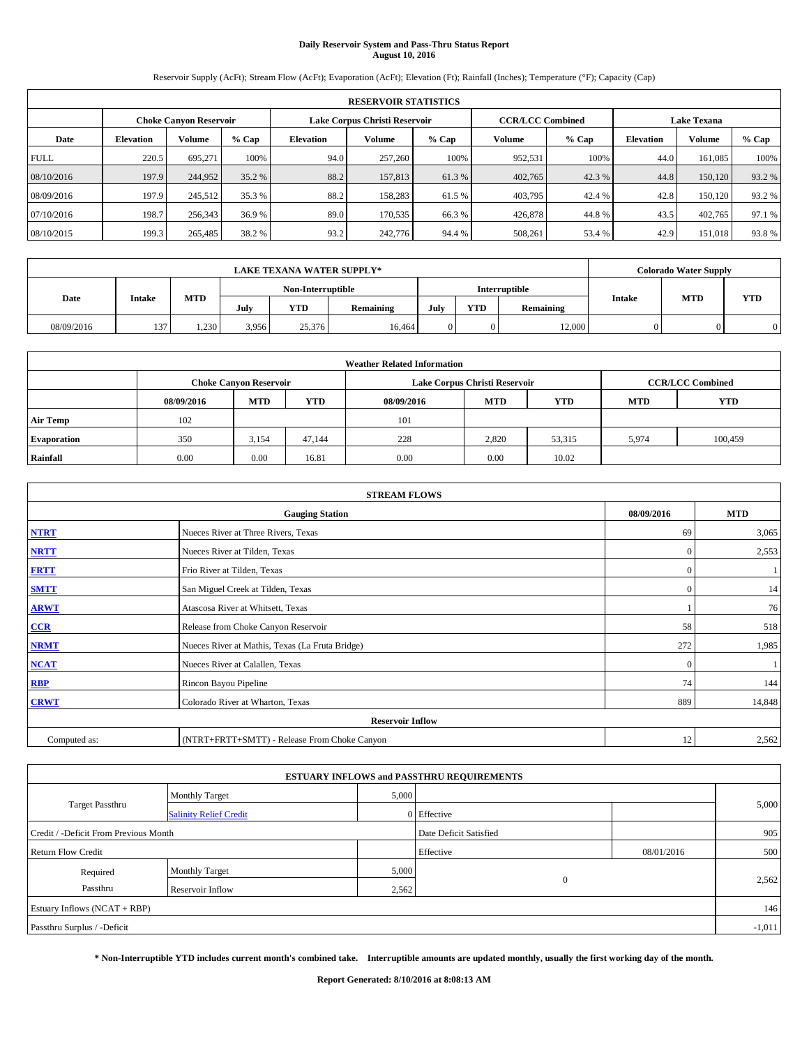# **Daily Reservoir System and Pass-Thru Status Report August 10, 2016**

Reservoir Supply (AcFt); Stream Flow (AcFt); Evaporation (AcFt); Elevation (Ft); Rainfall (Inches); Temperature (°F); Capacity (Cap)

|             | <b>RESERVOIR STATISTICS</b> |                               |        |           |                               |        |                         |         |                    |               |        |  |
|-------------|-----------------------------|-------------------------------|--------|-----------|-------------------------------|--------|-------------------------|---------|--------------------|---------------|--------|--|
|             |                             | <b>Choke Canyon Reservoir</b> |        |           | Lake Corpus Christi Reservoir |        | <b>CCR/LCC Combined</b> |         | <b>Lake Texana</b> |               |        |  |
| Date        | <b>Elevation</b>            | <b>Volume</b>                 | % Cap  | Elevation | Volume                        | % Cap  | Volume                  | $%$ Cap | <b>Elevation</b>   | <b>Volume</b> | % Cap  |  |
| <b>FULL</b> | 220.5                       | 695,271                       | 100%   | 94.0      | 257,260                       | 100%   | 952.531                 | 100%    | 44.0               | 161,085       | 100%   |  |
| 08/10/2016  | 197.9                       | 244,952                       | 35.2 % | 88.2      | 157,813                       | 61.3%  | 402,765                 | 42.3 %  | 44.8               | 150,120       | 93.2%  |  |
| 08/09/2016  | 197.9                       | 245.512                       | 35.3 % | 88.2      | 158.283                       | 61.5 % | 403,795                 | 42.4 %  | 42.8               | 150,120       | 93.2 % |  |
| 07/10/2016  | 198.7                       | 256,343                       | 36.9 % | 89.0      | 170.535                       | 66.3%  | 426,878                 | 44.8%   | 43.5               | 402,765       | 97.1 % |  |
| 08/10/2015  | 199.3                       | 265,485                       | 38.2 % | 93.2      | 242,776                       | 94.4 % | 508,261                 | 53.4 %  | 42.9               | 151,018       | 93.8%  |  |

|            |        |            |                   | <b>LAKE TEXANA WATER SUPPLY*</b> |           |               |            |           |               | <b>Colorado Water Supply</b> |            |  |  |
|------------|--------|------------|-------------------|----------------------------------|-----------|---------------|------------|-----------|---------------|------------------------------|------------|--|--|
|            |        |            | Non-Interruptible |                                  |           | Interruptible |            |           |               |                              |            |  |  |
| Date       | Intake | <b>MTD</b> | July              | <b>YTD</b>                       | Remaining | July          | <b>YTD</b> | Remaining | <b>Intake</b> | <b>MTD</b>                   | <b>YTD</b> |  |  |
| 08/09/2016 | 137    | 1,230      | 3.956             | 25,376                           | 16.464    |               |            | 12,000    |               |                              |            |  |  |

|                    | <b>Weather Related Information</b> |                                                                                  |        |      |                               |                         |       |         |  |  |  |  |
|--------------------|------------------------------------|----------------------------------------------------------------------------------|--------|------|-------------------------------|-------------------------|-------|---------|--|--|--|--|
|                    |                                    | <b>Choke Canyon Reservoir</b>                                                    |        |      | Lake Corpus Christi Reservoir | <b>CCR/LCC Combined</b> |       |         |  |  |  |  |
|                    | 08/09/2016                         | <b>YTD</b><br><b>MTD</b><br><b>MTD</b><br><b>YTD</b><br>08/09/2016<br><b>MTD</b> |        |      |                               |                         |       |         |  |  |  |  |
| <b>Air Temp</b>    | 102                                |                                                                                  |        | 101  |                               |                         |       |         |  |  |  |  |
| <b>Evaporation</b> | 350                                | 3,154                                                                            | 47.144 | 228  | 2,820                         | 53,315                  | 5,974 | 100.459 |  |  |  |  |
| Rainfall           | 0.00                               | 0.00                                                                             | 16.81  | 0.00 | 0.00                          | 10.02                   |       |         |  |  |  |  |

| <b>STREAM FLOWS</b> |                                                 |              |        |  |  |  |  |  |  |  |
|---------------------|-------------------------------------------------|--------------|--------|--|--|--|--|--|--|--|
|                     | <b>Gauging Station</b>                          |              |        |  |  |  |  |  |  |  |
| <b>NTRT</b>         | Nueces River at Three Rivers, Texas             | -69          | 3,065  |  |  |  |  |  |  |  |
| <b>NRTT</b>         | Nueces River at Tilden, Texas                   | $\mathbf{0}$ | 2,553  |  |  |  |  |  |  |  |
| <b>FRTT</b>         | Frio River at Tilden, Texas                     | $\mathbf{0}$ |        |  |  |  |  |  |  |  |
| <b>SMTT</b>         | San Miguel Creek at Tilden, Texas               | $\mathbf{0}$ | 14     |  |  |  |  |  |  |  |
| <b>ARWT</b>         | Atascosa River at Whitsett, Texas               |              | 76     |  |  |  |  |  |  |  |
| $CCR$               | Release from Choke Canyon Reservoir             | 58           | 518    |  |  |  |  |  |  |  |
| <b>NRMT</b>         | Nueces River at Mathis, Texas (La Fruta Bridge) | 272          | 1,985  |  |  |  |  |  |  |  |
| <b>NCAT</b>         | Nueces River at Calallen, Texas                 | $\mathbf{0}$ |        |  |  |  |  |  |  |  |
| RBP                 | Rincon Bayou Pipeline                           | 74           | 144    |  |  |  |  |  |  |  |
| <b>CRWT</b>         | Colorado River at Wharton, Texas                | 889          | 14,848 |  |  |  |  |  |  |  |
|                     |                                                 |              |        |  |  |  |  |  |  |  |
| Computed as:        | (NTRT+FRTT+SMTT) - Release From Choke Canyon    | 12           | 2,562  |  |  |  |  |  |  |  |

| <b>ESTUARY INFLOWS and PASSTHRU REQUIREMENTS</b> |                               |       |                        |            |          |  |  |  |  |  |
|--------------------------------------------------|-------------------------------|-------|------------------------|------------|----------|--|--|--|--|--|
|                                                  | <b>Monthly Target</b>         | 5,000 |                        |            |          |  |  |  |  |  |
| <b>Target Passthru</b>                           | <b>Salinity Relief Credit</b> |       | 0 Effective            |            | 5,000    |  |  |  |  |  |
| Credit / -Deficit From Previous Month            |                               |       | Date Deficit Satisfied |            | 905      |  |  |  |  |  |
| <b>Return Flow Credit</b>                        |                               |       | Effective              | 08/01/2016 | 500      |  |  |  |  |  |
| Required                                         | <b>Monthly Target</b>         | 5,000 |                        |            |          |  |  |  |  |  |
| Passthru                                         | Reservoir Inflow              | 2,562 | $\Omega$               |            | 2,562    |  |  |  |  |  |
| Estuary Inflows (NCAT + RBP)                     |                               |       |                        |            |          |  |  |  |  |  |
| Passthru Surplus / -Deficit                      |                               |       |                        |            | $-1,011$ |  |  |  |  |  |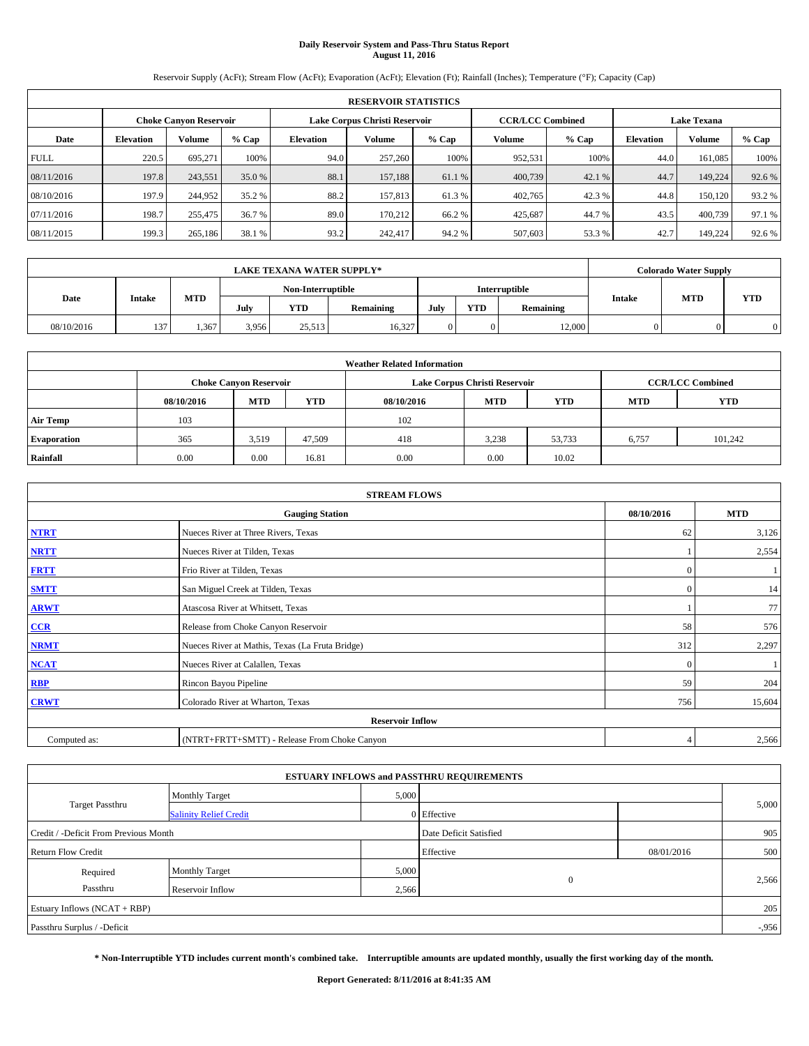# **Daily Reservoir System and Pass-Thru Status Report August 11, 2016**

Reservoir Supply (AcFt); Stream Flow (AcFt); Evaporation (AcFt); Elevation (Ft); Rainfall (Inches); Temperature (°F); Capacity (Cap)

| <b>RESERVOIR STATISTICS</b> |                  |                               |        |           |                               |        |                         |         |                    |               |        |
|-----------------------------|------------------|-------------------------------|--------|-----------|-------------------------------|--------|-------------------------|---------|--------------------|---------------|--------|
|                             |                  | <b>Choke Canyon Reservoir</b> |        |           | Lake Corpus Christi Reservoir |        | <b>CCR/LCC Combined</b> |         | <b>Lake Texana</b> |               |        |
| Date                        | <b>Elevation</b> | <b>Volume</b>                 | % Cap  | Elevation | Volume                        | % Cap  | Volume                  | $%$ Cap | <b>Elevation</b>   | <b>Volume</b> | % Cap  |
| <b>FULL</b>                 | 220.5            | 695,271                       | 100%   | 94.0      | 257,260                       | 100%   | 952.531                 | 100%    | 44.0               | 161,085       | 100%   |
| 08/11/2016                  | 197.8            | 243,551                       | 35.0 % | 88.1      | 157.188                       | 61.1 % | 400,739                 | 42.1 %  | 44.7               | 149.224       | 92.6%  |
| 08/10/2016                  | 197.9            | 244,952                       | 35.2 % | 88.2      | 157,813                       | 61.3 % | 402,765                 | 42.3 %  | 44.8               | 150,120       | 93.2 % |
| 07/11/2016                  | 198.7            | 255,475                       | 36.7 % | 89.0      | 170.212                       | 66.2 % | 425.687                 | 44.7 %  | 43.5               | 400,739       | 97.1 % |
| 08/11/2015                  | 199.3            | 265,186                       | 38.1 % | 93.2      | 242,417                       | 94.2 % | 507,603                 | 53.3 %  | 42.7               | 149.224       | 92.6%  |

| <b>LAKE TEXANA WATER SUPPLY*</b> |        |      |            |                   |            |               |      | <b>Colorado Water Supply</b> |           |               |            |            |
|----------------------------------|--------|------|------------|-------------------|------------|---------------|------|------------------------------|-----------|---------------|------------|------------|
|                                  |        |      |            | Non-Interruptible |            | Interruptible |      |                              |           |               |            |            |
| Date                             | Intake |      | <b>MTD</b> | July              | <b>YTD</b> | Remaining     | July | <b>YTD</b>                   | Remaining | <b>Intake</b> | <b>MTD</b> | <b>YTD</b> |
| 08/10/2016                       | 137    | .367 | 3.956      | 25.513            | 16.327     |               |      | 12,000                       |           |               |            |            |

| <b>Weather Related Information</b> |            |                               |            |            |                               |                         |            |            |  |  |
|------------------------------------|------------|-------------------------------|------------|------------|-------------------------------|-------------------------|------------|------------|--|--|
|                                    |            | <b>Choke Canyon Reservoir</b> |            |            | Lake Corpus Christi Reservoir | <b>CCR/LCC Combined</b> |            |            |  |  |
|                                    | 08/10/2016 | <b>MTD</b>                    | <b>YTD</b> | 08/10/2016 | <b>MTD</b>                    | <b>YTD</b>              | <b>MTD</b> | <b>YTD</b> |  |  |
| <b>Air Temp</b>                    | 103        |                               |            | 102        |                               |                         |            |            |  |  |
| <b>Evaporation</b>                 | 365        | 3,519                         | 47,509     | 418        | 3.238                         | 53,733                  | 6,757      | 101.242    |  |  |
| Rainfall                           | 0.00       | 0.00                          | 16.81      | 0.00       | 0.00                          | 10.02                   |            |            |  |  |

| <b>STREAM FLOWS</b> |                                                                         |              |        |  |  |  |  |  |  |  |
|---------------------|-------------------------------------------------------------------------|--------------|--------|--|--|--|--|--|--|--|
|                     | <b>Gauging Station</b>                                                  |              |        |  |  |  |  |  |  |  |
| <b>NTRT</b>         | Nueces River at Three Rivers, Texas                                     | 62           | 3,126  |  |  |  |  |  |  |  |
| <b>NRTT</b>         | Nueces River at Tilden, Texas                                           |              | 2,554  |  |  |  |  |  |  |  |
| <b>FRTT</b>         | Frio River at Tilden, Texas                                             | $\mathbf{0}$ |        |  |  |  |  |  |  |  |
| <b>SMTT</b>         | San Miguel Creek at Tilden, Texas                                       | $\mathbf{0}$ | 14     |  |  |  |  |  |  |  |
| <b>ARWT</b>         | Atascosa River at Whitsett, Texas                                       |              | 77     |  |  |  |  |  |  |  |
| $CCR$               | Release from Choke Canyon Reservoir                                     | 58           | 576    |  |  |  |  |  |  |  |
| <b>NRMT</b>         | Nueces River at Mathis, Texas (La Fruta Bridge)                         | 312          | 2,297  |  |  |  |  |  |  |  |
| <b>NCAT</b>         | Nueces River at Calallen, Texas                                         | $\Omega$     |        |  |  |  |  |  |  |  |
| RBP                 | Rincon Bayou Pipeline                                                   | 59           | 204    |  |  |  |  |  |  |  |
| <b>CRWT</b>         | Colorado River at Wharton, Texas                                        | 756          | 15,604 |  |  |  |  |  |  |  |
|                     |                                                                         |              |        |  |  |  |  |  |  |  |
| Computed as:        | <b>Reservoir Inflow</b><br>(NTRT+FRTT+SMTT) - Release From Choke Canyon |              |        |  |  |  |  |  |  |  |

| <b>ESTUARY INFLOWS and PASSTHRU REQUIREMENTS</b> |                               |           |                        |     |          |  |  |  |  |  |
|--------------------------------------------------|-------------------------------|-----------|------------------------|-----|----------|--|--|--|--|--|
|                                                  | <b>Monthly Target</b>         | 5,000     |                        |     |          |  |  |  |  |  |
| <b>Target Passthru</b>                           | <b>Salinity Relief Credit</b> |           | 0 Effective            |     | 5,000    |  |  |  |  |  |
| Credit / -Deficit From Previous Month            |                               |           | Date Deficit Satisfied |     | 905      |  |  |  |  |  |
| <b>Return Flow Credit</b>                        |                               | Effective | 08/01/2016             | 500 |          |  |  |  |  |  |
| Required                                         | <b>Monthly Target</b>         | 5,000     |                        |     |          |  |  |  |  |  |
| Passthru                                         | Reservoir Inflow              | 2,566     | $\theta$               |     | 2,566    |  |  |  |  |  |
| Estuary Inflows (NCAT + RBP)                     |                               |           |                        |     | 205      |  |  |  |  |  |
| Passthru Surplus / -Deficit                      |                               |           |                        |     | $-0.956$ |  |  |  |  |  |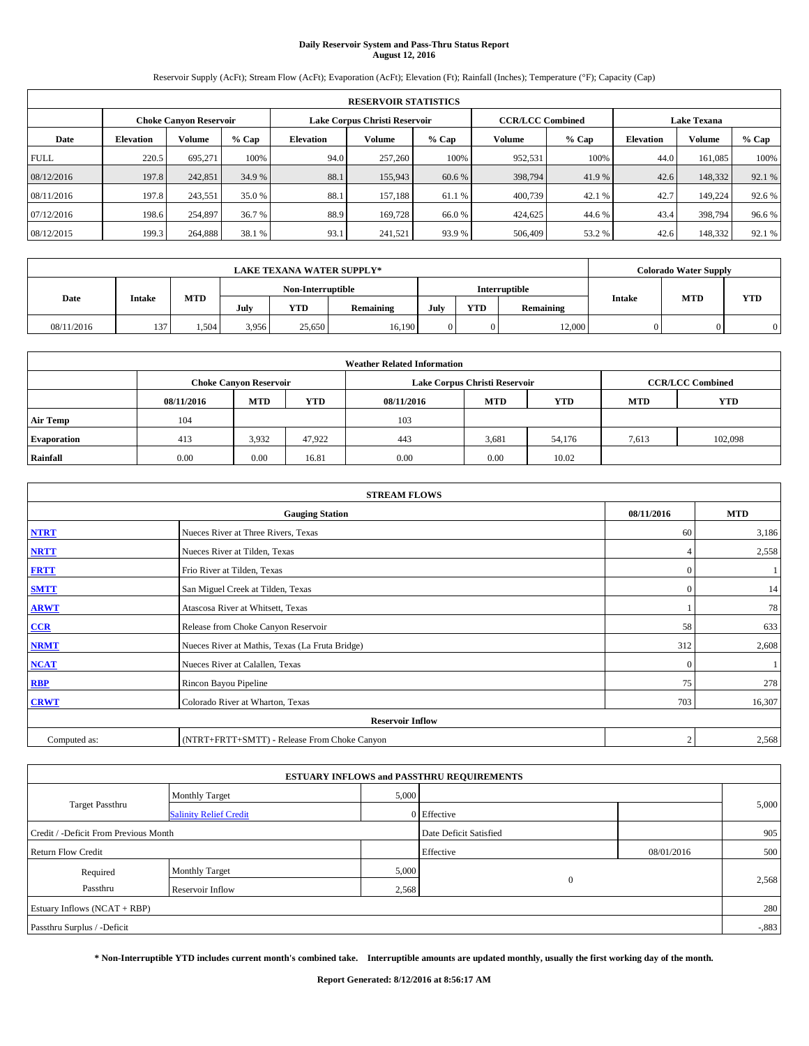# **Daily Reservoir System and Pass-Thru Status Report August 12, 2016**

Reservoir Supply (AcFt); Stream Flow (AcFt); Evaporation (AcFt); Elevation (Ft); Rainfall (Inches); Temperature (°F); Capacity (Cap)

| <b>RESERVOIR STATISTICS</b> |                  |                               |        |           |                               |        |                         |         |                  |                    |        |
|-----------------------------|------------------|-------------------------------|--------|-----------|-------------------------------|--------|-------------------------|---------|------------------|--------------------|--------|
|                             |                  | <b>Choke Canyon Reservoir</b> |        |           | Lake Corpus Christi Reservoir |        | <b>CCR/LCC Combined</b> |         |                  | <b>Lake Texana</b> |        |
| Date                        | <b>Elevation</b> | <b>Volume</b>                 | % Cap  | Elevation | Volume                        | % Cap  | Volume                  | $%$ Cap | <b>Elevation</b> | <b>Volume</b>      | % Cap  |
| <b>FULL</b>                 | 220.5            | 695,271                       | 100%   | 94.0      | 257,260                       | 100%   | 952.531                 | 100%    | 44.0             | 161,085            | 100%   |
| 08/12/2016                  | 197.8            | 242,851                       | 34.9 % | 88.1      | 155,943                       | 60.6 % | 398,794                 | 41.9%   | 42.6             | 148,332            | 92.1 % |
| 08/11/2016                  | 197.8            | 243.551                       | 35.0 % | 88.1      | 157.188                       | 61.1 % | 400,739                 | 42.1 %  | 42.7             | 149.224            | 92.6 % |
| 07/12/2016                  | 198.6            | 254.897                       | 36.7 % | 88.9      | 169,728                       | 66.0%  | 424,625                 | 44.6 %  | 43.4             | 398,794            | 96.6%  |
| 08/12/2015                  | 199.3            | 264,888                       | 38.1 % | 93.1      | 241,521                       | 93.9 % | 506,409                 | 53.2%   | 42.6             | 148,332            | 92.1 % |

| <b>LAKE TEXANA WATER SUPPLY*</b> |        |      |            |                   |            |               |      | <b>Colorado Water Supply</b> |           |               |            |            |
|----------------------------------|--------|------|------------|-------------------|------------|---------------|------|------------------------------|-----------|---------------|------------|------------|
|                                  |        |      |            | Non-Interruptible |            | Interruptible |      |                              |           |               |            |            |
| Date                             | Intake |      | <b>MTD</b> | July              | <b>YTD</b> | Remaining     | July | <b>YTD</b>                   | Remaining | <b>Intake</b> | <b>MTD</b> | <b>YTD</b> |
| 08/11/2016                       | 137    | .504 | 3.956      | 25.650            | 16.190     |               |      | 12,000                       |           |               |            |            |

| <b>Weather Related Information</b> |            |                               |            |            |                               |                         |            |            |  |  |
|------------------------------------|------------|-------------------------------|------------|------------|-------------------------------|-------------------------|------------|------------|--|--|
|                                    |            | <b>Choke Canyon Reservoir</b> |            |            | Lake Corpus Christi Reservoir | <b>CCR/LCC Combined</b> |            |            |  |  |
|                                    | 08/11/2016 | <b>MTD</b>                    | <b>YTD</b> | 08/11/2016 | <b>MTD</b>                    | <b>YTD</b>              | <b>MTD</b> | <b>YTD</b> |  |  |
| <b>Air Temp</b>                    | 104        |                               |            | 103        |                               |                         |            |            |  |  |
| <b>Evaporation</b>                 | 413        | 3,932                         | 47.922     | 443        | 3,681                         | 54,176                  | 7,613      | 102,098    |  |  |
| Rainfall                           | 0.00       | 0.00                          | 16.81      | 0.00       | 0.00                          | 10.02                   |            |            |  |  |

| <b>STREAM FLOWS</b> |                                                                         |              |        |  |  |  |  |  |  |  |
|---------------------|-------------------------------------------------------------------------|--------------|--------|--|--|--|--|--|--|--|
|                     | <b>Gauging Station</b>                                                  |              |        |  |  |  |  |  |  |  |
| <b>NTRT</b>         | Nueces River at Three Rivers, Texas                                     | 60           | 3,186  |  |  |  |  |  |  |  |
| <b>NRTT</b>         | Nueces River at Tilden, Texas                                           | 4            | 2,558  |  |  |  |  |  |  |  |
| <b>FRTT</b>         | Frio River at Tilden, Texas                                             | $\mathbf{0}$ |        |  |  |  |  |  |  |  |
| <b>SMTT</b>         | San Miguel Creek at Tilden, Texas                                       | $\mathbf{0}$ | 14     |  |  |  |  |  |  |  |
| <b>ARWT</b>         | Atascosa River at Whitsett, Texas                                       |              | 78     |  |  |  |  |  |  |  |
| $CCR$               | Release from Choke Canyon Reservoir                                     | 58           | 633    |  |  |  |  |  |  |  |
| <b>NRMT</b>         | Nueces River at Mathis, Texas (La Fruta Bridge)                         | 312          | 2,608  |  |  |  |  |  |  |  |
| <b>NCAT</b>         | Nueces River at Calallen, Texas                                         | $\Omega$     |        |  |  |  |  |  |  |  |
| RBP                 | Rincon Bayou Pipeline                                                   | 75           | 278    |  |  |  |  |  |  |  |
| <b>CRWT</b>         | Colorado River at Wharton, Texas                                        | 703          | 16,307 |  |  |  |  |  |  |  |
|                     |                                                                         |              |        |  |  |  |  |  |  |  |
| Computed as:        | <b>Reservoir Inflow</b><br>(NTRT+FRTT+SMTT) - Release From Choke Canyon |              |        |  |  |  |  |  |  |  |

| <b>ESTUARY INFLOWS and PASSTHRU REQUIREMENTS</b> |                               |                        |             |            |          |  |  |  |  |  |
|--------------------------------------------------|-------------------------------|------------------------|-------------|------------|----------|--|--|--|--|--|
|                                                  | <b>Monthly Target</b>         | 5,000                  |             |            |          |  |  |  |  |  |
| <b>Target Passthru</b>                           | <b>Salinity Relief Credit</b> |                        | 0 Effective |            | 5,000    |  |  |  |  |  |
| Credit / -Deficit From Previous Month            |                               | Date Deficit Satisfied |             | 905        |          |  |  |  |  |  |
| <b>Return Flow Credit</b>                        |                               |                        | Effective   | 08/01/2016 | 500      |  |  |  |  |  |
| Required                                         | <b>Monthly Target</b>         | 5,000                  |             |            |          |  |  |  |  |  |
| Passthru                                         | Reservoir Inflow              | 2,568                  | $\theta$    |            | 2,568    |  |  |  |  |  |
| Estuary Inflows (NCAT + RBP)                     |                               |                        |             |            | 280      |  |  |  |  |  |
| Passthru Surplus / -Deficit                      |                               |                        |             |            | $-0.883$ |  |  |  |  |  |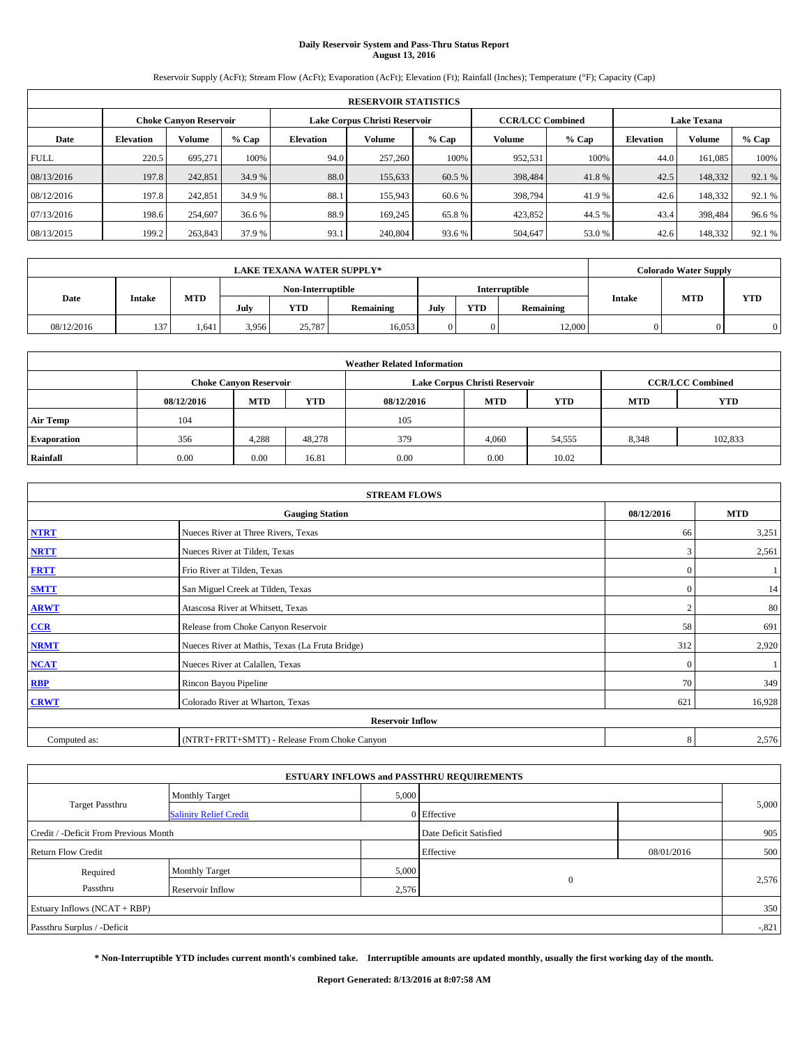# **Daily Reservoir System and Pass-Thru Status Report August 13, 2016**

Reservoir Supply (AcFt); Stream Flow (AcFt); Evaporation (AcFt); Elevation (Ft); Rainfall (Inches); Temperature (°F); Capacity (Cap)

|             | <b>RESERVOIR STATISTICS</b> |                               |        |           |                               |         |                         |                    |                  |         |        |
|-------------|-----------------------------|-------------------------------|--------|-----------|-------------------------------|---------|-------------------------|--------------------|------------------|---------|--------|
|             |                             | <b>Choke Canyon Reservoir</b> |        |           | Lake Corpus Christi Reservoir |         | <b>CCR/LCC Combined</b> | <b>Lake Texana</b> |                  |         |        |
| Date        | <b>Elevation</b>            | Volume                        | % Cap  | Elevation | Volume                        | $%$ Cap | Volume                  | $%$ Cap            | <b>Elevation</b> | Volume  | % Cap  |
| <b>FULL</b> | 220.5                       | 695,271                       | 100%   | 94.0      | 257,260                       | 100%    | 952,531                 | 100%               | 44.0             | 161.085 | 100%   |
| 08/13/2016  | 197.8                       | 242,851                       | 34.9 % | 88.0      | 155,633                       | 60.5 %  | 398,484                 | 41.8%              | 42.5             | 148,332 | 92.1 % |
| 08/12/2016  | 197.8                       | 242,851                       | 34.9 % | 88.1      | 155,943                       | 60.6 %  | 398,794                 | 41.9 %             | 42.6             | 148,332 | 92.1 % |
| 07/13/2016  | 198.6                       | 254,607                       | 36.6 % | 88.9      | 169,245                       | 65.8%   | 423,852                 | 44.5 %             | 43.4             | 398,484 | 96.6%  |
| 08/13/2015  | 199.2                       | 263,843                       | 37.9 % | 93.1      | 240,804                       | 93.6%   | 504,647                 | 53.0 %             | 42.6             | 148,332 | 92.1 % |

|            | <b>LAKE TEXANA WATER SUPPLY*</b> |            |                   |            |           |      |            |               |               |            | <b>Colorado Water Supply</b> |  |  |
|------------|----------------------------------|------------|-------------------|------------|-----------|------|------------|---------------|---------------|------------|------------------------------|--|--|
|            |                                  |            | Non-Interruptible |            |           |      |            | Interruptible |               |            |                              |  |  |
| Date       | Intake                           | <b>MTD</b> | July              | <b>YTD</b> | Remaining | July | <b>YTD</b> | Remaining     | <b>Intake</b> | <b>MTD</b> | <b>YTD</b>                   |  |  |
| 08/12/2016 | 137                              | 1.641      | 3.956             | 25,787     | 16.053    |      |            | 12,000        |               |            |                              |  |  |

| <b>Weather Related Information</b> |            |                               |            |            |                               |            |            |                         |  |  |
|------------------------------------|------------|-------------------------------|------------|------------|-------------------------------|------------|------------|-------------------------|--|--|
|                                    |            | <b>Choke Canyon Reservoir</b> |            |            | Lake Corpus Christi Reservoir |            |            | <b>CCR/LCC Combined</b> |  |  |
|                                    | 08/12/2016 | <b>MTD</b>                    | <b>YTD</b> | 08/12/2016 | <b>MTD</b>                    | <b>YTD</b> | <b>MTD</b> | <b>YTD</b>              |  |  |
| <b>Air Temp</b>                    | 104        |                               |            | 105        |                               |            |            |                         |  |  |
| <b>Evaporation</b>                 | 356        | 4,288                         | 48,278     | 379        | 4,060                         | 54,555     | 8,348      | 102,833                 |  |  |
| Rainfall                           | 0.00       | 0.00                          | 16.81      | 0.00       | 0.00                          | 10.02      |            |                         |  |  |

| <b>STREAM FLOWS</b> |                                                 |              |            |  |  |  |  |  |  |
|---------------------|-------------------------------------------------|--------------|------------|--|--|--|--|--|--|
|                     | <b>Gauging Station</b>                          | 08/12/2016   | <b>MTD</b> |  |  |  |  |  |  |
| <b>NTRT</b>         | Nueces River at Three Rivers, Texas             | 66           | 3,251      |  |  |  |  |  |  |
| <b>NRTT</b>         | Nueces River at Tilden, Texas                   | 3            | 2,561      |  |  |  |  |  |  |
| <b>FRTT</b>         | Frio River at Tilden, Texas                     | $\mathbf{0}$ |            |  |  |  |  |  |  |
| <b>SMTT</b>         | San Miguel Creek at Tilden, Texas               | $\mathbf{0}$ | 14         |  |  |  |  |  |  |
| <b>ARWT</b>         | Atascosa River at Whitsett, Texas               | $\bigcap$    | 80         |  |  |  |  |  |  |
| $CCR$               | Release from Choke Canyon Reservoir             | 58           | 691        |  |  |  |  |  |  |
| <b>NRMT</b>         | Nueces River at Mathis, Texas (La Fruta Bridge) | 312          | 2,920      |  |  |  |  |  |  |
| <b>NCAT</b>         | Nueces River at Calallen, Texas                 | $\Omega$     |            |  |  |  |  |  |  |
| RBP                 | Rincon Bayou Pipeline                           | 70           | 349        |  |  |  |  |  |  |
| <b>CRWT</b>         | Colorado River at Wharton, Texas                | 621          | 16,928     |  |  |  |  |  |  |
|                     | <b>Reservoir Inflow</b>                         |              |            |  |  |  |  |  |  |
| Computed as:        | (NTRT+FRTT+SMTT) - Release From Choke Canyon    | 8            | 2,576      |  |  |  |  |  |  |

|                                       |                               |                        | <b>ESTUARY INFLOWS and PASSTHRU REQUIREMENTS</b> |            |       |  |  |  |
|---------------------------------------|-------------------------------|------------------------|--------------------------------------------------|------------|-------|--|--|--|
|                                       | <b>Monthly Target</b>         | 5,000                  |                                                  |            |       |  |  |  |
| <b>Target Passthru</b>                | <b>Salinity Relief Credit</b> |                        | 0 Effective                                      |            | 5,000 |  |  |  |
| Credit / -Deficit From Previous Month |                               | Date Deficit Satisfied |                                                  | 905        |       |  |  |  |
| <b>Return Flow Credit</b>             |                               |                        | Effective                                        | 08/01/2016 | 500   |  |  |  |
| Required                              | <b>Monthly Target</b>         | 5,000                  |                                                  |            |       |  |  |  |
| Passthru                              | Reservoir Inflow              | 2,576                  | $\theta$                                         |            | 2,576 |  |  |  |
| Estuary Inflows (NCAT + RBP)          |                               |                        |                                                  |            | 350   |  |  |  |
| Passthru Surplus / -Deficit           |                               |                        |                                                  |            |       |  |  |  |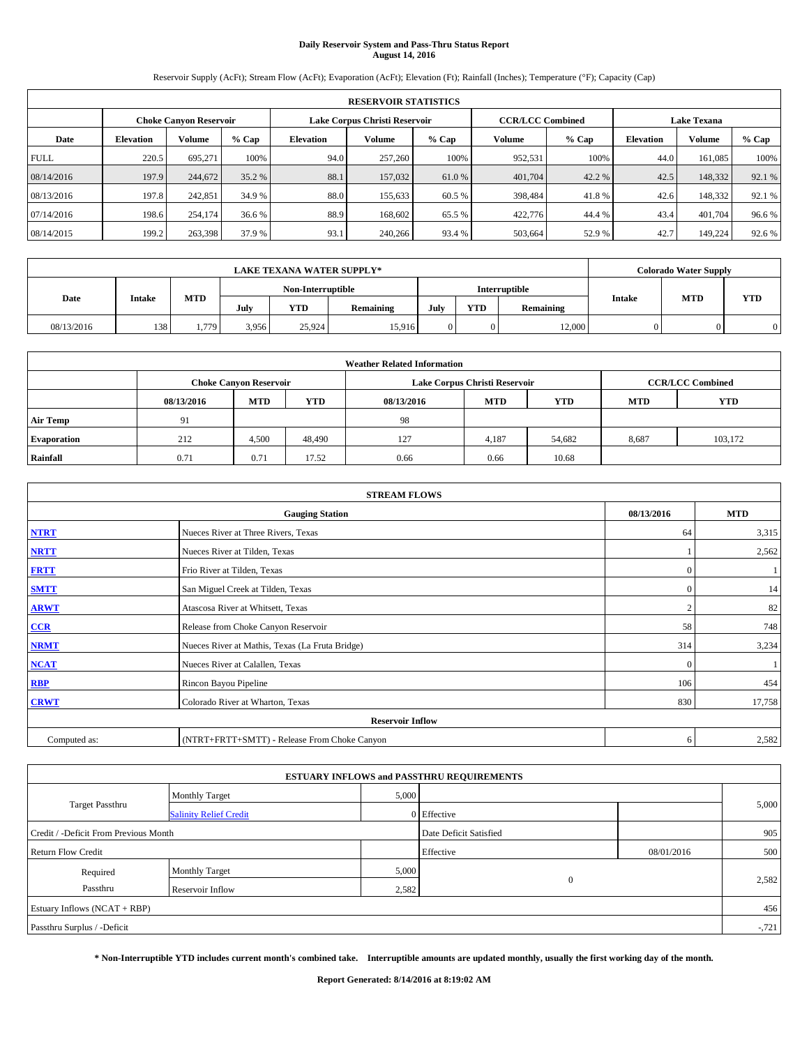# **Daily Reservoir System and Pass-Thru Status Report August 14, 2016**

Reservoir Supply (AcFt); Stream Flow (AcFt); Evaporation (AcFt); Elevation (Ft); Rainfall (Inches); Temperature (°F); Capacity (Cap)

|             | <b>RESERVOIR STATISTICS</b> |                               |        |                                                          |         |        |         |         |                  |                    |        |  |
|-------------|-----------------------------|-------------------------------|--------|----------------------------------------------------------|---------|--------|---------|---------|------------------|--------------------|--------|--|
|             |                             | <b>Choke Canyon Reservoir</b> |        | Lake Corpus Christi Reservoir<br><b>CCR/LCC Combined</b> |         |        |         |         |                  | <b>Lake Texana</b> |        |  |
| Date        | <b>Elevation</b>            | <b>Volume</b>                 | % Cap  | Elevation                                                | Volume  | % Cap  | Volume  | $%$ Cap | <b>Elevation</b> | <b>Volume</b>      | % Cap  |  |
| <b>FULL</b> | 220.5                       | 695,271                       | 100%   | 94.0                                                     | 257,260 | 100%   | 952.531 | 100%    | 44.0             | 161,085            | 100%   |  |
| 08/14/2016  | 197.9                       | 244,672                       | 35.2 % | 88.1                                                     | 157,032 | 61.0 % | 401,704 | 42.2 %  | 42.5             | 148,332            | 92.1 % |  |
| 08/13/2016  | 197.8                       | 242,851                       | 34.9 % | 88.0                                                     | 155.633 | 60.5 % | 398,484 | 41.8%   | 42.6             | 148.332            | 92.1 % |  |
| 07/14/2016  | 198.6                       | 254,174                       | 36.6 % | 88.9                                                     | 168,602 | 65.5 % | 422,776 | 44.4 %  | 43.4             | 401.704            | 96.6%  |  |
| 08/14/2015  | 199.2                       | 263,398                       | 37.9 % | 93.1                                                     | 240,266 | 93.4 % | 503,664 | 52.9 %  | 42.7             | 149.224            | 92.6%  |  |

|            | <b>LAKE TEXANA WATER SUPPLY*</b> |            |                   |            |           |               |            |           |               |            | <b>Colorado Water Supply</b> |  |  |
|------------|----------------------------------|------------|-------------------|------------|-----------|---------------|------------|-----------|---------------|------------|------------------------------|--|--|
|            |                                  |            | Non-Interruptible |            |           | Interruptible |            |           |               |            |                              |  |  |
| Date       | Intake                           | <b>MTD</b> | July              | <b>YTD</b> | Remaining | July          | <b>YTD</b> | Remaining | <b>Intake</b> | <b>MTD</b> | <b>YTD</b>                   |  |  |
| 08/13/2016 | 138                              | 1.779      | 3.956             | 25.924     | 15.916    |               |            | 12,000    |               |            |                              |  |  |

| <b>Weather Related Information</b>                                               |      |                               |        |      |                               |        |            |                         |  |  |
|----------------------------------------------------------------------------------|------|-------------------------------|--------|------|-------------------------------|--------|------------|-------------------------|--|--|
|                                                                                  |      | <b>Choke Canyon Reservoir</b> |        |      | Lake Corpus Christi Reservoir |        |            | <b>CCR/LCC Combined</b> |  |  |
| <b>YTD</b><br><b>MTD</b><br><b>MTD</b><br><b>YTD</b><br>08/13/2016<br>08/13/2016 |      |                               |        |      |                               |        | <b>MTD</b> | <b>YTD</b>              |  |  |
| <b>Air Temp</b>                                                                  | 91   |                               |        | -98  |                               |        |            |                         |  |  |
| <b>Evaporation</b>                                                               | 212  | 4,500                         | 48,490 | 127  | 4,187                         | 54,682 | 8,687      | 103.172                 |  |  |
| Rainfall                                                                         | 0.71 | 0.71                          | 17.52  | 0.66 | 0.66                          | 10.68  |            |                         |  |  |

| <b>STREAM FLOWS</b> |                                                 |              |            |  |  |  |  |  |  |
|---------------------|-------------------------------------------------|--------------|------------|--|--|--|--|--|--|
|                     | <b>Gauging Station</b>                          | 08/13/2016   | <b>MTD</b> |  |  |  |  |  |  |
| <b>NTRT</b>         | Nueces River at Three Rivers, Texas             | 64           | 3,315      |  |  |  |  |  |  |
| <b>NRTT</b>         | Nueces River at Tilden, Texas                   |              | 2,562      |  |  |  |  |  |  |
| <b>FRTT</b>         | Frio River at Tilden, Texas                     | $\mathbf{0}$ |            |  |  |  |  |  |  |
| <b>SMTT</b>         | San Miguel Creek at Tilden, Texas               | $\mathbf{0}$ | 14         |  |  |  |  |  |  |
| <b>ARWT</b>         | Atascosa River at Whitsett, Texas               | $\bigcap$    | 82         |  |  |  |  |  |  |
| $CCR$               | Release from Choke Canyon Reservoir             | 58           | 748        |  |  |  |  |  |  |
| <b>NRMT</b>         | Nueces River at Mathis, Texas (La Fruta Bridge) | 314          | 3,234      |  |  |  |  |  |  |
| <b>NCAT</b>         | Nueces River at Calallen, Texas                 | $\Omega$     |            |  |  |  |  |  |  |
| RBP                 | Rincon Bayou Pipeline                           | 106          | 454        |  |  |  |  |  |  |
| <b>CRWT</b>         | Colorado River at Wharton, Texas                | 830          | 17,758     |  |  |  |  |  |  |
|                     | <b>Reservoir Inflow</b>                         |              |            |  |  |  |  |  |  |
| Computed as:        | (NTRT+FRTT+SMTT) - Release From Choke Canyon    |              |            |  |  |  |  |  |  |

|                                       |                               |                        | <b>ESTUARY INFLOWS and PASSTHRU REQUIREMENTS</b> |            |        |
|---------------------------------------|-------------------------------|------------------------|--------------------------------------------------|------------|--------|
|                                       | <b>Monthly Target</b>         | 5,000                  |                                                  |            |        |
| <b>Target Passthru</b>                | <b>Salinity Relief Credit</b> |                        | 0 Effective                                      |            | 5,000  |
| Credit / -Deficit From Previous Month |                               | Date Deficit Satisfied |                                                  | 905        |        |
| <b>Return Flow Credit</b>             |                               |                        | Effective                                        | 08/01/2016 | 500    |
| Required                              | <b>Monthly Target</b>         | 5,000                  |                                                  |            |        |
| Passthru<br>Reservoir Inflow          |                               |                        | $\theta$<br>2,582                                |            | 2,582  |
| Estuary Inflows (NCAT + RBP)          |                               |                        |                                                  |            | 456    |
| Passthru Surplus / -Deficit           |                               |                        |                                                  |            | $-721$ |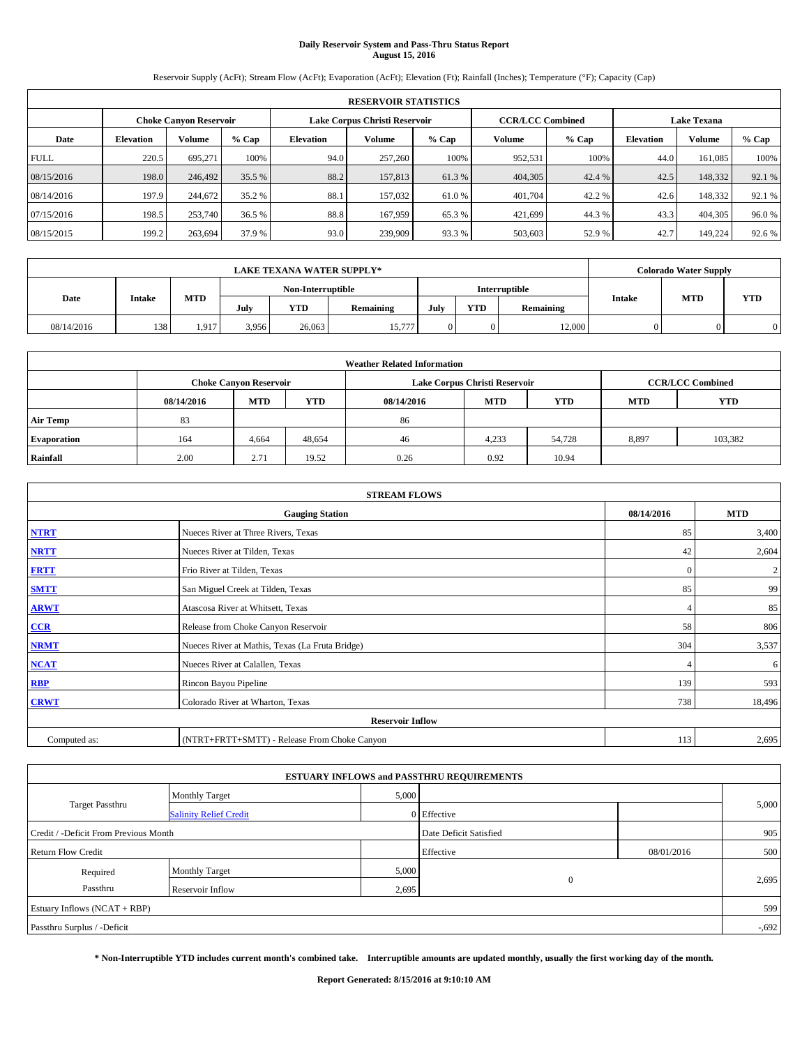# **Daily Reservoir System and Pass-Thru Status Report August 15, 2016**

Reservoir Supply (AcFt); Stream Flow (AcFt); Evaporation (AcFt); Elevation (Ft); Rainfall (Inches); Temperature (°F); Capacity (Cap)

|             | <b>RESERVOIR STATISTICS</b> |                               |        |           |                               |        |                         |                    |                  |               |        |
|-------------|-----------------------------|-------------------------------|--------|-----------|-------------------------------|--------|-------------------------|--------------------|------------------|---------------|--------|
|             |                             | <b>Choke Canyon Reservoir</b> |        |           | Lake Corpus Christi Reservoir |        | <b>CCR/LCC Combined</b> | <b>Lake Texana</b> |                  |               |        |
| Date        | <b>Elevation</b>            | <b>Volume</b>                 | % Cap  | Elevation | Volume                        | % Cap  | Volume                  | $%$ Cap            | <b>Elevation</b> | <b>Volume</b> | % Cap  |
| <b>FULL</b> | 220.5                       | 695,271                       | 100%   | 94.0      | 257,260                       | 100%   | 952.531                 | 100%               | 44.0             | 161,085       | 100%   |
| 08/15/2016  | 198.0                       | 246,492                       | 35.5 % | 88.2      | 157,813                       | 61.3%  | 404,305                 | 42.4 %             | 42.5             | 148,332       | 92.1 % |
| 08/14/2016  | 197.9                       | 244,672                       | 35.2 % | 88.1      | 157,032                       | 61.0 % | 401.704                 | 42.2 %             | 42.6             | 148.332       | 92.1 % |
| 07/15/2016  | 198.5                       | 253,740                       | 36.5 % | 88.8      | 167,959                       | 65.3%  | 421.699                 | 44.3 %             | 43.3             | 404,305       | 96.0%  |
| 08/15/2015  | 199.2                       | 263,694                       | 37.9 % | 93.0      | 239,909                       | 93.3 % | 503,603                 | 52.9 %             | 42.7             | 149.224       | 92.6%  |

|            | <b>LAKE TEXANA WATER SUPPLY*</b> |            |       |                   |           |      |            |               |               |            | <b>Colorado Water Supply</b> |  |  |  |
|------------|----------------------------------|------------|-------|-------------------|-----------|------|------------|---------------|---------------|------------|------------------------------|--|--|--|
|            |                                  |            |       | Non-Interruptible |           |      |            | Interruptible |               |            |                              |  |  |  |
| Date       | <b>Intake</b>                    | <b>MTD</b> | July  | <b>YTD</b>        | Remaining | July | <b>YTD</b> | Remaining     | <b>Intake</b> | <b>MTD</b> | <b>YTD</b>                   |  |  |  |
| 08/14/2016 | 138                              | 1.917      | 3.956 | 26,063            | 15,777    |      |            | 12,000        |               |            |                              |  |  |  |

| <b>Weather Related Information</b> |            |                               |            |            |                               |                         |            |            |  |
|------------------------------------|------------|-------------------------------|------------|------------|-------------------------------|-------------------------|------------|------------|--|
|                                    |            | <b>Choke Canyon Reservoir</b> |            |            | Lake Corpus Christi Reservoir | <b>CCR/LCC Combined</b> |            |            |  |
|                                    | 08/14/2016 | <b>MTD</b>                    | <b>YTD</b> | 08/14/2016 | <b>MTD</b>                    | <b>YTD</b>              | <b>MTD</b> | <b>YTD</b> |  |
| <b>Air Temp</b>                    | 83         |                               |            | 86         |                               |                         |            |            |  |
| <b>Evaporation</b>                 | 164        | 4,664                         | 48,654     | 46         | 4,233                         | 54.728                  | 8,897      | 103.382    |  |
| Rainfall                           | 2.00       | 2.71                          | 19.52      | 0.26       | 0.92                          | 10.94                   |            |            |  |

| <b>STREAM FLOWS</b> |                                                 |              |              |  |  |  |  |  |  |
|---------------------|-------------------------------------------------|--------------|--------------|--|--|--|--|--|--|
|                     | 08/14/2016                                      | <b>MTD</b>   |              |  |  |  |  |  |  |
| <b>NTRT</b>         | Nueces River at Three Rivers, Texas             | 85           | 3,400        |  |  |  |  |  |  |
| <b>NRTT</b>         | Nueces River at Tilden, Texas                   | 42           | 2,604        |  |  |  |  |  |  |
| <b>FRTT</b>         | Frio River at Tilden, Texas                     | $\mathbf{0}$ | $\mathbf{2}$ |  |  |  |  |  |  |
| <b>SMTT</b>         | San Miguel Creek at Tilden, Texas               | 85           | 99           |  |  |  |  |  |  |
| <b>ARWT</b>         | Atascosa River at Whitsett, Texas               | 4            | 85           |  |  |  |  |  |  |
| $CCR$               | Release from Choke Canyon Reservoir             | 58           | 806          |  |  |  |  |  |  |
| <b>NRMT</b>         | Nueces River at Mathis, Texas (La Fruta Bridge) | 304          | 3,537        |  |  |  |  |  |  |
| <b>NCAT</b>         | Nueces River at Calallen, Texas                 |              | 6            |  |  |  |  |  |  |
| RBP                 | Rincon Bayou Pipeline                           | 139          | 593          |  |  |  |  |  |  |
| <b>CRWT</b>         | Colorado River at Wharton, Texas                | 738          | 18,496       |  |  |  |  |  |  |
|                     | <b>Reservoir Inflow</b>                         |              |              |  |  |  |  |  |  |
| Computed as:        | 113                                             | 2,695        |              |  |  |  |  |  |  |

|                                       |                               |       | <b>ESTUARY INFLOWS and PASSTHRU REQUIREMENTS</b> |            |          |
|---------------------------------------|-------------------------------|-------|--------------------------------------------------|------------|----------|
|                                       | <b>Monthly Target</b>         | 5,000 |                                                  |            |          |
| <b>Target Passthru</b>                | <b>Salinity Relief Credit</b> |       | 0 Effective                                      |            | 5,000    |
| Credit / -Deficit From Previous Month |                               |       | Date Deficit Satisfied                           |            | 905      |
| <b>Return Flow Credit</b>             |                               |       | Effective                                        | 08/01/2016 | 500      |
| Required                              | <b>Monthly Target</b>         | 5,000 |                                                  |            |          |
| Passthru                              | Reservoir Inflow              | 2,695 | $\overline{0}$                                   |            | 2,695    |
| Estuary Inflows (NCAT + RBP)          |                               |       |                                                  |            | 599      |
| Passthru Surplus / -Deficit           |                               |       |                                                  |            | $-0.692$ |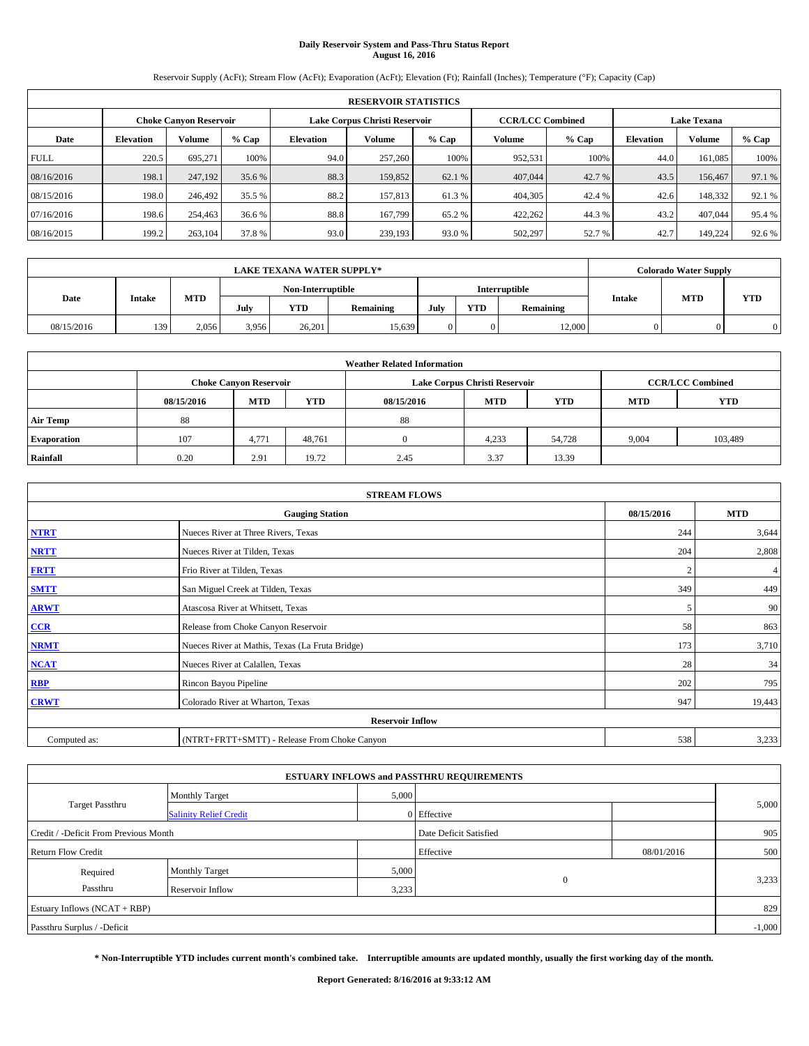# **Daily Reservoir System and Pass-Thru Status Report August 16, 2016**

Reservoir Supply (AcFt); Stream Flow (AcFt); Evaporation (AcFt); Elevation (Ft); Rainfall (Inches); Temperature (°F); Capacity (Cap)

| <b>RESERVOIR STATISTICS</b> |                  |                               |        |           |                               |         |                         |         |                    |         |        |
|-----------------------------|------------------|-------------------------------|--------|-----------|-------------------------------|---------|-------------------------|---------|--------------------|---------|--------|
|                             |                  | <b>Choke Canvon Reservoir</b> |        |           | Lake Corpus Christi Reservoir |         | <b>CCR/LCC Combined</b> |         | <b>Lake Texana</b> |         |        |
| Date                        | <b>Elevation</b> | <b>Volume</b>                 | % Cap  | Elevation | Volume                        | $%$ Cap | Volume                  | $%$ Cap | <b>Elevation</b>   | Volume  | % Cap  |
| <b>FULL</b>                 | 220.5            | 695.271                       | 100%   | 94.0      | 257,260                       | 100%    | 952,531                 | 100%    | 44.0               | 161.085 | 100%   |
| 08/16/2016                  | 198.1            | 247,192                       | 35.6 % | 88.3      | 159,852                       | 62.1 %  | 407,044                 | 42.7 %  | 43.5               | 156,467 | 97.1 % |
| 08/15/2016                  | 198.0            | 246,492                       | 35.5 % | 88.2      | 157,813                       | 61.3%   | 404,305                 | 42.4 %  | 42.6               | 148.332 | 92.1 % |
| 07/16/2016                  | 198.6            | 254,463                       | 36.6 % | 88.8      | 167,799                       | 65.2 %  | 422.262                 | 44.3 %  | 43.2               | 407,044 | 95.4%  |
| 08/16/2015                  | 199.2            | 263,104                       | 37.8%  | 93.0      | 239,193                       | 93.0%   | 502,297                 | 52.7 %  | 42.7               | 149,224 | 92.6 % |

| <b>LAKE TEXANA WATER SUPPLY*</b> |               |            |       |                   |           |      |            |               | <b>Colorado Water Supply</b> |            |
|----------------------------------|---------------|------------|-------|-------------------|-----------|------|------------|---------------|------------------------------|------------|
|                                  |               |            |       | Non-Interruptible |           |      |            | Interruptible |                              | <b>YTD</b> |
| Date                             | <b>Intake</b> | <b>MTD</b> | July  | <b>YTD</b>        | Remaining | July | <b>YTD</b> | Remaining     | <b>MTD</b><br><b>Intake</b>  |            |
| 08/15/2016                       | 139           | 2.056      | 3.956 | 26,201            | 15,639    |      |            | 12,000        |                              |            |

| <b>Weather Related Information</b> |            |                               |            |            |                               |                         |            |            |  |
|------------------------------------|------------|-------------------------------|------------|------------|-------------------------------|-------------------------|------------|------------|--|
|                                    |            | <b>Choke Canyon Reservoir</b> |            |            | Lake Corpus Christi Reservoir | <b>CCR/LCC Combined</b> |            |            |  |
|                                    | 08/15/2016 | <b>MTD</b>                    | <b>YTD</b> | 08/15/2016 | <b>MTD</b>                    | <b>YTD</b>              | <b>MTD</b> | <b>YTD</b> |  |
| <b>Air Temp</b>                    | 88         |                               |            | 88         |                               |                         |            |            |  |
| <b>Evaporation</b>                 | 107        | 4,771                         | 48.761     |            | 4,233                         | 54,728                  | 9,004      | 103,489    |  |
| Rainfall                           | 0.20       | 2.91                          | 19.72      | 2.45       | 3.37                          | 13.39                   |            |            |  |

| <b>STREAM FLOWS</b> |                                                 |            |        |  |  |  |  |  |  |
|---------------------|-------------------------------------------------|------------|--------|--|--|--|--|--|--|
|                     | 08/15/2016                                      | <b>MTD</b> |        |  |  |  |  |  |  |
| <b>NTRT</b>         | Nueces River at Three Rivers, Texas             | 244        | 3,644  |  |  |  |  |  |  |
| <b>NRTT</b>         | Nueces River at Tilden, Texas                   | 204        | 2,808  |  |  |  |  |  |  |
| <b>FRTT</b>         | Frio River at Tilden, Texas                     |            | 4      |  |  |  |  |  |  |
| <b>SMTT</b>         | San Miguel Creek at Tilden, Texas               | 349        | 449    |  |  |  |  |  |  |
| <b>ARWT</b>         | Atascosa River at Whitsett, Texas               | 5          | 90     |  |  |  |  |  |  |
| $CCR$               | Release from Choke Canyon Reservoir             | 58         | 863    |  |  |  |  |  |  |
| <b>NRMT</b>         | Nueces River at Mathis, Texas (La Fruta Bridge) | 173        | 3,710  |  |  |  |  |  |  |
| <b>NCAT</b>         | Nueces River at Calallen, Texas                 | 28         | 34     |  |  |  |  |  |  |
| RBP                 | Rincon Bayou Pipeline                           | 202        | 795    |  |  |  |  |  |  |
| <b>CRWT</b>         | Colorado River at Wharton, Texas                | 947        | 19,443 |  |  |  |  |  |  |
|                     | <b>Reservoir Inflow</b>                         |            |        |  |  |  |  |  |  |
| Computed as:        | (NTRT+FRTT+SMTT) - Release From Choke Canyon    | 538        | 3,233  |  |  |  |  |  |  |

|                                       |                               |       | <b>ESTUARY INFLOWS and PASSTHRU REQUIREMENTS</b> |            |       |  |  |  |
|---------------------------------------|-------------------------------|-------|--------------------------------------------------|------------|-------|--|--|--|
|                                       | <b>Monthly Target</b>         | 5,000 |                                                  |            |       |  |  |  |
| <b>Target Passthru</b>                | <b>Salinity Relief Credit</b> |       | 0 Effective                                      |            | 5,000 |  |  |  |
| Credit / -Deficit From Previous Month |                               |       | Date Deficit Satisfied                           |            | 905   |  |  |  |
| <b>Return Flow Credit</b>             |                               |       | Effective                                        | 08/01/2016 | 500   |  |  |  |
| Required                              | <b>Monthly Target</b>         | 5,000 |                                                  |            |       |  |  |  |
| Passthru                              | Reservoir Inflow              | 3,233 | $\Omega$                                         |            | 3,233 |  |  |  |
| Estuary Inflows (NCAT + RBP)          |                               |       |                                                  |            |       |  |  |  |
| Passthru Surplus / -Deficit           |                               |       |                                                  |            |       |  |  |  |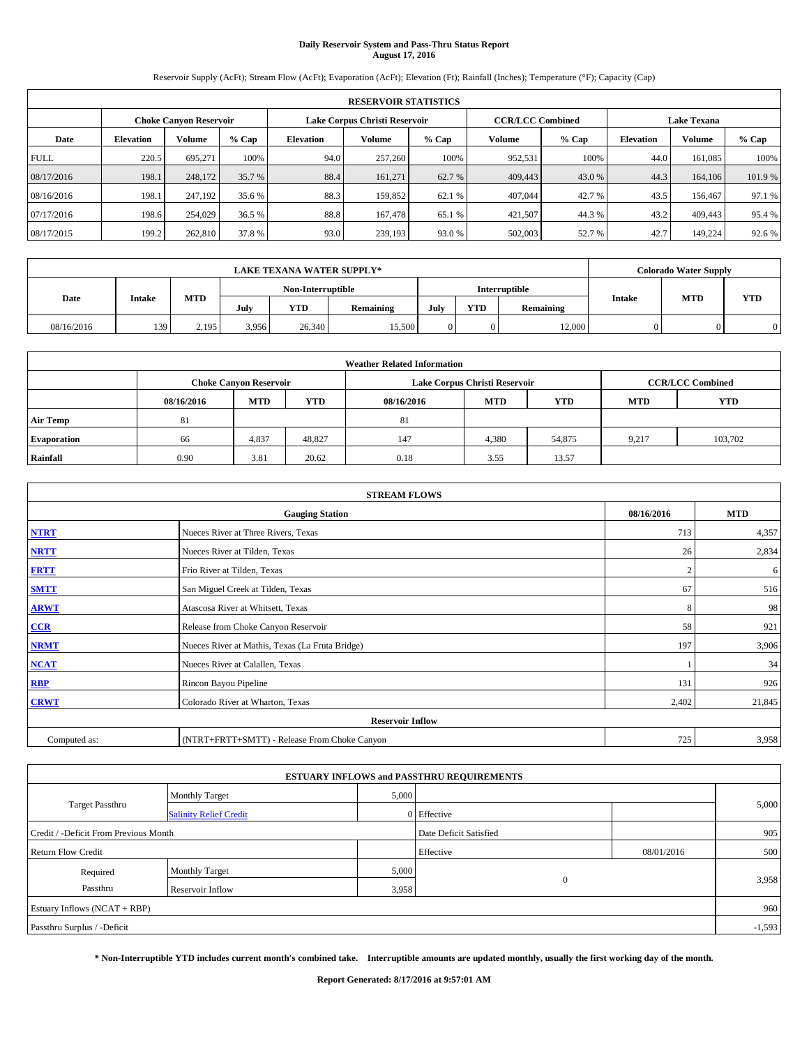# **Daily Reservoir System and Pass-Thru Status Report August 17, 2016**

Reservoir Supply (AcFt); Stream Flow (AcFt); Evaporation (AcFt); Elevation (Ft); Rainfall (Inches); Temperature (°F); Capacity (Cap)

|             | <b>RESERVOIR STATISTICS</b> |                               |         |                  |                               |         |                         |         |                  |                    |         |
|-------------|-----------------------------|-------------------------------|---------|------------------|-------------------------------|---------|-------------------------|---------|------------------|--------------------|---------|
|             |                             | <b>Choke Canyon Reservoir</b> |         |                  | Lake Corpus Christi Reservoir |         | <b>CCR/LCC Combined</b> |         |                  | <b>Lake Texana</b> |         |
| Date        | <b>Elevation</b>            | Volume                        | $%$ Cap | <b>Elevation</b> | Volume                        | $%$ Cap | Volume                  | $%$ Cap | <b>Elevation</b> | <b>Volume</b>      | $%$ Cap |
| <b>FULL</b> | 220.5                       | 695.271                       | 100%    | 94.0             | 257,260                       | 100%    | 952,531                 | 100%    | 44.0             | 161.085            | 100%    |
| 08/17/2016  | 198.1                       | 248,172                       | 35.7 %  | 88.4             | 161,271                       | 62.7 %  | 409,443                 | 43.0 %  | 44.3             | 164,106            | 101.9%  |
| 08/16/2016  | 198.1                       | 247.192                       | 35.6 %  | 88.3             | 159,852                       | 62.1 %  | 407,044                 | 42.7 %  | 43.5             | 156,467            | 97.1 %  |
| 07/17/2016  | 198.6                       | 254,029                       | 36.5 %  | 88.8             | 167,478                       | 65.1 %  | 421.507                 | 44.3 %  | 43.2             | 409,443            | 95.4 %  |
| 08/17/2015  | 199.2                       | 262,810                       | 37.8 %  | 93.0             | 239,193                       | 93.0%   | 502,003                 | 52.7 %  | 42.7             | 149.224            | 92.6 %  |

| <b>LAKE TEXANA WATER SUPPLY*</b> |               |            |       |                   |           |      |            |               |               | <b>Colorado Water Supply</b> |            |
|----------------------------------|---------------|------------|-------|-------------------|-----------|------|------------|---------------|---------------|------------------------------|------------|
|                                  |               |            |       | Non-Interruptible |           |      |            | Interruptible |               |                              |            |
| Date                             | <b>Intake</b> | <b>MTD</b> | July  | <b>YTD</b>        | Remaining | July | <b>YTD</b> | Remaining     | <b>Intake</b> | <b>MTD</b>                   | <b>YTD</b> |
| 08/16/2016                       | 139           | 2.195      | 3.956 | 26,340            | 15,500    |      |            | 12,000        |               |                              |            |

| <b>Weather Related Information</b> |            |                               |            |            |                               |                         |            |            |  |
|------------------------------------|------------|-------------------------------|------------|------------|-------------------------------|-------------------------|------------|------------|--|
|                                    |            | <b>Choke Canyon Reservoir</b> |            |            | Lake Corpus Christi Reservoir | <b>CCR/LCC Combined</b> |            |            |  |
|                                    | 08/16/2016 | <b>MTD</b>                    | <b>YTD</b> | 08/16/2016 | <b>MTD</b>                    | <b>YTD</b>              | <b>MTD</b> | <b>YTD</b> |  |
| <b>Air Temp</b>                    | 81         |                               |            | 81         |                               |                         |            |            |  |
| <b>Evaporation</b>                 | 66         | 4,837                         | 48,827     | 147        | 4,380                         | 54,875                  | 9.217      | 103.702    |  |
| Rainfall                           | 0.90       | 3.81                          | 20.62      | 0.18       | 3.55                          | 13.57                   |            |            |  |

| <b>STREAM FLOWS</b> |                                                 |                |        |  |  |  |  |  |  |
|---------------------|-------------------------------------------------|----------------|--------|--|--|--|--|--|--|
|                     | 08/16/2016                                      | <b>MTD</b>     |        |  |  |  |  |  |  |
| <b>NTRT</b>         | Nueces River at Three Rivers, Texas             | 713            | 4,357  |  |  |  |  |  |  |
| <b>NRTT</b>         | Nueces River at Tilden, Texas                   | 26             | 2,834  |  |  |  |  |  |  |
| <b>FRTT</b>         | Frio River at Tilden, Texas                     | $\overline{2}$ | 6      |  |  |  |  |  |  |
| <b>SMTT</b>         | San Miguel Creek at Tilden, Texas               | 67             | 516    |  |  |  |  |  |  |
| <b>ARWT</b>         | Atascosa River at Whitsett, Texas               | 8              | 98     |  |  |  |  |  |  |
| $CCR$               | Release from Choke Canyon Reservoir             | 58             | 921    |  |  |  |  |  |  |
| <b>NRMT</b>         | Nueces River at Mathis, Texas (La Fruta Bridge) | 197            | 3,906  |  |  |  |  |  |  |
| <b>NCAT</b>         | Nueces River at Calallen, Texas                 |                | 34     |  |  |  |  |  |  |
| RBP                 | Rincon Bayou Pipeline                           | 131            | 926    |  |  |  |  |  |  |
| <b>CRWT</b>         | Colorado River at Wharton, Texas                | 2,402          | 21,845 |  |  |  |  |  |  |
|                     | <b>Reservoir Inflow</b>                         |                |        |  |  |  |  |  |  |
| Computed as:        | (NTRT+FRTT+SMTT) - Release From Choke Canyon    | 725            | 3,958  |  |  |  |  |  |  |

| <b>ESTUARY INFLOWS and PASSTHRU REQUIREMENTS</b> |                               |           |                        |     |       |  |  |  |  |  |
|--------------------------------------------------|-------------------------------|-----------|------------------------|-----|-------|--|--|--|--|--|
|                                                  | <b>Monthly Target</b>         | 5,000     |                        |     |       |  |  |  |  |  |
| <b>Target Passthru</b>                           | <b>Salinity Relief Credit</b> |           | 0 Effective            |     | 5,000 |  |  |  |  |  |
| Credit / -Deficit From Previous Month            |                               |           | Date Deficit Satisfied |     | 905   |  |  |  |  |  |
| <b>Return Flow Credit</b>                        |                               | Effective | 08/01/2016             | 500 |       |  |  |  |  |  |
| Required                                         | <b>Monthly Target</b>         | 5,000     |                        |     |       |  |  |  |  |  |
| Passthru                                         | Reservoir Inflow              | 3,958     | $\Omega$               |     | 3,958 |  |  |  |  |  |
| Estuary Inflows (NCAT + RBP)                     |                               |           |                        |     |       |  |  |  |  |  |
| Passthru Surplus / -Deficit                      |                               |           |                        |     |       |  |  |  |  |  |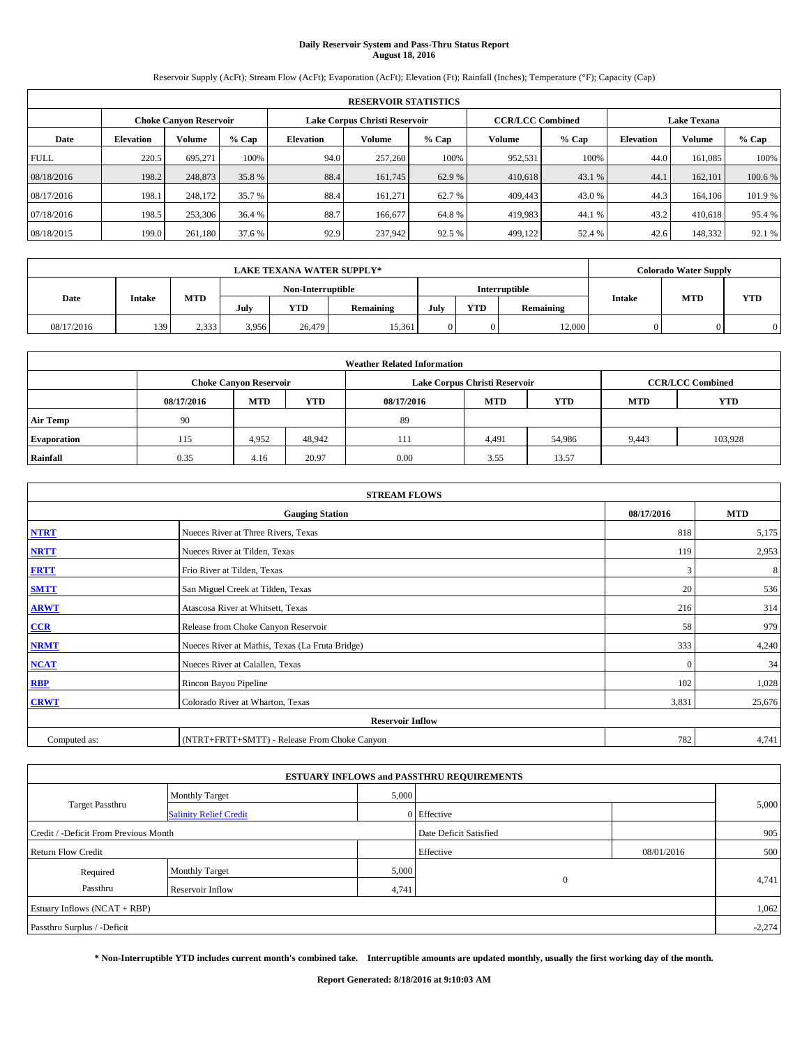# **Daily Reservoir System and Pass-Thru Status Report August 18, 2016**

Reservoir Supply (AcFt); Stream Flow (AcFt); Evaporation (AcFt); Elevation (Ft); Rainfall (Inches); Temperature (°F); Capacity (Cap)

|             | <b>RESERVOIR STATISTICS</b> |                               |         |           |                               |         |                                               |         |                  |               |        |
|-------------|-----------------------------|-------------------------------|---------|-----------|-------------------------------|---------|-----------------------------------------------|---------|------------------|---------------|--------|
|             |                             | <b>Choke Canyon Reservoir</b> |         |           | Lake Corpus Christi Reservoir |         | <b>CCR/LCC Combined</b><br><b>Lake Texana</b> |         |                  |               |        |
| Date        | <b>Elevation</b>            | Volume                        | $%$ Cap | Elevation | Volume                        | $%$ Cap | Volume                                        | $%$ Cap | <b>Elevation</b> | <b>Volume</b> | % Cap  |
| <b>FULL</b> | 220.5                       | 695.271                       | 100%    | 94.0      | 257,260                       | 100%    | 952,531                                       | 100%    | 44.0             | 161.085       | 100%   |
| 08/18/2016  | 198.2                       | 248,873                       | 35.8 %  | 88.4      | 161,745                       | 62.9 %  | 410,618                                       | 43.1 %  | 44.1             | 162,101       | 100.6% |
| 08/17/2016  | 198.1                       | 248,172                       | 35.7 %  | 88.4      | 161.271                       | 62.7 %  | 409,443                                       | 43.0 %  | 44.3             | 164,106       | 101.9% |
| 07/18/2016  | 198.5                       | 253,306                       | 36.4 %  | 88.7      | 166,677                       | 64.8%   | 419,983                                       | 44.1 %  | 43.2             | 410.618       | 95.4 % |
| 08/18/2015  | 199.0                       | 261,180                       | 37.6 %  | 92.9      | 237,942                       | 92.5 %  | 499,122                                       | 52.4 %  | 42.6             | 148,332       | 92.1 % |

|            |               |            |                   | <b>LAKE TEXANA WATER SUPPLY*</b> |           |               |            |           |               | <b>Colorado Water Supply</b> |            |
|------------|---------------|------------|-------------------|----------------------------------|-----------|---------------|------------|-----------|---------------|------------------------------|------------|
|            |               |            | Non-Interruptible |                                  |           | Interruptible |            |           |               |                              |            |
| Date       | <b>Intake</b> | <b>MTD</b> | July              | <b>YTD</b>                       | Remaining | July          | <b>YTD</b> | Remaining | <b>Intake</b> | <b>MTD</b>                   | <b>YTD</b> |
| 08/17/2016 | 139           | 2,333      | 3,956             | 26,479                           | 15.361    |               |            | 12,000    |               |                              |            |

|                    | <b>Weather Related Information</b>                             |                                                                                  |        |      |       |        |                         |         |  |  |  |  |
|--------------------|----------------------------------------------------------------|----------------------------------------------------------------------------------|--------|------|-------|--------|-------------------------|---------|--|--|--|--|
|                    | Lake Corpus Christi Reservoir<br><b>Choke Canyon Reservoir</b> |                                                                                  |        |      |       |        | <b>CCR/LCC Combined</b> |         |  |  |  |  |
|                    | 08/17/2016                                                     | <b>YTD</b><br><b>MTD</b><br><b>MTD</b><br><b>YTD</b><br>08/17/2016<br><b>MTD</b> |        |      |       |        |                         |         |  |  |  |  |
| <b>Air Temp</b>    | 90                                                             |                                                                                  |        | 89   |       |        |                         |         |  |  |  |  |
| <b>Evaporation</b> | 115                                                            | 4.952                                                                            | 48.942 | 111  | 4,491 | 54,986 | 9,443                   | 103.928 |  |  |  |  |
| Rainfall           | 0.35                                                           | 4.16                                                                             | 20.97  | 0.00 | 3.55  | 13.57  |                         |         |  |  |  |  |

|              | <b>STREAM FLOWS</b>                             |              |            |
|--------------|-------------------------------------------------|--------------|------------|
|              | <b>Gauging Station</b>                          | 08/17/2016   | <b>MTD</b> |
| <b>NTRT</b>  | Nueces River at Three Rivers, Texas             | 818          | 5,175      |
| <b>NRTT</b>  | Nueces River at Tilden, Texas                   | 119          | 2,953      |
| <b>FRTT</b>  | Frio River at Tilden, Texas                     | 3            | 8          |
| <b>SMTT</b>  | San Miguel Creek at Tilden, Texas               | 20           | 536        |
| <b>ARWT</b>  | Atascosa River at Whitsett, Texas               | 216          | 314        |
| $CCR$        | Release from Choke Canyon Reservoir             | 58           | 979        |
| <b>NRMT</b>  | Nueces River at Mathis, Texas (La Fruta Bridge) | 333          | 4,240      |
| <b>NCAT</b>  | Nueces River at Calallen, Texas                 | $\mathbf{0}$ | 34         |
| RBP          | Rincon Bayou Pipeline                           | 102          | 1,028      |
| <b>CRWT</b>  | Colorado River at Wharton, Texas                | 3,831        | 25,676     |
|              | <b>Reservoir Inflow</b>                         |              |            |
| Computed as: | (NTRT+FRTT+SMTT) - Release From Choke Canyon    | 782          | 4,741      |

| <b>ESTUARY INFLOWS and PASSTHRU REQUIREMENTS</b> |                               |       |                        |            |       |  |  |  |  |  |
|--------------------------------------------------|-------------------------------|-------|------------------------|------------|-------|--|--|--|--|--|
|                                                  | <b>Monthly Target</b>         | 5,000 |                        |            |       |  |  |  |  |  |
| <b>Target Passthru</b>                           | <b>Salinity Relief Credit</b> |       | 0 Effective            |            | 5,000 |  |  |  |  |  |
| Credit / -Deficit From Previous Month            |                               |       | Date Deficit Satisfied |            | 905   |  |  |  |  |  |
| <b>Return Flow Credit</b>                        |                               |       | Effective              | 08/01/2016 | 500   |  |  |  |  |  |
| Required                                         | <b>Monthly Target</b>         | 5,000 |                        |            |       |  |  |  |  |  |
| Passthru                                         | Reservoir Inflow              | 4,741 | $\Omega$               |            | 4,741 |  |  |  |  |  |
| Estuary Inflows (NCAT + RBP)                     |                               |       |                        |            |       |  |  |  |  |  |
| Passthru Surplus / -Deficit                      |                               |       |                        |            |       |  |  |  |  |  |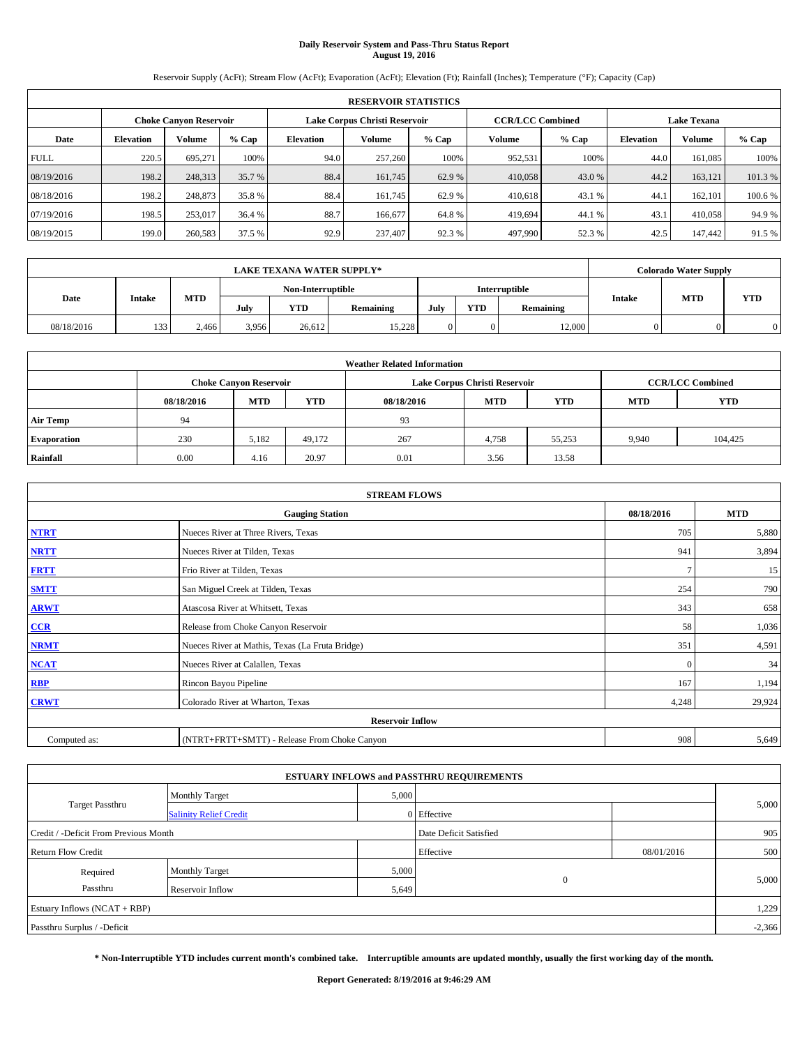# **Daily Reservoir System and Pass-Thru Status Report August 19, 2016**

Reservoir Supply (AcFt); Stream Flow (AcFt); Evaporation (AcFt); Elevation (Ft); Rainfall (Inches); Temperature (°F); Capacity (Cap)

|                               | <b>RESERVOIR STATISTICS</b> |         |         |                  |                               |         |                                               |         |                  |               |         |  |
|-------------------------------|-----------------------------|---------|---------|------------------|-------------------------------|---------|-----------------------------------------------|---------|------------------|---------------|---------|--|
| <b>Choke Canyon Reservoir</b> |                             |         |         |                  | Lake Corpus Christi Reservoir |         | <b>CCR/LCC Combined</b><br><b>Lake Texana</b> |         |                  |               |         |  |
| Date                          | <b>Elevation</b>            | Volume  | $%$ Cap | <b>Elevation</b> | Volume                        | $%$ Cap | Volume                                        | $%$ Cap | <b>Elevation</b> | <b>Volume</b> | $%$ Cap |  |
| <b>FULL</b>                   | 220.5                       | 695.271 | 100%    | 94.0             | 257,260                       | 100%    | 952,531                                       | 100%    | 44.0             | 161.085       | 100%    |  |
| 08/19/2016                    | 198.2                       | 248,313 | 35.7 %  | 88.4             | 161,745                       | 62.9 %  | 410,058                                       | 43.0 %  | 44.2             | 163,121       | 101.3%  |  |
| 08/18/2016                    | 198.2                       | 248,873 | 35.8 %  | 88.4             | 161.745                       | 62.9 %  | 410.618                                       | 43.1 %  | 44.              | 162,101       | 100.6%  |  |
| 07/19/2016                    | 198.5                       | 253,017 | 36.4 %  | 88.7             | 166,677                       | 64.8%   | 419.694                                       | 44.1%   | 43.1             | 410,058       | 94.9%   |  |
| 08/19/2015                    | 199.0                       | 260,583 | 37.5 %  | 92.9             | 237,407                       | 92.3%   | 497,990                                       | 52.3 %  | 42.5             | 147,442       | 91.5 %  |  |

|            | <b>LAKE TEXANA WATER SUPPLY*</b> |            |                   |            |               |      |            |           |               | <b>Colorado Water Supply</b> |            |
|------------|----------------------------------|------------|-------------------|------------|---------------|------|------------|-----------|---------------|------------------------------|------------|
|            |                                  |            | Non-Interruptible |            | Interruptible |      |            |           |               |                              |            |
| Date       | Intake                           | <b>MTD</b> | July              | <b>YTD</b> | Remaining     | July | <b>YTD</b> | Remaining | <b>Intake</b> | <b>MTD</b>                   | <b>YTD</b> |
| 08/18/2016 | 133                              | 2.466      | 3.956             | 26.612     | 15.228        |      |            | 12,000    |               |                              |            |

| <b>Weather Related Information</b> |            |                                                                                  |        |      |       |        |       |                         |  |  |  |
|------------------------------------|------------|----------------------------------------------------------------------------------|--------|------|-------|--------|-------|-------------------------|--|--|--|
|                                    |            | Lake Corpus Christi Reservoir<br><b>Choke Canyon Reservoir</b>                   |        |      |       |        |       | <b>CCR/LCC Combined</b> |  |  |  |
|                                    | 08/18/2016 | <b>YTD</b><br><b>MTD</b><br><b>MTD</b><br><b>YTD</b><br>08/18/2016<br><b>MTD</b> |        |      |       |        |       | <b>YTD</b>              |  |  |  |
| <b>Air Temp</b>                    | 94         |                                                                                  |        | 93   |       |        |       |                         |  |  |  |
| <b>Evaporation</b>                 | 230        | 5,182                                                                            | 49.172 | 267  | 4,758 | 55.253 | 9.940 | 104.425                 |  |  |  |
| Rainfall                           | 0.00       | 4.16                                                                             | 20.97  | 0.01 | 3.56  | 13.58  |       |                         |  |  |  |

|              | <b>STREAM FLOWS</b>                             |            |            |
|--------------|-------------------------------------------------|------------|------------|
|              | <b>Gauging Station</b>                          | 08/18/2016 | <b>MTD</b> |
| <b>NTRT</b>  | Nueces River at Three Rivers, Texas             | 705        | 5,880      |
| <b>NRTT</b>  | Nueces River at Tilden, Texas                   | 941        | 3,894      |
| <b>FRTT</b>  | Frio River at Tilden, Texas                     |            | 15         |
| <b>SMTT</b>  | San Miguel Creek at Tilden, Texas               | 254        | 790        |
| <b>ARWT</b>  | Atascosa River at Whitsett, Texas               | 343        | 658        |
| $CCR$        | Release from Choke Canyon Reservoir             | 58         | 1,036      |
| <b>NRMT</b>  | Nueces River at Mathis, Texas (La Fruta Bridge) | 351        | 4,591      |
| <b>NCAT</b>  | Nueces River at Calallen, Texas                 | $\Omega$   | 34         |
| RBP          | Rincon Bayou Pipeline                           | 167        | 1,194      |
| <b>CRWT</b>  | Colorado River at Wharton, Texas                | 4,248      | 29,924     |
|              | <b>Reservoir Inflow</b>                         |            |            |
| Computed as: | (NTRT+FRTT+SMTT) - Release From Choke Canyon    | 908        | 5,649      |

| <b>ESTUARY INFLOWS and PASSTHRU REQUIREMENTS</b> |                               |           |                        |     |       |  |  |  |  |  |
|--------------------------------------------------|-------------------------------|-----------|------------------------|-----|-------|--|--|--|--|--|
|                                                  | <b>Monthly Target</b>         | 5,000     |                        |     |       |  |  |  |  |  |
| <b>Target Passthru</b>                           | <b>Salinity Relief Credit</b> |           | 0 Effective            |     | 5,000 |  |  |  |  |  |
| Credit / -Deficit From Previous Month            |                               |           | Date Deficit Satisfied |     | 905   |  |  |  |  |  |
| <b>Return Flow Credit</b>                        |                               | Effective | 08/01/2016             | 500 |       |  |  |  |  |  |
| Required                                         | <b>Monthly Target</b>         | 5,000     |                        |     |       |  |  |  |  |  |
| Passthru                                         | Reservoir Inflow              | 5,649     | $\Omega$               |     | 5,000 |  |  |  |  |  |
| Estuary Inflows (NCAT + RBP)                     |                               |           |                        |     |       |  |  |  |  |  |
| Passthru Surplus / -Deficit                      |                               |           |                        |     |       |  |  |  |  |  |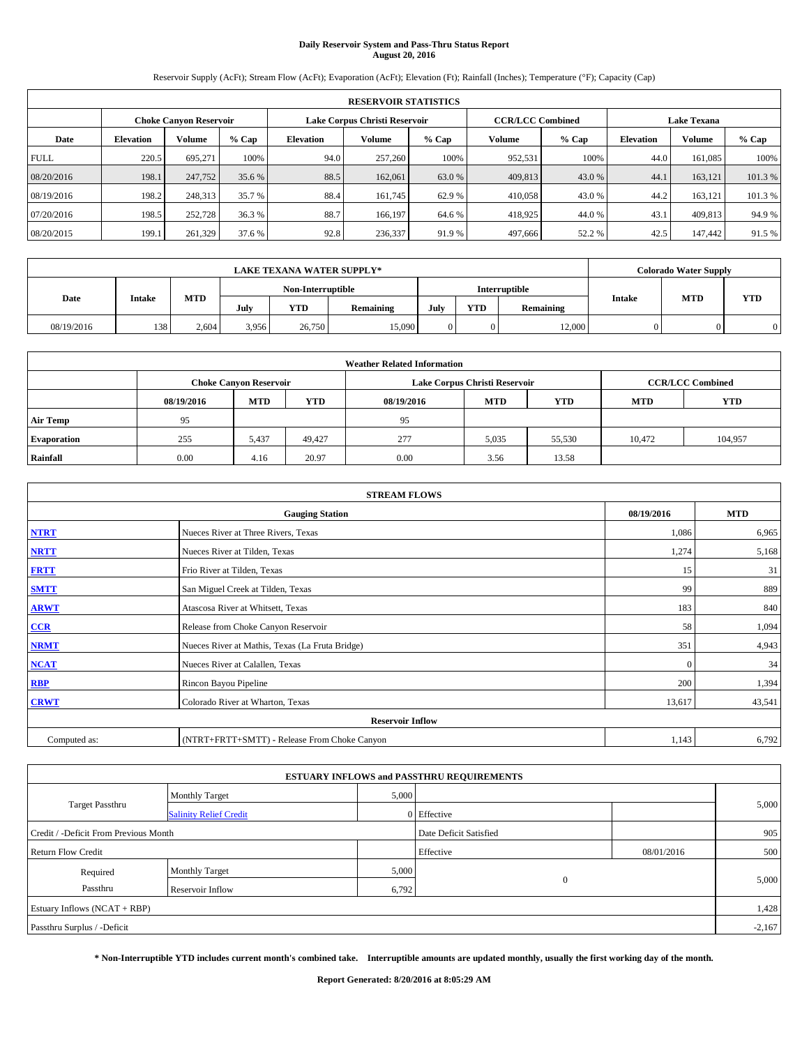# **Daily Reservoir System and Pass-Thru Status Report August 20, 2016**

Reservoir Supply (AcFt); Stream Flow (AcFt); Evaporation (AcFt); Elevation (Ft); Rainfall (Inches); Temperature (°F); Capacity (Cap)

|             | <b>RESERVOIR STATISTICS</b> |                        |         |                  |                               |         |                                               |         |                  |               |        |  |
|-------------|-----------------------------|------------------------|---------|------------------|-------------------------------|---------|-----------------------------------------------|---------|------------------|---------------|--------|--|
|             |                             | Choke Canvon Reservoir |         |                  | Lake Corpus Christi Reservoir |         | <b>CCR/LCC Combined</b><br><b>Lake Texana</b> |         |                  |               |        |  |
| Date        | <b>Elevation</b>            | Volume                 | $%$ Cap | <b>Elevation</b> | <b>Volume</b>                 | $%$ Cap | Volume                                        | $%$ Cap | <b>Elevation</b> | <b>Volume</b> | % Cap  |  |
| <b>FULL</b> | 220.5                       | 695,271                | 100%    | 94.0             | 257,260                       | 100%    | 952,531                                       | 100%    | 44.0             | 161.085       | 100%   |  |
| 08/20/2016  | 198.1                       | 247,752                | 35.6 %  | 88.5             | 162,061                       | 63.0 %  | 409,813                                       | 43.0 %  | 44.              | 163.121       | 101.3% |  |
| 08/19/2016  | 198.2                       | 248,313                | 35.7 %  | 88.4             | 161.745                       | 62.9 %  | 410,058                                       | 43.0 %  | 44.2             | 163.121       | 101.3% |  |
| 07/20/2016  | 198.5                       | 252,728                | 36.3 %  | 88.7             | 166.197                       | 64.6 %  | 418,925                                       | 44.0%   | 43.              | 409,813       | 94.9%  |  |
| 08/20/2015  | 199.1                       | 261,329                | 37.6 %  | 92.8             | 236,337                       | 91.9%   | 497,666                                       | 52.2 %  | 42.5             | 147,442       | 91.5 % |  |

|            | <b>LAKE TEXANA WATER SUPPLY*</b> |            |                   |            |           |               |     |           |               | <b>Colorado Water Supply</b> |            |
|------------|----------------------------------|------------|-------------------|------------|-----------|---------------|-----|-----------|---------------|------------------------------|------------|
|            |                                  |            | Non-Interruptible |            |           | Interruptible |     |           |               |                              |            |
| Date       | Intake                           | <b>MTD</b> | July              | <b>YTD</b> | Remaining | July          | YTD | Remaining | <b>Intake</b> | <b>MTD</b>                   | <b>YTD</b> |
| 08/19/2016 | 138                              | 2.604      | 3,956             | 26,750     | 15,090    |               |     | 12,000    | 0             |                              | $\Omega$   |

|                    | <b>Weather Related Information</b> |                               |            |            |                               |                         |        |         |  |  |  |  |
|--------------------|------------------------------------|-------------------------------|------------|------------|-------------------------------|-------------------------|--------|---------|--|--|--|--|
|                    |                                    | <b>Choke Canyon Reservoir</b> |            |            | Lake Corpus Christi Reservoir | <b>CCR/LCC Combined</b> |        |         |  |  |  |  |
|                    | 08/19/2016                         | <b>MTD</b>                    | <b>YTD</b> | 08/19/2016 | <b>MTD</b>                    | <b>YTD</b>              |        |         |  |  |  |  |
| <b>Air Temp</b>    | 95                                 |                               |            | 95         |                               |                         |        |         |  |  |  |  |
| <b>Evaporation</b> | 255                                | 5,437                         | 49.427     | 277        | 5,035                         | 55,530                  | 10.472 | 104.957 |  |  |  |  |
| Rainfall           | 0.00                               | 4.16                          | 20.97      | 0.00       | 3.56                          | 13.58                   |        |         |  |  |  |  |

| <b>STREAM FLOWS</b> |                                                 |            |            |  |  |  |  |  |
|---------------------|-------------------------------------------------|------------|------------|--|--|--|--|--|
|                     | <b>Gauging Station</b>                          | 08/19/2016 | <b>MTD</b> |  |  |  |  |  |
| <b>NTRT</b>         | Nueces River at Three Rivers, Texas             | 1,086      | 6,965      |  |  |  |  |  |
| <b>NRTT</b>         | Nueces River at Tilden, Texas                   | 1,274      | 5,168      |  |  |  |  |  |
| <b>FRTT</b>         | Frio River at Tilden, Texas                     | 15         | 31         |  |  |  |  |  |
| <b>SMTT</b>         | San Miguel Creek at Tilden, Texas               | 99         | 889        |  |  |  |  |  |
| <b>ARWT</b>         | Atascosa River at Whitsett, Texas               | 183        | 840        |  |  |  |  |  |
| $CCR$               | Release from Choke Canyon Reservoir             | 58         | 1,094      |  |  |  |  |  |
| <b>NRMT</b>         | Nueces River at Mathis, Texas (La Fruta Bridge) | 351        | 4,943      |  |  |  |  |  |
| <b>NCAT</b>         | Nueces River at Calallen, Texas                 | $\Omega$   | 34         |  |  |  |  |  |
| RBP                 | Rincon Bayou Pipeline                           | 200        | 1,394      |  |  |  |  |  |
| <b>CRWT</b>         | Colorado River at Wharton, Texas                | 13,617     | 43,541     |  |  |  |  |  |
|                     | <b>Reservoir Inflow</b>                         |            |            |  |  |  |  |  |
| Computed as:        | (NTRT+FRTT+SMTT) - Release From Choke Canyon    | 1,143      | 6,792      |  |  |  |  |  |

|                                       |                               |       | <b>ESTUARY INFLOWS and PASSTHRU REQUIREMENTS</b> |            |          |
|---------------------------------------|-------------------------------|-------|--------------------------------------------------|------------|----------|
|                                       | <b>Monthly Target</b>         | 5,000 |                                                  |            |          |
| <b>Target Passthru</b>                | <b>Salinity Relief Credit</b> |       | 0 Effective                                      |            | 5,000    |
| Credit / -Deficit From Previous Month |                               |       | Date Deficit Satisfied                           |            | 905      |
| <b>Return Flow Credit</b>             |                               |       | Effective                                        | 08/01/2016 | 500      |
| Required                              | <b>Monthly Target</b>         | 5,000 |                                                  |            |          |
| Passthru                              | <b>Reservoir Inflow</b>       | 6,792 | $\theta$                                         |            | 5,000    |
| Estuary Inflows (NCAT + RBP)          |                               |       |                                                  |            | 1,428    |
| Passthru Surplus / -Deficit           |                               |       |                                                  |            | $-2,167$ |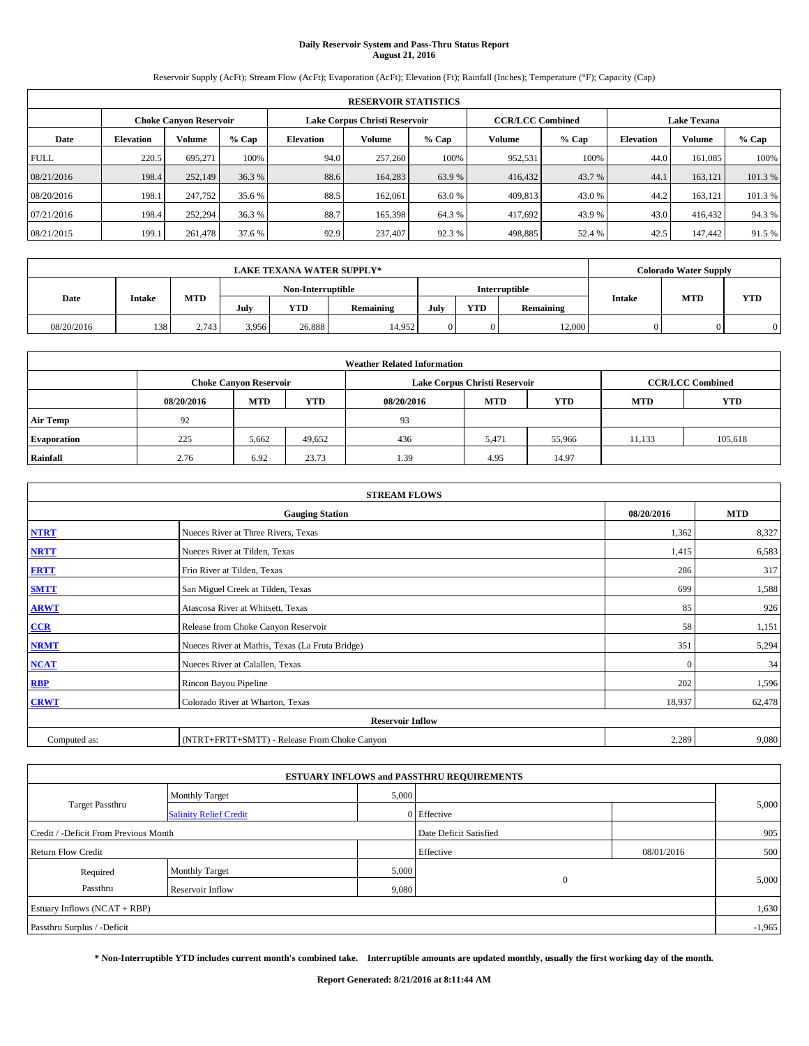# **Daily Reservoir System and Pass-Thru Status Report August 21, 2016**

Reservoir Supply (AcFt); Stream Flow (AcFt); Evaporation (AcFt); Elevation (Ft); Rainfall (Inches); Temperature (°F); Capacity (Cap)

|             | <b>RESERVOIR STATISTICS</b>                                    |         |         |           |         |         |                         |         |                    |               |        |  |  |
|-------------|----------------------------------------------------------------|---------|---------|-----------|---------|---------|-------------------------|---------|--------------------|---------------|--------|--|--|
|             | Lake Corpus Christi Reservoir<br><b>Choke Canyon Reservoir</b> |         |         |           |         |         | <b>CCR/LCC Combined</b> |         | <b>Lake Texana</b> |               |        |  |  |
| Date        | <b>Elevation</b>                                               | Volume  | $%$ Cap | Elevation | Volume  | $%$ Cap | Volume                  | $%$ Cap | <b>Elevation</b>   | <b>Volume</b> | % Cap  |  |  |
| <b>FULL</b> | 220.5                                                          | 695.271 | 100%    | 94.0      | 257,260 | 100%    | 952,531                 | 100%    | 44.0               | 161.085       | 100%   |  |  |
| 08/21/2016  | 198.4                                                          | 252,149 | 36.3 %  | 88.6      | 164,283 | 63.9 %  | 416,432                 | 43.7 %  | 44.1               | 163.121       | 101.3% |  |  |
| 08/20/2016  | 198.1                                                          | 247,752 | 35.6 %  | 88.5      | 162,061 | 63.0 %  | 409,813                 | 43.0 %  | 44.2               | 163.121       | 101.3% |  |  |
| 07/21/2016  | 198.4                                                          | 252,294 | 36.3 %  | 88.7      | 165,398 | 64.3%   | 417,692                 | 43.9%   | 43.0               | 416,432       | 94.3%  |  |  |
| 08/21/2015  | 199.1                                                          | 261,478 | 37.6 %  | 92.9      | 237,407 | 92.3 %  | 498,885                 | 52.4 %  | 42.5               | 147,442       | 91.5 % |  |  |

|            | <b>LAKE TEXANA WATER SUPPLY*</b> |            |       |                   |                  |      |            |               |               | <b>Colorado Water Supply</b> |            |
|------------|----------------------------------|------------|-------|-------------------|------------------|------|------------|---------------|---------------|------------------------------|------------|
|            |                                  |            |       | Non-Interruptible |                  |      |            | Interruptible |               |                              |            |
| Date       | Intake                           | <b>MTD</b> | July  | <b>YTD</b>        | <b>Remaining</b> | July | <b>YTD</b> | Remaining     | <b>Intake</b> | <b>MTD</b>                   | <b>YTD</b> |
| 08/20/2016 | 138                              | 2.743      | 3,956 | 26.888            | 14.952           |      |            | 12,000        |               |                              |            |

|                    | <b>Weather Related Information</b> |                               |            |            |                               |                         |        |         |  |  |  |  |
|--------------------|------------------------------------|-------------------------------|------------|------------|-------------------------------|-------------------------|--------|---------|--|--|--|--|
|                    |                                    | <b>Choke Canyon Reservoir</b> |            |            | Lake Corpus Christi Reservoir | <b>CCR/LCC Combined</b> |        |         |  |  |  |  |
|                    | 08/20/2016                         | <b>MTD</b>                    | <b>YTD</b> | 08/20/2016 | <b>MTD</b>                    | <b>YTD</b>              |        |         |  |  |  |  |
| <b>Air Temp</b>    | 92                                 |                               |            | 93         |                               |                         |        |         |  |  |  |  |
| <b>Evaporation</b> | 225                                | 5,662                         | 49,652     | 436        | 5.471                         | 55,966                  | 11.133 | 105,618 |  |  |  |  |
| Rainfall           | 2.76                               | 6.92                          | 23.73      | 1.39       | 4.95                          | 14.97                   |        |         |  |  |  |  |

| <b>STREAM FLOWS</b> |                                                 |            |            |  |  |  |  |  |
|---------------------|-------------------------------------------------|------------|------------|--|--|--|--|--|
|                     | <b>Gauging Station</b>                          | 08/20/2016 | <b>MTD</b> |  |  |  |  |  |
| <b>NTRT</b>         | Nueces River at Three Rivers, Texas             | 1,362      | 8,327      |  |  |  |  |  |
| <b>NRTT</b>         | Nueces River at Tilden, Texas                   | 1,415      | 6,583      |  |  |  |  |  |
| <b>FRTT</b>         | Frio River at Tilden, Texas                     | 286        | 317        |  |  |  |  |  |
| <b>SMTT</b>         | San Miguel Creek at Tilden, Texas               | 699        | 1,588      |  |  |  |  |  |
| <b>ARWT</b>         | Atascosa River at Whitsett, Texas               | 85         | 926        |  |  |  |  |  |
| $CCR$               | Release from Choke Canyon Reservoir             | 58         | 1,151      |  |  |  |  |  |
| <b>NRMT</b>         | Nueces River at Mathis, Texas (La Fruta Bridge) | 351        | 5,294      |  |  |  |  |  |
| <b>NCAT</b>         | Nueces River at Calallen, Texas                 | $\Omega$   | 34         |  |  |  |  |  |
| RBP                 | Rincon Bayou Pipeline                           | 202        | 1,596      |  |  |  |  |  |
| <b>CRWT</b>         | Colorado River at Wharton, Texas                | 18,937     | 62,478     |  |  |  |  |  |
|                     | <b>Reservoir Inflow</b>                         |            |            |  |  |  |  |  |
| Computed as:        | (NTRT+FRTT+SMTT) - Release From Choke Canyon    |            |            |  |  |  |  |  |

|                                       |                               |       | <b>ESTUARY INFLOWS and PASSTHRU REQUIREMENTS</b> |            |          |
|---------------------------------------|-------------------------------|-------|--------------------------------------------------|------------|----------|
|                                       | <b>Monthly Target</b>         | 5,000 |                                                  |            |          |
| Target Passthru                       | <b>Salinity Relief Credit</b> |       | 0 Effective                                      |            | 5,000    |
| Credit / -Deficit From Previous Month |                               |       | Date Deficit Satisfied                           |            | 905      |
| <b>Return Flow Credit</b>             |                               |       | Effective                                        | 08/01/2016 | 500      |
| Required                              | <b>Monthly Target</b>         | 5,000 |                                                  |            |          |
| Passthru                              | <b>Reservoir Inflow</b>       | 9,080 | $\Omega$                                         |            | 5,000    |
| Estuary Inflows (NCAT + RBP)          |                               |       |                                                  |            | 1,630    |
| Passthru Surplus / -Deficit           |                               |       |                                                  |            | $-1,965$ |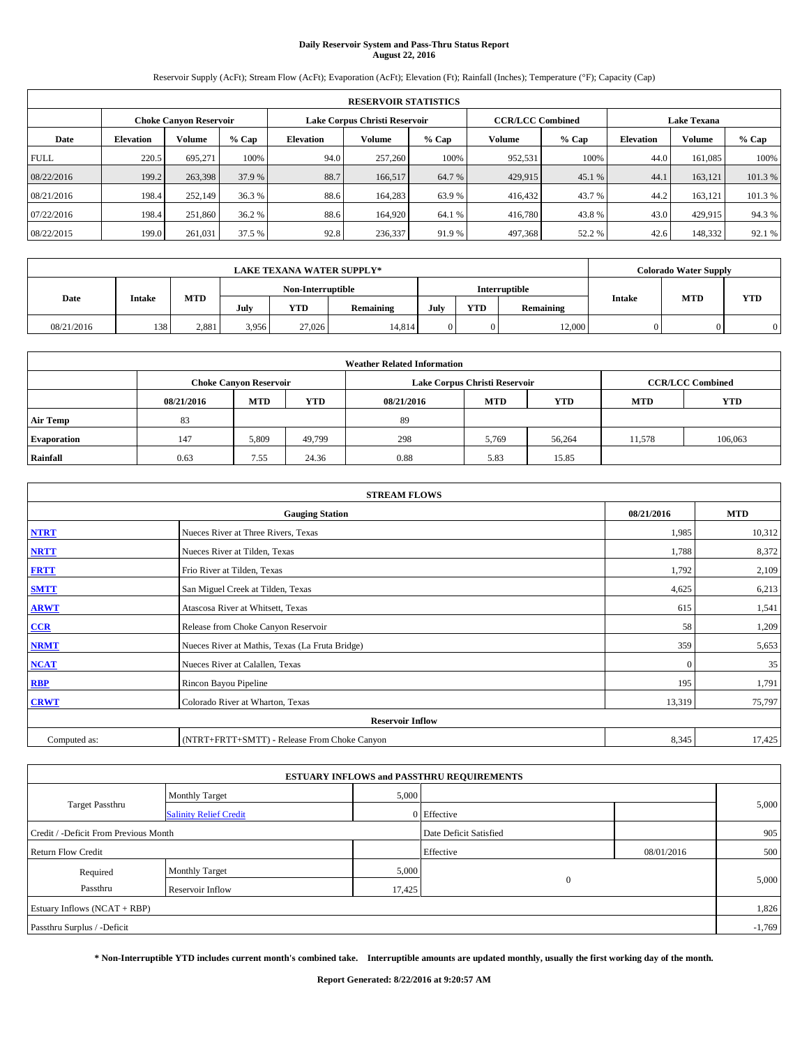# **Daily Reservoir System and Pass-Thru Status Report August 22, 2016**

Reservoir Supply (AcFt); Stream Flow (AcFt); Evaporation (AcFt); Elevation (Ft); Rainfall (Inches); Temperature (°F); Capacity (Cap)

|             | <b>RESERVOIR STATISTICS</b>                                    |         |         |           |         |         |                         |         |                  |                    |         |  |  |
|-------------|----------------------------------------------------------------|---------|---------|-----------|---------|---------|-------------------------|---------|------------------|--------------------|---------|--|--|
|             | Lake Corpus Christi Reservoir<br><b>Choke Canyon Reservoir</b> |         |         |           |         |         | <b>CCR/LCC Combined</b> |         |                  | <b>Lake Texana</b> |         |  |  |
| Date        | <b>Elevation</b>                                               | Volume  | $%$ Cap | Elevation | Volume  | $%$ Cap | Volume                  | $%$ Cap | <b>Elevation</b> | <b>Volume</b>      | % Cap   |  |  |
| <b>FULL</b> | 220.5                                                          | 695.271 | 100%    | 94.0      | 257,260 | 100%    | 952,531                 | 100%    | 44.0             | 161.085            | 100%    |  |  |
| 08/22/2016  | 199.2                                                          | 263,398 | 37.9 %  | 88.7      | 166,517 | 64.7 %  | 429,915                 | 45.1 %  | 44.1             | 163.121            | 101.3%  |  |  |
| 08/21/2016  | 198.4                                                          | 252,149 | 36.3 %  | 88.6      | 164.283 | 63.9 %  | 416,432                 | 43.7 %  | 44.2             | 163.121            | 101.3 % |  |  |
| 07/22/2016  | 198.4                                                          | 251,860 | 36.2 %  | 88.6      | 164.920 | 64.1 %  | 416,780                 | 43.8%   | 43.0             | 429,915            | 94.3%   |  |  |
| 08/22/2015  | 199.0                                                          | 261,031 | 37.5 %  | 92.8      | 236,337 | 91.9%   | 497,368                 | 52.2 %  | 42.6             | 148,332            | 92.1 %  |  |  |

|            | <b>LAKE TEXANA WATER SUPPLY*</b> |            |                   |            |           |               |            |           |               | <b>Colorado Water Supply</b> |            |  |  |
|------------|----------------------------------|------------|-------------------|------------|-----------|---------------|------------|-----------|---------------|------------------------------|------------|--|--|
|            |                                  |            | Non-Interruptible |            |           | Interruptible |            |           |               |                              |            |  |  |
| Date       | Intake                           | <b>MTD</b> | July              | <b>YTD</b> | Remaining | July          | <b>YTD</b> | Remaining | <b>Intake</b> | <b>MTD</b>                   | <b>YTD</b> |  |  |
| 08/21/2016 | 138                              | 2.881      | 3.956             | 27,026     | 14.814    |               |            | 12,000    |               |                              |            |  |  |

|                    | <b>Weather Related Information</b> |                               |            |            |                               |                         |        |         |  |  |  |  |
|--------------------|------------------------------------|-------------------------------|------------|------------|-------------------------------|-------------------------|--------|---------|--|--|--|--|
|                    |                                    | <b>Choke Canyon Reservoir</b> |            |            | Lake Corpus Christi Reservoir | <b>CCR/LCC Combined</b> |        |         |  |  |  |  |
|                    | 08/21/2016                         | <b>MTD</b>                    | <b>YTD</b> | 08/21/2016 | <b>MTD</b>                    | <b>YTD</b>              |        |         |  |  |  |  |
| <b>Air Temp</b>    | 83                                 |                               |            | 89         |                               |                         |        |         |  |  |  |  |
| <b>Evaporation</b> | 147                                | 5,809                         | 49.799     | 298        | 5,769                         | 56,264                  | 11,578 | 106,063 |  |  |  |  |
| Rainfall           | 0.63                               | 7.55                          | 24.36      | 0.88       | 5.83                          | 15.85                   |        |         |  |  |  |  |

| <b>STREAM FLOWS</b> |                                                 |          |        |  |  |  |  |  |  |  |
|---------------------|-------------------------------------------------|----------|--------|--|--|--|--|--|--|--|
|                     | <b>Gauging Station</b>                          |          |        |  |  |  |  |  |  |  |
| <b>NTRT</b>         | Nueces River at Three Rivers, Texas             | 1,985    | 10,312 |  |  |  |  |  |  |  |
| <b>NRTT</b>         | Nueces River at Tilden, Texas                   | 1,788    | 8,372  |  |  |  |  |  |  |  |
| <b>FRTT</b>         | Frio River at Tilden, Texas                     | 1,792    | 2,109  |  |  |  |  |  |  |  |
| <b>SMTT</b>         | San Miguel Creek at Tilden, Texas               | 4,625    | 6,213  |  |  |  |  |  |  |  |
| <b>ARWT</b>         | Atascosa River at Whitsett, Texas               | 615      | 1,541  |  |  |  |  |  |  |  |
| $CCR$               | Release from Choke Canyon Reservoir             | 58       | 1,209  |  |  |  |  |  |  |  |
| <b>NRMT</b>         | Nueces River at Mathis, Texas (La Fruta Bridge) | 359      | 5,653  |  |  |  |  |  |  |  |
| <b>NCAT</b>         | Nueces River at Calallen, Texas                 | $\Omega$ | 35     |  |  |  |  |  |  |  |
| RBP                 | Rincon Bayou Pipeline                           | 195      | 1,791  |  |  |  |  |  |  |  |
| <b>CRWT</b>         | Colorado River at Wharton, Texas                | 13,319   | 75,797 |  |  |  |  |  |  |  |
|                     | <b>Reservoir Inflow</b>                         |          |        |  |  |  |  |  |  |  |
| Computed as:        | (NTRT+FRTT+SMTT) - Release From Choke Canyon    | 8,345    | 17,425 |  |  |  |  |  |  |  |

|                                       |                               |                        | <b>ESTUARY INFLOWS and PASSTHRU REQUIREMENTS</b> |            |          |
|---------------------------------------|-------------------------------|------------------------|--------------------------------------------------|------------|----------|
|                                       | <b>Monthly Target</b>         | 5,000                  |                                                  |            |          |
| Target Passthru                       | <b>Salinity Relief Credit</b> |                        | 0 Effective                                      |            | 5,000    |
| Credit / -Deficit From Previous Month |                               | Date Deficit Satisfied |                                                  | 905        |          |
| <b>Return Flow Credit</b>             |                               |                        | Effective                                        | 08/01/2016 | 500      |
| Required                              | <b>Monthly Target</b>         | 5,000                  |                                                  |            |          |
| Passthru                              | Reservoir Inflow              | 17,425                 | $\overline{0}$                                   |            | 5,000    |
| Estuary Inflows (NCAT + RBP)          |                               |                        |                                                  |            | 1,826    |
| Passthru Surplus / -Deficit           |                               |                        |                                                  |            | $-1,769$ |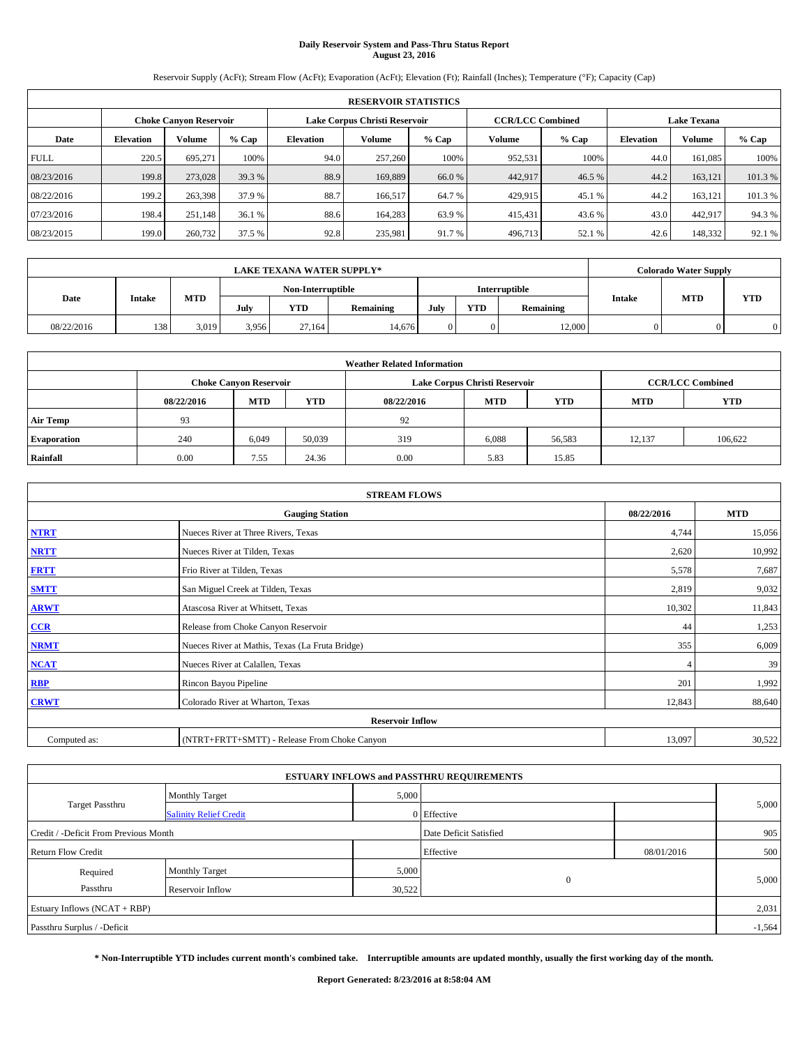# **Daily Reservoir System and Pass-Thru Status Report August 23, 2016**

Reservoir Supply (AcFt); Stream Flow (AcFt); Evaporation (AcFt); Elevation (Ft); Rainfall (Inches); Temperature (°F); Capacity (Cap)

|             | <b>RESERVOIR STATISTICS</b> |                        |         |                  |                               |         |                         |         |                  |                    |         |  |
|-------------|-----------------------------|------------------------|---------|------------------|-------------------------------|---------|-------------------------|---------|------------------|--------------------|---------|--|
|             |                             | Choke Canvon Reservoir |         |                  | Lake Corpus Christi Reservoir |         | <b>CCR/LCC Combined</b> |         |                  | <b>Lake Texana</b> |         |  |
| Date        | <b>Elevation</b>            | Volume                 | $%$ Cap | <b>Elevation</b> | Volume                        | $%$ Cap | Volume                  | $%$ Cap | <b>Elevation</b> | <b>Volume</b>      | % Cap   |  |
| <b>FULL</b> | 220.5                       | 695.271                | 100%    | 94.0             | 257,260                       | 100%    | 952,531                 | 100%    | 44.0             | 161.085            | 100%    |  |
| 08/23/2016  | 199.8                       | 273,028                | 39.3 %  | 88.9             | 169,889                       | 66.0 %  | 442,917                 | 46.5 %  | 44.2             | 163,121            | 101.3%  |  |
| 08/22/2016  | 199.2                       | 263,398                | 37.9 %  | 88.7             | 166,517                       | 64.7 %  | 429,915                 | 45.1 %  | 44.2             | 163,121            | 101.3 % |  |
| 07/23/2016  | 198.4                       | 251.148                | 36.1 %  | 88.6             | 164,283                       | 63.9 %  | 415,431                 | 43.6 %  | 43.0             | 442.917            | 94.3%   |  |
| 08/23/2015  | 199.0                       | 260,732                | 37.5 %  | 92.8             | 235,981                       | 91.7 %  | 496,713                 | 52.1 %  | 42.6             | 148,332            | 92.1 %  |  |

| <b>LAKE TEXANA WATER SUPPLY*</b> |               |            |       |                   |           |      |            | <b>Colorado Water Supply</b> |               |            |            |
|----------------------------------|---------------|------------|-------|-------------------|-----------|------|------------|------------------------------|---------------|------------|------------|
|                                  |               |            |       | Non-Interruptible |           |      |            | Interruptible                |               |            |            |
| Date                             | <b>Intake</b> | <b>MTD</b> | July  | <b>YTD</b>        | Remaining | July | <b>YTD</b> | Remaining                    | <b>Intake</b> | <b>MTD</b> | <b>YTD</b> |
| 08/22/2016                       | 138           | 3.019      | 3.956 | 27.164            | 14.676    |      |            | 12,000                       |               |            |            |

| <b>Weather Related Information</b> |            |                               |            |            |                               |                         |            |            |  |  |  |
|------------------------------------|------------|-------------------------------|------------|------------|-------------------------------|-------------------------|------------|------------|--|--|--|
|                                    |            | <b>Choke Canyon Reservoir</b> |            |            | Lake Corpus Christi Reservoir | <b>CCR/LCC Combined</b> |            |            |  |  |  |
|                                    | 08/22/2016 | <b>MTD</b>                    | <b>YTD</b> | 08/22/2016 | <b>MTD</b>                    | <b>YTD</b>              | <b>MTD</b> | <b>YTD</b> |  |  |  |
| <b>Air Temp</b>                    | 93         |                               |            | 92         |                               |                         |            |            |  |  |  |
| <b>Evaporation</b>                 | 240        | 6,049                         | 50,039     | 319        | 6,088                         | 56,583                  | 12.137     | 106,622    |  |  |  |
| Rainfall                           | 0.00       | 7.55                          | 24.36      | 0.00       | 5.83                          | 15.85                   |            |            |  |  |  |

| <b>STREAM FLOWS</b> |                                                 |        |        |  |  |  |  |  |  |
|---------------------|-------------------------------------------------|--------|--------|--|--|--|--|--|--|
|                     | <b>Gauging Station</b>                          |        |        |  |  |  |  |  |  |
| <b>NTRT</b>         | Nueces River at Three Rivers, Texas             | 4,744  | 15,056 |  |  |  |  |  |  |
| <b>NRTT</b>         | Nueces River at Tilden, Texas                   | 2,620  | 10,992 |  |  |  |  |  |  |
| <b>FRTT</b>         | Frio River at Tilden, Texas                     | 5,578  | 7,687  |  |  |  |  |  |  |
| <b>SMTT</b>         | San Miguel Creek at Tilden, Texas               | 2,819  | 9,032  |  |  |  |  |  |  |
| <b>ARWT</b>         | Atascosa River at Whitsett, Texas               | 10,302 | 11,843 |  |  |  |  |  |  |
| $CCR$               | Release from Choke Canyon Reservoir             | 44     | 1,253  |  |  |  |  |  |  |
| <b>NRMT</b>         | Nueces River at Mathis, Texas (La Fruta Bridge) | 355    | 6,009  |  |  |  |  |  |  |
| <b>NCAT</b>         | Nueces River at Calallen, Texas                 |        | 39     |  |  |  |  |  |  |
| RBP                 | Rincon Bayou Pipeline                           | 201    | 1,992  |  |  |  |  |  |  |
| <b>CRWT</b>         | Colorado River at Wharton, Texas                | 12,843 | 88,640 |  |  |  |  |  |  |
|                     |                                                 |        |        |  |  |  |  |  |  |
| Computed as:        | (NTRT+FRTT+SMTT) - Release From Choke Canyon    | 13,097 | 30,522 |  |  |  |  |  |  |

|                                       |                               |                        | <b>ESTUARY INFLOWS and PASSTHRU REQUIREMENTS</b> |            |          |
|---------------------------------------|-------------------------------|------------------------|--------------------------------------------------|------------|----------|
|                                       | <b>Monthly Target</b>         | 5,000                  |                                                  |            |          |
| Target Passthru                       | <b>Salinity Relief Credit</b> |                        | 0 Effective                                      |            | 5,000    |
| Credit / -Deficit From Previous Month |                               | Date Deficit Satisfied |                                                  | 905        |          |
| <b>Return Flow Credit</b>             |                               |                        | Effective                                        | 08/01/2016 | 500      |
| Required                              | <b>Monthly Target</b>         | 5,000                  |                                                  |            |          |
| Passthru                              | Reservoir Inflow              | 30,522                 | $\overline{0}$                                   |            | 5,000    |
| Estuary Inflows $(NCAT + RBP)$        |                               |                        |                                                  |            | 2,031    |
| Passthru Surplus / -Deficit           |                               |                        |                                                  |            | $-1,564$ |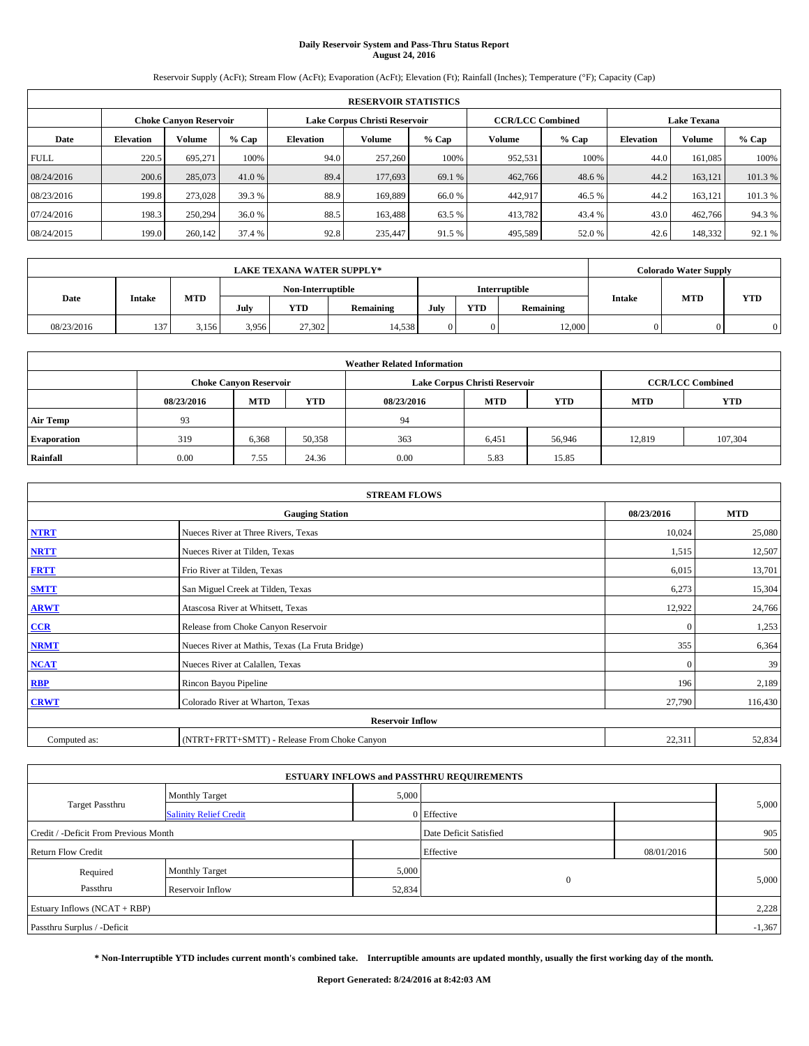# **Daily Reservoir System and Pass-Thru Status Report August 24, 2016**

Reservoir Supply (AcFt); Stream Flow (AcFt); Evaporation (AcFt); Elevation (Ft); Rainfall (Inches); Temperature (°F); Capacity (Cap)

|             | <b>RESERVOIR STATISTICS</b> |                               |         |           |                               |         |                         |         |                  |                    |         |  |
|-------------|-----------------------------|-------------------------------|---------|-----------|-------------------------------|---------|-------------------------|---------|------------------|--------------------|---------|--|
|             |                             | <b>Choke Canyon Reservoir</b> |         |           | Lake Corpus Christi Reservoir |         | <b>CCR/LCC Combined</b> |         |                  | <b>Lake Texana</b> |         |  |
| Date        | <b>Elevation</b>            | Volume                        | $%$ Cap | Elevation | Volume                        | $%$ Cap | Volume                  | $%$ Cap | <b>Elevation</b> | <b>Volume</b>      | % Cap   |  |
| <b>FULL</b> | 220.5                       | 695.271                       | 100%    | 94.0      | 257,260                       | 100%    | 952,531                 | 100%    | 44.0             | 161.085            | 100%    |  |
| 08/24/2016  | 200.6                       | 285,073                       | 41.0 %  | 89.4      | 177,693                       | 69.1 %  | 462,766                 | 48.6 %  | 44.2             | 163.121            | 101.3%  |  |
| 08/23/2016  | 199.8                       | 273,028                       | 39.3 %  | 88.9      | 169,889                       | 66.0%   | 442,917                 | 46.5 %  | 44.2             | 163.121            | 101.3 % |  |
| 07/24/2016  | 198.3                       | 250,294                       | 36.0 %  | 88.5      | 163,488                       | 63.5 %  | 413,782                 | 43.4 %  | 43.0             | 462,766            | 94.3%   |  |
| 08/24/2015  | 199.0                       | 260,142                       | 37.4 %  | 92.8      | 235,447                       | 91.5 %  | 495,589                 | 52.0%   | 42.6             | 148,332            | 92.1 %  |  |

| <b>LAKE TEXANA WATER SUPPLY*</b> |        |       |                   |            |        |               |           | <b>Colorado Water Supply</b> |            |           |               |            |            |
|----------------------------------|--------|-------|-------------------|------------|--------|---------------|-----------|------------------------------|------------|-----------|---------------|------------|------------|
|                                  |        |       | Non-Interruptible |            |        | Interruptible |           |                              |            |           |               |            |            |
| Date                             | Intake |       |                   | <b>MTD</b> | July   | <b>YTD</b>    | Remaining | July                         | <b>YTD</b> | Remaining | <b>Intake</b> | <b>MTD</b> | <b>YTD</b> |
| 08/23/2016                       | 137    | 3.156 | 3.956             | 27,302     | 14.538 |               |           | 12,000                       |            |           |               |            |            |

| <b>Weather Related Information</b> |            |                               |            |            |                               |                         |            |            |  |  |
|------------------------------------|------------|-------------------------------|------------|------------|-------------------------------|-------------------------|------------|------------|--|--|
|                                    |            | <b>Choke Canyon Reservoir</b> |            |            | Lake Corpus Christi Reservoir | <b>CCR/LCC Combined</b> |            |            |  |  |
|                                    | 08/23/2016 | <b>MTD</b>                    | <b>YTD</b> | 08/23/2016 | <b>MTD</b>                    | <b>YTD</b>              | <b>MTD</b> | <b>YTD</b> |  |  |
| <b>Air Temp</b>                    | 93         |                               |            | 94         |                               |                         |            |            |  |  |
| <b>Evaporation</b>                 | 319        | 6,368                         | 50,358     | 363        | 6,451                         | 56,946                  | 12.819     | 107,304    |  |  |
| Rainfall                           | 0.00       | 7.55                          | 24.36      | 0.00       | 5.83                          | 15.85                   |            |            |  |  |

| <b>STREAM FLOWS</b> |                                                 |              |         |  |  |  |  |  |  |
|---------------------|-------------------------------------------------|--------------|---------|--|--|--|--|--|--|
|                     | <b>Gauging Station</b>                          |              |         |  |  |  |  |  |  |
| <b>NTRT</b>         | Nueces River at Three Rivers, Texas             | 10,024       | 25,080  |  |  |  |  |  |  |
| <b>NRTT</b>         | Nueces River at Tilden, Texas                   | 1,515        | 12,507  |  |  |  |  |  |  |
| <b>FRTT</b>         | Frio River at Tilden, Texas                     | 6,015        | 13,701  |  |  |  |  |  |  |
| <b>SMTT</b>         | San Miguel Creek at Tilden, Texas               | 6,273        | 15,304  |  |  |  |  |  |  |
| <b>ARWT</b>         | Atascosa River at Whitsett, Texas               | 12,922       | 24,766  |  |  |  |  |  |  |
| $CCR$               | Release from Choke Canyon Reservoir             | $\mathbf{0}$ | 1,253   |  |  |  |  |  |  |
| <b>NRMT</b>         | Nueces River at Mathis, Texas (La Fruta Bridge) | 355          | 6,364   |  |  |  |  |  |  |
| <b>NCAT</b>         | Nueces River at Calallen, Texas                 | $\Omega$     | 39      |  |  |  |  |  |  |
| RBP                 | Rincon Bayou Pipeline                           | 196          | 2,189   |  |  |  |  |  |  |
| <b>CRWT</b>         | Colorado River at Wharton, Texas                | 27,790       | 116,430 |  |  |  |  |  |  |
|                     | <b>Reservoir Inflow</b>                         |              |         |  |  |  |  |  |  |
| Computed as:        | (NTRT+FRTT+SMTT) - Release From Choke Canyon    | 22,311       | 52,834  |  |  |  |  |  |  |

| <b>ESTUARY INFLOWS and PASSTHRU REQUIREMENTS</b> |                               |        |                        |            |          |  |  |  |  |  |
|--------------------------------------------------|-------------------------------|--------|------------------------|------------|----------|--|--|--|--|--|
|                                                  | <b>Monthly Target</b>         | 5,000  |                        |            |          |  |  |  |  |  |
| Target Passthru                                  | <b>Salinity Relief Credit</b> |        | 0 Effective            |            | 5,000    |  |  |  |  |  |
| Credit / -Deficit From Previous Month            |                               |        | Date Deficit Satisfied |            | 905      |  |  |  |  |  |
| <b>Return Flow Credit</b>                        |                               |        | Effective              | 08/01/2016 | 500      |  |  |  |  |  |
| Required                                         | <b>Monthly Target</b>         | 5,000  |                        |            |          |  |  |  |  |  |
| Passthru                                         | Reservoir Inflow              | 52,834 | $\mathbf{0}$           |            | 5,000    |  |  |  |  |  |
| Estuary Inflows $(NCAT + RBP)$                   |                               |        |                        |            | 2,228    |  |  |  |  |  |
| Passthru Surplus / -Deficit                      |                               |        |                        |            | $-1,367$ |  |  |  |  |  |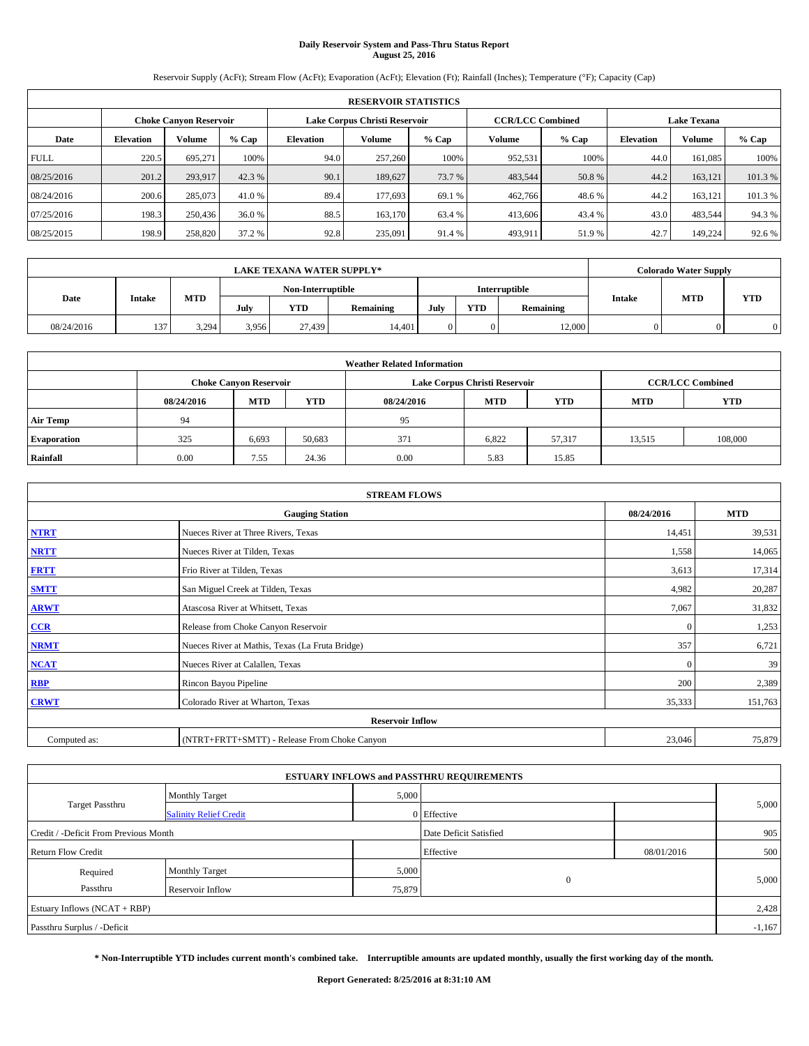# **Daily Reservoir System and Pass-Thru Status Report August 25, 2016**

Reservoir Supply (AcFt); Stream Flow (AcFt); Evaporation (AcFt); Elevation (Ft); Rainfall (Inches); Temperature (°F); Capacity (Cap)

|             | <b>RESERVOIR STATISTICS</b> |                               |         |           |                               |         |                         |         |                  |               |                    |  |
|-------------|-----------------------------|-------------------------------|---------|-----------|-------------------------------|---------|-------------------------|---------|------------------|---------------|--------------------|--|
|             |                             | <b>Choke Canyon Reservoir</b> |         |           | Lake Corpus Christi Reservoir |         | <b>CCR/LCC Combined</b> |         |                  |               | <b>Lake Texana</b> |  |
| Date        | <b>Elevation</b>            | Volume                        | $%$ Cap | Elevation | Volume                        | $%$ Cap | Volume                  | $%$ Cap | <b>Elevation</b> | <b>Volume</b> | % Cap              |  |
| <b>FULL</b> | 220.5                       | 695.271                       | 100%    | 94.0      | 257,260                       | 100%    | 952,531                 | 100%    | 44.0             | 161.085       | 100%               |  |
| 08/25/2016  | 201.2                       | 293,917                       | 42.3 %  | 90.1      | 189,627                       | 73.7 %  | 483,544                 | 50.8 %  | 44.2             | 163.121       | 101.3%             |  |
| 08/24/2016  | 200.6                       | 285,073                       | 41.0 %  | 89.4      | 177.693                       | 69.1 %  | 462,766                 | 48.6%   | 44.2             | 163.121       | 101.3 %            |  |
| 07/25/2016  | 198.3                       | 250,436                       | 36.0 %  | 88.5      | 163,170                       | 63.4 %  | 413,606                 | 43.4 %  | 43.0             | 483,544       | 94.3%              |  |
| 08/25/2015  | 198.9                       | 258,820                       | 37.2 %  | 92.8      | 235,091                       | 91.4 %  | 493,911                 | 51.9%   | 42.7             | 149.224       | 92.6 %             |  |

|            | <b>LAKE TEXANA WATER SUPPLY*</b> |            |       |                   |           |      |            |               |               |            | <b>Colorado Water Supply</b> |  |  |
|------------|----------------------------------|------------|-------|-------------------|-----------|------|------------|---------------|---------------|------------|------------------------------|--|--|
|            |                                  |            |       | Non-Interruptible |           |      |            | Interruptible |               |            |                              |  |  |
| Date       | Intake                           | <b>MTD</b> | July  | <b>YTD</b>        | Remaining | July | <b>YTD</b> | Remaining     | <b>Intake</b> | <b>MTD</b> | <b>YTD</b>                   |  |  |
| 08/24/2016 | 137                              | 3.294      | 3.956 | 27.439            | 14.401    |      |            | 12,000        |               |            |                              |  |  |

| <b>Weather Related Information</b> |            |                               |            |            |                               |                         |                          |         |  |  |  |
|------------------------------------|------------|-------------------------------|------------|------------|-------------------------------|-------------------------|--------------------------|---------|--|--|--|
|                                    |            | <b>Choke Canyon Reservoir</b> |            |            | Lake Corpus Christi Reservoir | <b>CCR/LCC Combined</b> |                          |         |  |  |  |
|                                    | 08/24/2016 | <b>MTD</b>                    | <b>YTD</b> | 08/24/2016 | <b>MTD</b>                    | <b>YTD</b>              | <b>YTD</b><br><b>MTD</b> |         |  |  |  |
| <b>Air Temp</b>                    | 94         |                               |            | 95         |                               |                         |                          |         |  |  |  |
| <b>Evaporation</b>                 | 325        | 6,693                         | 50,683     | 371        | 6,822                         | 57.317                  | 13,515                   | 108,000 |  |  |  |
| Rainfall                           | 0.00       | 7.55                          | 24.36      | 0.00       | 5.83                          | 15.85                   |                          |         |  |  |  |

| <b>STREAM FLOWS</b> |                                                 |              |            |  |  |  |  |  |  |
|---------------------|-------------------------------------------------|--------------|------------|--|--|--|--|--|--|
|                     | <b>Gauging Station</b>                          | 08/24/2016   | <b>MTD</b> |  |  |  |  |  |  |
| <b>NTRT</b>         | Nueces River at Three Rivers, Texas             | 14,451       | 39,531     |  |  |  |  |  |  |
| <b>NRTT</b>         | Nueces River at Tilden, Texas                   | 1,558        | 14,065     |  |  |  |  |  |  |
| <b>FRTT</b>         | Frio River at Tilden, Texas                     | 3,613        | 17,314     |  |  |  |  |  |  |
| <b>SMTT</b>         | San Miguel Creek at Tilden, Texas               | 4,982        | 20,287     |  |  |  |  |  |  |
| <b>ARWT</b>         | Atascosa River at Whitsett, Texas               | 7,067        | 31,832     |  |  |  |  |  |  |
| $CCR$               | Release from Choke Canyon Reservoir             | $\mathbf{0}$ | 1,253      |  |  |  |  |  |  |
| <b>NRMT</b>         | Nueces River at Mathis, Texas (La Fruta Bridge) | 357          | 6,721      |  |  |  |  |  |  |
| <b>NCAT</b>         | Nueces River at Calallen, Texas                 | $\Omega$     | 39         |  |  |  |  |  |  |
| RBP                 | Rincon Bayou Pipeline                           | 200          | 2,389      |  |  |  |  |  |  |
| <b>CRWT</b>         | Colorado River at Wharton, Texas                | 35,333       | 151,763    |  |  |  |  |  |  |
|                     | <b>Reservoir Inflow</b>                         |              |            |  |  |  |  |  |  |
| Computed as:        | (NTRT+FRTT+SMTT) - Release From Choke Canyon    |              |            |  |  |  |  |  |  |

| <b>ESTUARY INFLOWS and PASSTHRU REQUIREMENTS</b> |                               |                        |              |            |       |  |  |  |  |  |
|--------------------------------------------------|-------------------------------|------------------------|--------------|------------|-------|--|--|--|--|--|
|                                                  | <b>Monthly Target</b>         | 5,000                  |              |            |       |  |  |  |  |  |
| Target Passthru                                  | <b>Salinity Relief Credit</b> |                        | 0 Effective  |            | 5,000 |  |  |  |  |  |
| Credit / -Deficit From Previous Month            |                               | Date Deficit Satisfied |              | 905        |       |  |  |  |  |  |
| <b>Return Flow Credit</b>                        |                               |                        | Effective    | 08/01/2016 | 500   |  |  |  |  |  |
| Required                                         | <b>Monthly Target</b>         | 5,000                  |              |            |       |  |  |  |  |  |
| Passthru                                         | Reservoir Inflow              | 75,879                 | $\mathbf{0}$ |            | 5,000 |  |  |  |  |  |
| Estuary Inflows $(NCAT + RBP)$                   |                               |                        |              |            |       |  |  |  |  |  |
| Passthru Surplus / -Deficit                      |                               |                        |              |            |       |  |  |  |  |  |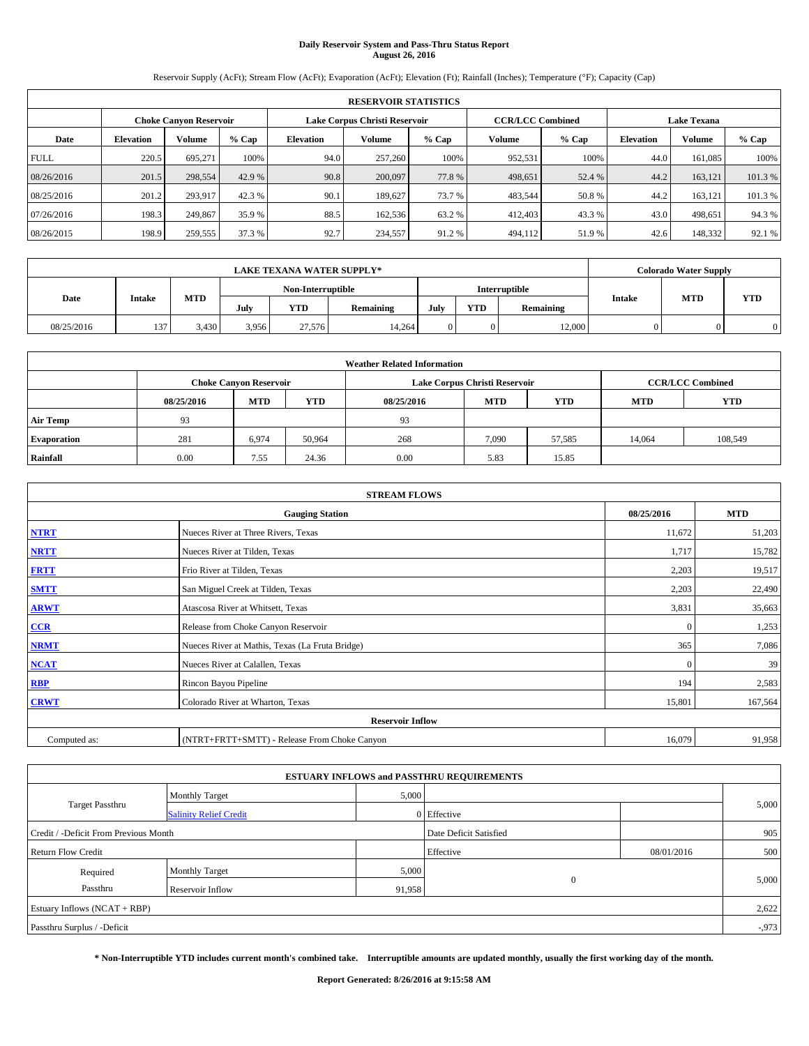# **Daily Reservoir System and Pass-Thru Status Report August 26, 2016**

Reservoir Supply (AcFt); Stream Flow (AcFt); Evaporation (AcFt); Elevation (Ft); Rainfall (Inches); Temperature (°F); Capacity (Cap)

|             | <b>RESERVOIR STATISTICS</b> |                               |         |           |                               |         |                         |         |                  |                    |         |  |
|-------------|-----------------------------|-------------------------------|---------|-----------|-------------------------------|---------|-------------------------|---------|------------------|--------------------|---------|--|
|             |                             | <b>Choke Canyon Reservoir</b> |         |           | Lake Corpus Christi Reservoir |         | <b>CCR/LCC Combined</b> |         |                  | <b>Lake Texana</b> |         |  |
| Date        | <b>Elevation</b>            | Volume                        | $%$ Cap | Elevation | Volume                        | $%$ Cap | Volume                  | $%$ Cap | <b>Elevation</b> | <b>Volume</b>      | % Cap   |  |
| <b>FULL</b> | 220.5                       | 695.271                       | 100%    | 94.0      | 257,260                       | 100%    | 952,531                 | 100%    | 44.0             | 161.085            | 100%    |  |
| 08/26/2016  | 201.5                       | 298,554                       | 42.9 %  | 90.8      | 200,097                       | 77.8%   | 498,651                 | 52.4 %  | 44.2             | 163.121            | 101.3%  |  |
| 08/25/2016  | 201.2                       | 293,917                       | 42.3 %  | 90.1      | 189,627                       | 73.7 %  | 483,544                 | 50.8%   | 44.2             | 163.121            | 101.3 % |  |
| 07/26/2016  | 198.3                       | 249,867                       | 35.9 %  | 88.5      | 162,536                       | 63.2 %  | 412,403                 | 43.3 %  | 43.0             | 498.651            | 94.3%   |  |
| 08/26/2015  | 198.9                       | 259,555                       | 37.3 %  | 92.7      | 234,557                       | 91.2%   | 494,112                 | 51.9%   | 42.6             | 148,332            | 92.1 %  |  |

|            | <b>LAKE TEXANA WATER SUPPLY*</b> |            |       |                   |           |      |            |               |               | <b>Colorado Water Supply</b> |            |  |
|------------|----------------------------------|------------|-------|-------------------|-----------|------|------------|---------------|---------------|------------------------------|------------|--|
|            |                                  |            |       | Non-Interruptible |           |      |            | Interruptible |               |                              |            |  |
| Date       | Intake                           | <b>MTD</b> | July  | <b>YTD</b>        | Remaining | July | <b>YTD</b> | Remaining     | <b>Intake</b> | <b>MTD</b>                   | <b>YTD</b> |  |
| 08/25/2016 | 137                              | 3.430      | 3.956 | 27.576            | 14.264    |      |            | 12,000        |               |                              |            |  |

| <b>Weather Related Information</b> |            |                               |            |            |                               |                         |        |         |  |  |  |
|------------------------------------|------------|-------------------------------|------------|------------|-------------------------------|-------------------------|--------|---------|--|--|--|
|                                    |            | <b>Choke Canyon Reservoir</b> |            |            | Lake Corpus Christi Reservoir | <b>CCR/LCC Combined</b> |        |         |  |  |  |
|                                    | 08/25/2016 | <b>MTD</b>                    | <b>YTD</b> | 08/25/2016 | <b>YTD</b>                    |                         |        |         |  |  |  |
| <b>Air Temp</b>                    | 93         |                               |            | 93         |                               |                         |        |         |  |  |  |
| <b>Evaporation</b>                 | 281        | 6,974                         | 50,964     | 268        | 7,090                         | 57,585                  | 14.064 | 108,549 |  |  |  |
| Rainfall                           | 0.00       | 7.55                          | 24.36      | 0.00       | 5.83                          | 15.85                   |        |         |  |  |  |

| <b>STREAM FLOWS</b> |                                                 |              |            |  |  |  |  |  |  |
|---------------------|-------------------------------------------------|--------------|------------|--|--|--|--|--|--|
|                     | <b>Gauging Station</b>                          | 08/25/2016   | <b>MTD</b> |  |  |  |  |  |  |
| <b>NTRT</b>         | Nueces River at Three Rivers, Texas             | 11,672       | 51,203     |  |  |  |  |  |  |
| <b>NRTT</b>         | Nueces River at Tilden, Texas                   | 1,717        | 15,782     |  |  |  |  |  |  |
| <b>FRTT</b>         | Frio River at Tilden, Texas                     | 2,203        | 19,517     |  |  |  |  |  |  |
| <b>SMTT</b>         | San Miguel Creek at Tilden, Texas               | 2,203        | 22,490     |  |  |  |  |  |  |
| <b>ARWT</b>         | Atascosa River at Whitsett, Texas               | 3,831        | 35,663     |  |  |  |  |  |  |
| $CCR$               | Release from Choke Canyon Reservoir             | $\mathbf{0}$ | 1,253      |  |  |  |  |  |  |
| <b>NRMT</b>         | Nueces River at Mathis, Texas (La Fruta Bridge) | 365          | 7,086      |  |  |  |  |  |  |
| <b>NCAT</b>         | Nueces River at Calallen, Texas                 | $\mathbf{0}$ | 39         |  |  |  |  |  |  |
| RBP                 | Rincon Bayou Pipeline                           | 194          | 2,583      |  |  |  |  |  |  |
| <b>CRWT</b>         | Colorado River at Wharton, Texas                | 15,801       | 167,564    |  |  |  |  |  |  |
|                     | <b>Reservoir Inflow</b>                         |              |            |  |  |  |  |  |  |
| Computed as:        | (NTRT+FRTT+SMTT) - Release From Choke Canyon    | 16,079       | 91,958     |  |  |  |  |  |  |

| <b>ESTUARY INFLOWS and PASSTHRU REQUIREMENTS</b> |                               |        |                        |            |          |  |  |  |  |  |
|--------------------------------------------------|-------------------------------|--------|------------------------|------------|----------|--|--|--|--|--|
|                                                  | <b>Monthly Target</b>         | 5,000  |                        |            |          |  |  |  |  |  |
| <b>Target Passthru</b>                           | <b>Salinity Relief Credit</b> |        | 0 Effective            |            | 5,000    |  |  |  |  |  |
| Credit / -Deficit From Previous Month            |                               |        | Date Deficit Satisfied |            | 905      |  |  |  |  |  |
| <b>Return Flow Credit</b>                        |                               |        | Effective              | 08/01/2016 | 500      |  |  |  |  |  |
| Required                                         | <b>Monthly Target</b>         | 5,000  |                        |            |          |  |  |  |  |  |
| Passthru                                         | Reservoir Inflow              | 91,958 | $\mathbf{0}$           |            | 5,000    |  |  |  |  |  |
| Estuary Inflows $(NCAT + RBP)$                   |                               |        |                        |            | 2,622    |  |  |  |  |  |
| Passthru Surplus / -Deficit                      |                               |        |                        |            | $-0.973$ |  |  |  |  |  |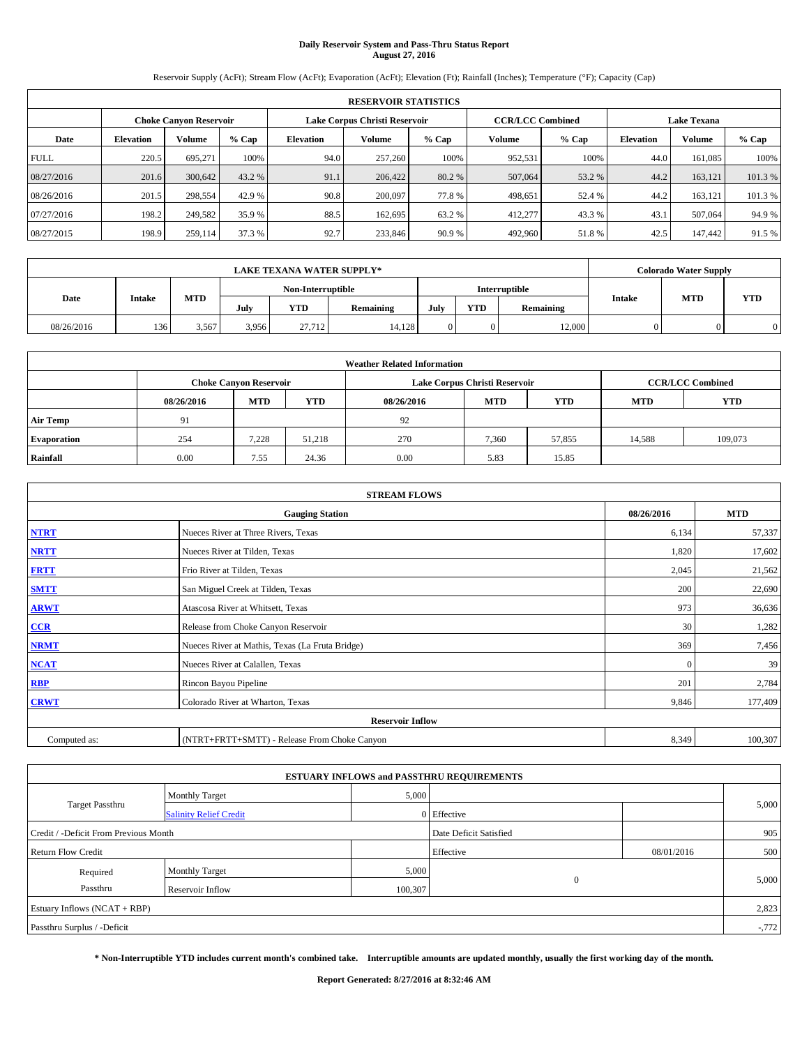# **Daily Reservoir System and Pass-Thru Status Report August 27, 2016**

Reservoir Supply (AcFt); Stream Flow (AcFt); Evaporation (AcFt); Elevation (Ft); Rainfall (Inches); Temperature (°F); Capacity (Cap)

|             | <b>RESERVOIR STATISTICS</b> |                        |        |                               |                         |                    |         |         |                  |               |        |  |
|-------------|-----------------------------|------------------------|--------|-------------------------------|-------------------------|--------------------|---------|---------|------------------|---------------|--------|--|
|             |                             | Choke Canvon Reservoir |        | Lake Corpus Christi Reservoir | <b>CCR/LCC Combined</b> | <b>Lake Texana</b> |         |         |                  |               |        |  |
| Date        | <b>Elevation</b>            | Volume                 | % Cap  | <b>Elevation</b>              | Volume                  | $%$ Cap            | Volume  | $%$ Cap | <b>Elevation</b> | <b>Volume</b> | % Cap  |  |
| <b>FULL</b> | 220.5                       | 695,271                | 100%   | 94.0                          | 257,260                 | 100%               | 952.531 | 100%    | 44.0             | 161.085       | 100%   |  |
| 08/27/2016  | 201.6                       | 300,642                | 43.2 % | 91.1                          | 206,422                 | 80.2 %             | 507,064 | 53.2 %  | 44.2             | 163.121       | 101.3% |  |
| 08/26/2016  | 201.5                       | 298,554                | 42.9 % | 90.8                          | 200,097                 | 77.8%              | 498.651 | 52.4 %  | 44.2             | 163.121       | 101.3% |  |
| 07/27/2016  | 198.2                       | 249.582                | 35.9 % | 88.5                          | 162,695                 | 63.2 %             | 412,277 | 43.3 %  | 43.              | 507,064       | 94.9%  |  |
| 08/27/2015  | 198.9                       | 259,114                | 37.3 % | 92.7                          | 233,846                 | 90.9%              | 492,960 | 51.8%   | 42.5             | 147,442       | 91.5 % |  |

|            | <b>LAKE TEXANA WATER SUPPLY*</b> |            |       |                   |           |      |            |               |               |            | <b>Colorado Water Supply</b> |  |  |
|------------|----------------------------------|------------|-------|-------------------|-----------|------|------------|---------------|---------------|------------|------------------------------|--|--|
|            |                                  |            |       | Non-Interruptible |           |      |            | Interruptible |               |            |                              |  |  |
| Date       | Intake                           | <b>MTD</b> | July  | <b>YTD</b>        | Remaining | July | <b>YTD</b> | Remaining     | <b>Intake</b> | <b>MTD</b> | <b>YTD</b>                   |  |  |
| 08/26/2016 | 136                              | 3.567      | 3.956 | 27.712            | 14.128    |      |            | 12,000        |               |            |                              |  |  |

| <b>Weather Related Information</b> |            |                               |            |            |                                                      |                         |        |         |  |
|------------------------------------|------------|-------------------------------|------------|------------|------------------------------------------------------|-------------------------|--------|---------|--|
|                                    |            | <b>Choke Canyon Reservoir</b> |            |            | Lake Corpus Christi Reservoir                        | <b>CCR/LCC Combined</b> |        |         |  |
|                                    | 08/26/2016 | <b>MTD</b>                    | <b>YTD</b> | 08/26/2016 | <b>MTD</b><br><b>YTD</b><br><b>YTD</b><br><b>MTD</b> |                         |        |         |  |
| <b>Air Temp</b>                    | 91         |                               |            | 92         |                                                      |                         |        |         |  |
| <b>Evaporation</b>                 | 254        | 7,228                         | 51,218     | 270        | 7.360                                                | 57,855                  | 14,588 | 109,073 |  |
| Rainfall                           | 0.00       | 7.55                          | 24.36      | 0.00       | 5.83                                                 | 15.85                   |        |         |  |

| <b>STREAM FLOWS</b> |                                                 |            |         |  |  |  |  |  |  |
|---------------------|-------------------------------------------------|------------|---------|--|--|--|--|--|--|
|                     | 08/26/2016                                      | <b>MTD</b> |         |  |  |  |  |  |  |
| <b>NTRT</b>         | Nueces River at Three Rivers, Texas             | 6,134      | 57,337  |  |  |  |  |  |  |
| <b>NRTT</b>         | Nueces River at Tilden, Texas                   | 1,820      | 17,602  |  |  |  |  |  |  |
| <b>FRTT</b>         | Frio River at Tilden, Texas                     | 2,045      | 21,562  |  |  |  |  |  |  |
| <b>SMTT</b>         | San Miguel Creek at Tilden, Texas               | 200        | 22,690  |  |  |  |  |  |  |
| <b>ARWT</b>         | Atascosa River at Whitsett, Texas               | 973        | 36,636  |  |  |  |  |  |  |
| $CCR$               | Release from Choke Canyon Reservoir             | 30         | 1,282   |  |  |  |  |  |  |
| <b>NRMT</b>         | Nueces River at Mathis, Texas (La Fruta Bridge) | 369        | 7,456   |  |  |  |  |  |  |
| <b>NCAT</b>         | Nueces River at Calallen, Texas                 | $\Omega$   | 39      |  |  |  |  |  |  |
| RBP                 | Rincon Bayou Pipeline                           | 201        | 2,784   |  |  |  |  |  |  |
| <b>CRWT</b>         | Colorado River at Wharton, Texas                | 9,846      | 177,409 |  |  |  |  |  |  |
|                     | <b>Reservoir Inflow</b>                         |            |         |  |  |  |  |  |  |
| Computed as:        | (NTRT+FRTT+SMTT) - Release From Choke Canyon    | 8,349      | 100,307 |  |  |  |  |  |  |

|                                       |                               |         | <b>ESTUARY INFLOWS and PASSTHRU REQUIREMENTS</b> |            |          |  |  |  |
|---------------------------------------|-------------------------------|---------|--------------------------------------------------|------------|----------|--|--|--|
|                                       | <b>Monthly Target</b>         | 5,000   |                                                  |            |          |  |  |  |
| Target Passthru                       | <b>Salinity Relief Credit</b> |         | 0 Effective                                      |            | 5,000    |  |  |  |
| Credit / -Deficit From Previous Month |                               |         | Date Deficit Satisfied                           |            | 905      |  |  |  |
| <b>Return Flow Credit</b>             |                               |         | Effective                                        | 08/01/2016 | 500      |  |  |  |
| Required                              | <b>Monthly Target</b>         | 5,000   |                                                  |            |          |  |  |  |
| Passthru                              | <b>Reservoir Inflow</b>       | 100,307 | $\mathbf{0}$                                     |            | 5,000    |  |  |  |
| Estuary Inflows $(NCAT + RBP)$        |                               |         |                                                  |            |          |  |  |  |
| Passthru Surplus / -Deficit           |                               |         |                                                  |            | $-0.772$ |  |  |  |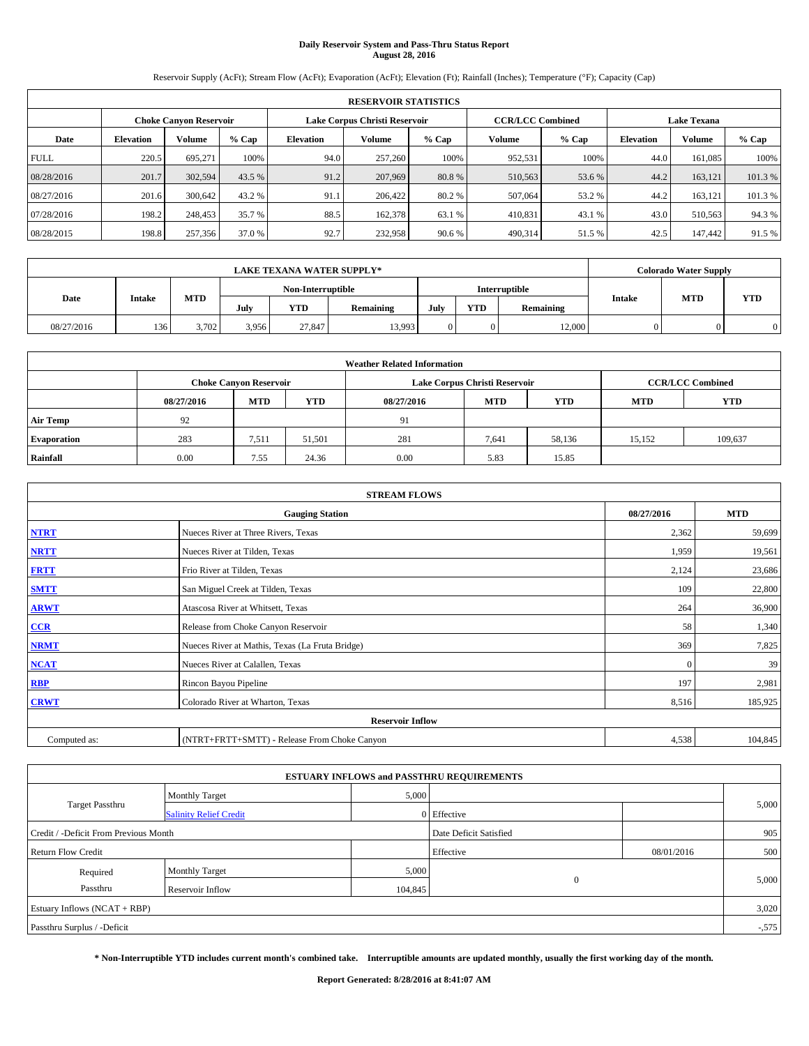# **Daily Reservoir System and Pass-Thru Status Report August 28, 2016**

Reservoir Supply (AcFt); Stream Flow (AcFt); Evaporation (AcFt); Elevation (Ft); Rainfall (Inches); Temperature (°F); Capacity (Cap)

|             | <b>RESERVOIR STATISTICS</b> |                               |         |           |                               |         |                         |         |                  |                    |         |  |
|-------------|-----------------------------|-------------------------------|---------|-----------|-------------------------------|---------|-------------------------|---------|------------------|--------------------|---------|--|
|             |                             | <b>Choke Canyon Reservoir</b> |         |           | Lake Corpus Christi Reservoir |         | <b>CCR/LCC Combined</b> |         |                  | <b>Lake Texana</b> |         |  |
| Date        | <b>Elevation</b>            | Volume                        | $%$ Cap | Elevation | Volume                        | $%$ Cap | Volume                  | $%$ Cap | <b>Elevation</b> | <b>Volume</b>      | % Cap   |  |
| <b>FULL</b> | 220.5                       | 695.271                       | 100%    | 94.0      | 257,260                       | 100%    | 952,531                 | 100%    | 44.0             | 161.085            | 100%    |  |
| 08/28/2016  | 201.7                       | 302,594                       | 43.5 %  | 91.2      | 207,969                       | 80.8%   | 510,563                 | 53.6 %  | 44.2             | 163.121            | 101.3%  |  |
| 08/27/2016  | 201.6                       | 300,642                       | 43.2 %  | 91.1      | 206,422                       | 80.2 %  | 507,064                 | 53.2 %  | 44.2             | 163.121            | 101.3 % |  |
| 07/28/2016  | 198.2                       | 248,453                       | 35.7 %  | 88.5      | 162,378                       | 63.1 %  | 410,831                 | 43.1 %  | 43.0             | 510,563            | 94.3%   |  |
| 08/28/2015  | 198.8                       | 257,356                       | 37.0 %  | 92.7      | 232,958                       | 90.6 %  | 490,314                 | 51.5 %  | 42.5             | 147,442            | 91.5 %  |  |

| <b>LAKE TEXANA WATER SUPPLY*</b> |               |            |       |                   |           |      |            |               |               | <b>Colorado Water Supply</b> |            |
|----------------------------------|---------------|------------|-------|-------------------|-----------|------|------------|---------------|---------------|------------------------------|------------|
|                                  |               |            |       | Non-Interruptible |           |      |            | Interruptible |               |                              |            |
| Date                             | <b>Intake</b> | <b>MTD</b> | July  | <b>YTD</b>        | Remaining | July | <b>YTD</b> | Remaining     | <b>Intake</b> | <b>MTD</b>                   | <b>YTD</b> |
| 08/27/2016                       | 136           | 3.702      | 3,956 | 27,847            | 13.993    |      |            | 12,000        |               |                              |            |

| <b>Weather Related Information</b> |            |                               |            |            |                                                      |                         |        |         |  |
|------------------------------------|------------|-------------------------------|------------|------------|------------------------------------------------------|-------------------------|--------|---------|--|
|                                    |            | <b>Choke Canyon Reservoir</b> |            |            | Lake Corpus Christi Reservoir                        | <b>CCR/LCC Combined</b> |        |         |  |
|                                    | 08/27/2016 | <b>MTD</b>                    | <b>YTD</b> | 08/27/2016 | <b>MTD</b><br><b>YTD</b><br><b>YTD</b><br><b>MTD</b> |                         |        |         |  |
| <b>Air Temp</b>                    | 92         |                               |            | 91         |                                                      |                         |        |         |  |
| <b>Evaporation</b>                 | 283        | 7,511                         | 51.501     | 281        | 7,641                                                | 58,136                  | 15.152 | 109,637 |  |
| Rainfall                           | 0.00       | 7.55                          | 24.36      | 0.00       | 5.83                                                 | 15.85                   |        |         |  |

| <b>STREAM FLOWS</b> |                                                 |            |         |  |  |  |  |  |  |
|---------------------|-------------------------------------------------|------------|---------|--|--|--|--|--|--|
|                     | 08/27/2016                                      | <b>MTD</b> |         |  |  |  |  |  |  |
| <b>NTRT</b>         | Nueces River at Three Rivers, Texas             | 2,362      | 59,699  |  |  |  |  |  |  |
| <b>NRTT</b>         | Nueces River at Tilden, Texas                   | 1,959      | 19,561  |  |  |  |  |  |  |
| <b>FRTT</b>         | Frio River at Tilden, Texas                     | 2,124      | 23,686  |  |  |  |  |  |  |
| <b>SMTT</b>         | San Miguel Creek at Tilden, Texas               | 109        | 22,800  |  |  |  |  |  |  |
| <b>ARWT</b>         | Atascosa River at Whitsett, Texas               | 264        | 36,900  |  |  |  |  |  |  |
| $CCR$               | Release from Choke Canyon Reservoir             | 58         | 1,340   |  |  |  |  |  |  |
| <b>NRMT</b>         | Nueces River at Mathis, Texas (La Fruta Bridge) | 369        | 7,825   |  |  |  |  |  |  |
| <b>NCAT</b>         | Nueces River at Calallen, Texas                 | $\Omega$   | 39      |  |  |  |  |  |  |
| RBP                 | Rincon Bayou Pipeline                           | 197        | 2,981   |  |  |  |  |  |  |
| <b>CRWT</b>         | Colorado River at Wharton, Texas                | 8,516      | 185,925 |  |  |  |  |  |  |
|                     | <b>Reservoir Inflow</b>                         |            |         |  |  |  |  |  |  |
| Computed as:        | (NTRT+FRTT+SMTT) - Release From Choke Canyon    | 4,538      | 104,845 |  |  |  |  |  |  |

|                                       |                               |         | <b>ESTUARY INFLOWS and PASSTHRU REQUIREMENTS</b> |            |          |  |  |
|---------------------------------------|-------------------------------|---------|--------------------------------------------------|------------|----------|--|--|
|                                       | <b>Monthly Target</b>         | 5,000   |                                                  |            |          |  |  |
| Target Passthru                       | <b>Salinity Relief Credit</b> |         | 0 Effective                                      |            | 5,000    |  |  |
| Credit / -Deficit From Previous Month |                               |         | Date Deficit Satisfied                           |            | 905      |  |  |
| <b>Return Flow Credit</b>             |                               |         | Effective                                        | 08/01/2016 | 500      |  |  |
| Required                              | <b>Monthly Target</b>         | 5,000   |                                                  |            |          |  |  |
| Passthru                              | <b>Reservoir Inflow</b>       | 104,845 | $\mathbf{0}$                                     |            | 5,000    |  |  |
| Estuary Inflows $(NCAT + RBP)$        |                               |         |                                                  |            |          |  |  |
| Passthru Surplus / -Deficit           |                               |         |                                                  |            | $-0.575$ |  |  |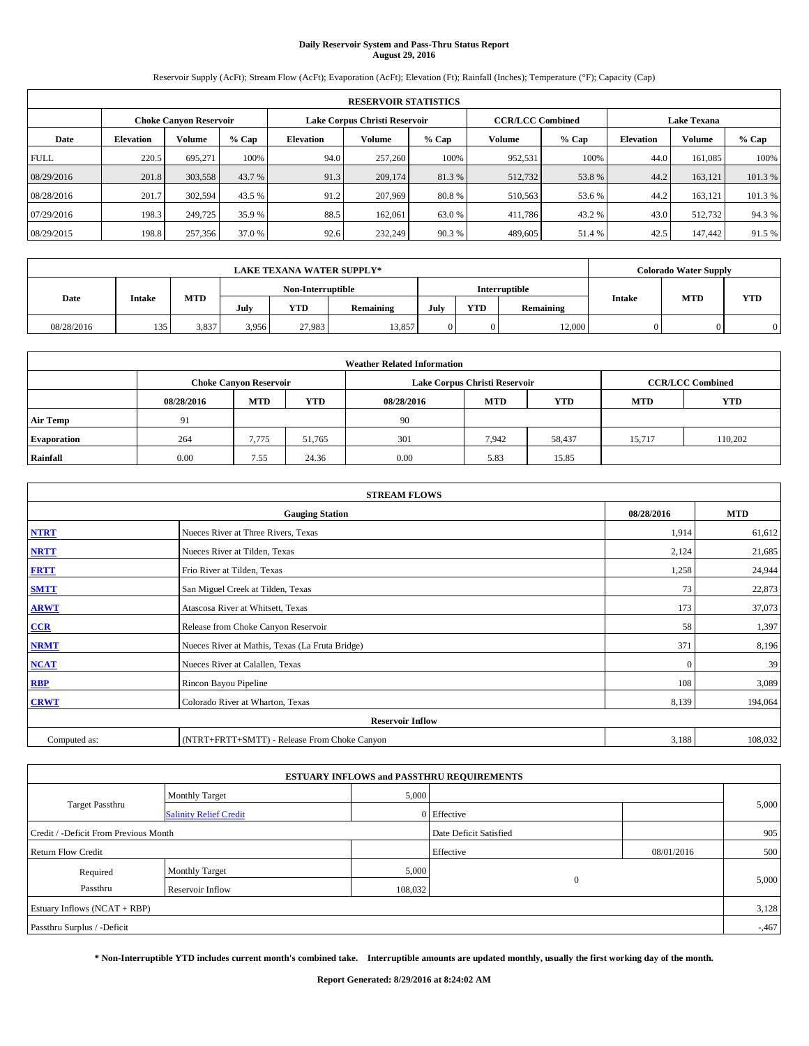# **Daily Reservoir System and Pass-Thru Status Report August 29, 2016**

Reservoir Supply (AcFt); Stream Flow (AcFt); Evaporation (AcFt); Elevation (Ft); Rainfall (Inches); Temperature (°F); Capacity (Cap)

|             | <b>RESERVOIR STATISTICS</b> |                               |         |           |                               |         |                         |         |                  |                    |         |  |
|-------------|-----------------------------|-------------------------------|---------|-----------|-------------------------------|---------|-------------------------|---------|------------------|--------------------|---------|--|
|             |                             | <b>Choke Canyon Reservoir</b> |         |           | Lake Corpus Christi Reservoir |         | <b>CCR/LCC Combined</b> |         |                  | <b>Lake Texana</b> |         |  |
| Date        | <b>Elevation</b>            | Volume                        | $%$ Cap | Elevation | Volume                        | $%$ Cap | Volume                  | $%$ Cap | <b>Elevation</b> | <b>Volume</b>      | % Cap   |  |
| <b>FULL</b> | 220.5                       | 695.271                       | 100%    | 94.0      | 257,260                       | 100%    | 952,531                 | 100%    | 44.0             | 161.085            | 100%    |  |
| 08/29/2016  | 201.8                       | 303,558                       | 43.7 %  | 91.3      | 209,174                       | 81.3%   | 512,732                 | 53.8%   | 44.2             | 163.121            | 101.3%  |  |
| 08/28/2016  | 201.7                       | 302,594                       | 43.5 %  | 91.2      | 207,969                       | 80.8%   | 510,563                 | 53.6 %  | 44.2             | 163.121            | 101.3 % |  |
| 07/29/2016  | 198.3                       | 249,725                       | 35.9 %  | 88.5      | 162,061                       | 63.0 %  | 411,786                 | 43.2 %  | 43.0             | 512.732            | 94.3%   |  |
| 08/29/2015  | 198.8                       | 257,356                       | 37.0 %  | 92.6      | 232,249                       | 90.3%   | 489,605                 | 51.4 %  | 42.5             | 147,442            | 91.5 %  |  |

| <b>LAKE TEXANA WATER SUPPLY*</b> |        |            |       |                   |           |      |            |               |               | <b>Colorado Water Supply</b> |            |
|----------------------------------|--------|------------|-------|-------------------|-----------|------|------------|---------------|---------------|------------------------------|------------|
|                                  |        |            |       | Non-Interruptible |           |      |            | Interruptible |               |                              |            |
| Date                             | Intake | <b>MTD</b> | July  | <b>YTD</b>        | Remaining | July | <b>YTD</b> | Remaining     | <b>Intake</b> | <b>MTD</b>                   | <b>YTD</b> |
| 08/28/2016                       | 135    | 3.837      | 3.956 | 27.983            | 13.857    |      |            | 12,000        |               |                              |            |

| <b>Weather Related Information</b> |            |                               |            |            |                                                      |                         |        |         |  |
|------------------------------------|------------|-------------------------------|------------|------------|------------------------------------------------------|-------------------------|--------|---------|--|
|                                    |            | <b>Choke Canyon Reservoir</b> |            |            | Lake Corpus Christi Reservoir                        | <b>CCR/LCC Combined</b> |        |         |  |
|                                    | 08/28/2016 | <b>MTD</b>                    | <b>YTD</b> | 08/28/2016 | <b>MTD</b><br><b>YTD</b><br><b>YTD</b><br><b>MTD</b> |                         |        |         |  |
| <b>Air Temp</b>                    | 91         |                               |            | 90         |                                                      |                         |        |         |  |
| <b>Evaporation</b>                 | 264        | 7,775                         | 51.765     | 301        | 7,942                                                | 58,437                  | 15.717 | 110.202 |  |
| Rainfall                           | 0.00       | 7.55                          | 24.36      | 0.00       | 5.83                                                 | 15.85                   |        |         |  |

| <b>STREAM FLOWS</b> |                                                 |              |         |  |  |  |  |  |  |
|---------------------|-------------------------------------------------|--------------|---------|--|--|--|--|--|--|
|                     | 08/28/2016                                      | <b>MTD</b>   |         |  |  |  |  |  |  |
| <b>NTRT</b>         | Nueces River at Three Rivers, Texas             | 1,914        | 61,612  |  |  |  |  |  |  |
| <b>NRTT</b>         | Nueces River at Tilden, Texas                   | 2,124        | 21,685  |  |  |  |  |  |  |
| <b>FRTT</b>         | Frio River at Tilden, Texas                     | 1,258        | 24,944  |  |  |  |  |  |  |
| <b>SMTT</b>         | San Miguel Creek at Tilden, Texas               | 73           | 22,873  |  |  |  |  |  |  |
| <b>ARWT</b>         | Atascosa River at Whitsett, Texas               | 173          | 37,073  |  |  |  |  |  |  |
| $CCR$               | Release from Choke Canyon Reservoir             | 58           | 1,397   |  |  |  |  |  |  |
| <b>NRMT</b>         | Nueces River at Mathis, Texas (La Fruta Bridge) | 371          | 8,196   |  |  |  |  |  |  |
| <b>NCAT</b>         | Nueces River at Calallen, Texas                 | $\mathbf{0}$ | 39      |  |  |  |  |  |  |
| RBP                 | Rincon Bayou Pipeline                           | 108          | 3,089   |  |  |  |  |  |  |
| <b>CRWT</b>         | Colorado River at Wharton, Texas                | 8,139        | 194,064 |  |  |  |  |  |  |
|                     | <b>Reservoir Inflow</b>                         |              |         |  |  |  |  |  |  |
| Computed as:        | (NTRT+FRTT+SMTT) - Release From Choke Canyon    | 3,188        | 108,032 |  |  |  |  |  |  |

| <b>ESTUARY INFLOWS and PASSTHRU REQUIREMENTS</b> |                               |                        |              |            |          |  |  |  |  |  |
|--------------------------------------------------|-------------------------------|------------------------|--------------|------------|----------|--|--|--|--|--|
|                                                  | <b>Monthly Target</b>         | 5,000                  |              |            |          |  |  |  |  |  |
| Target Passthru                                  | <b>Salinity Relief Credit</b> |                        | 0 Effective  |            | 5,000    |  |  |  |  |  |
| Credit / -Deficit From Previous Month            |                               | Date Deficit Satisfied |              | 905        |          |  |  |  |  |  |
| <b>Return Flow Credit</b>                        |                               |                        | Effective    | 08/01/2016 | 500      |  |  |  |  |  |
| Required                                         | <b>Monthly Target</b>         | 5,000                  |              |            |          |  |  |  |  |  |
| Passthru                                         | <b>Reservoir Inflow</b>       | 108,032                | $\mathbf{0}$ |            | 5,000    |  |  |  |  |  |
| Estuary Inflows $(NCAT + RBP)$                   |                               |                        |              |            |          |  |  |  |  |  |
| Passthru Surplus / -Deficit                      |                               |                        |              |            | $-0.467$ |  |  |  |  |  |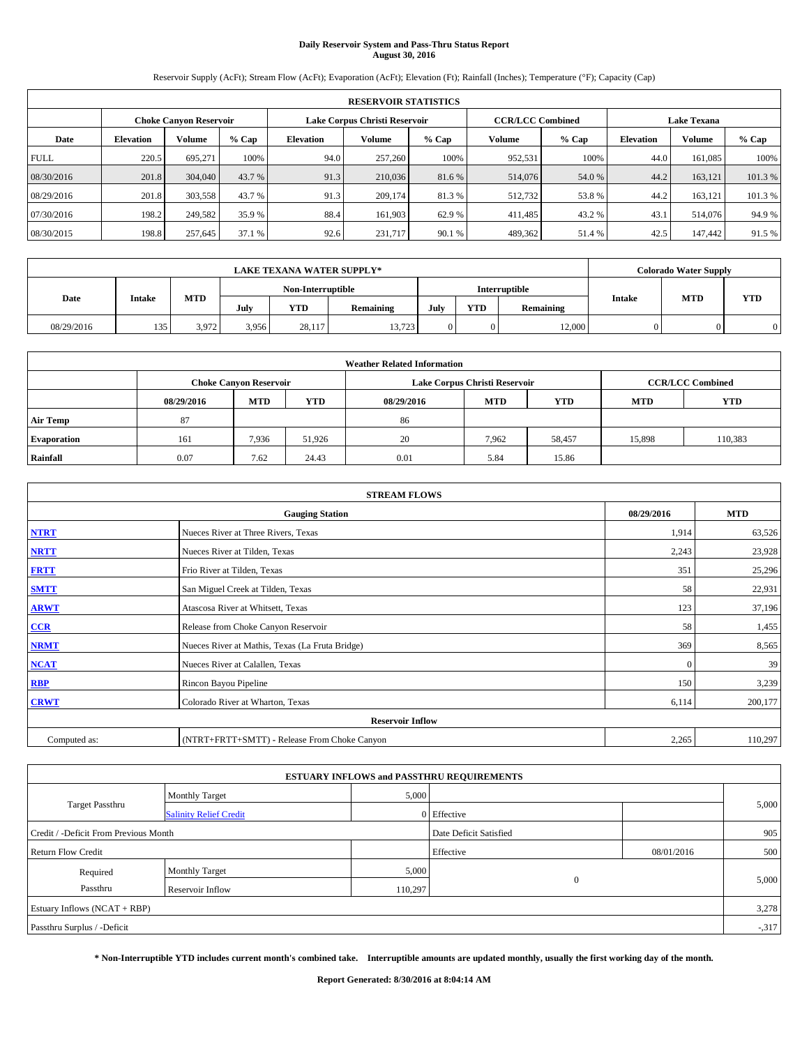# **Daily Reservoir System and Pass-Thru Status Report August 30, 2016**

Reservoir Supply (AcFt); Stream Flow (AcFt); Evaporation (AcFt); Elevation (Ft); Rainfall (Inches); Temperature (°F); Capacity (Cap)

|             | <b>RESERVOIR STATISTICS</b> |                               |         |           |                               |         |                         |         |                    |               |        |
|-------------|-----------------------------|-------------------------------|---------|-----------|-------------------------------|---------|-------------------------|---------|--------------------|---------------|--------|
|             |                             | <b>Choke Canyon Reservoir</b> |         |           | Lake Corpus Christi Reservoir |         | <b>CCR/LCC Combined</b> |         | <b>Lake Texana</b> |               |        |
| Date        | <b>Elevation</b>            | Volume                        | $%$ Cap | Elevation | Volume                        | $%$ Cap | Volume                  | $%$ Cap | <b>Elevation</b>   | <b>Volume</b> | % Cap  |
| <b>FULL</b> | 220.5                       | 695.271                       | 100%    | 94.0      | 257,260                       | 100%    | 952,531                 | 100%    | 44.0               | 161.085       | 100%   |
| 08/30/2016  | 201.8                       | 304,040                       | 43.7 %  | 91.3      | 210,036                       | 81.6 %  | 514,076                 | 54.0 %  | 44.2               | 163.121       | 101.3% |
| 08/29/2016  | 201.8                       | 303,558                       | 43.7 %  | 91.3      | 209,174                       | 81.3%   | 512,732                 | 53.8%   | 44.2               | 163.121       | 101.3% |
| 07/30/2016  | 198.2                       | 249,582                       | 35.9 %  | 88.4      | 161.903                       | 62.9 %  | 411,485                 | 43.2 %  | 43.1               | 514,076       | 94.9%  |
| 08/30/2015  | 198.8                       | 257,645                       | 37.1 %  | 92.6      | 231,717                       | 90.1 %  | 489,362                 | 51.4 %  | 42.5               | 147,442       | 91.5 % |

| <b>LAKE TEXANA WATER SUPPLY*</b> |               |            |       |                   |           |      |            | <b>Colorado Water Supply</b> |               |            |            |
|----------------------------------|---------------|------------|-------|-------------------|-----------|------|------------|------------------------------|---------------|------------|------------|
|                                  |               |            |       | Non-Interruptible |           |      |            | Interruptible                |               |            |            |
| Date                             | <b>Intake</b> | <b>MTD</b> | July  | <b>YTD</b>        | Remaining | July | <b>YTD</b> | Remaining                    | <b>Intake</b> | <b>MTD</b> | <b>YTD</b> |
| 08/29/2016                       | 135           | 3.972      | 3,956 | 28.117            | 13.723    |      |            | 12,000                       |               |            |            |

|                    | <b>Weather Related Information</b> |                               |            |            |                               |                         |            |            |  |  |  |
|--------------------|------------------------------------|-------------------------------|------------|------------|-------------------------------|-------------------------|------------|------------|--|--|--|
|                    |                                    | <b>Choke Canyon Reservoir</b> |            |            | Lake Corpus Christi Reservoir | <b>CCR/LCC Combined</b> |            |            |  |  |  |
|                    | 08/29/2016                         | <b>MTD</b>                    | <b>YTD</b> | 08/29/2016 | <b>MTD</b>                    | <b>YTD</b>              | <b>MTD</b> | <b>YTD</b> |  |  |  |
| <b>Air Temp</b>    | 87                                 |                               |            | 86         |                               |                         |            |            |  |  |  |
| <b>Evaporation</b> | 161                                | 7,936                         | 51.926     | 20         | 7.962                         | 58,457                  | 15,898     | 110,383    |  |  |  |
| Rainfall           | 0.07                               | 7.62                          | 24.43      | 0.01       | 5.84                          | 15.86                   |            |            |  |  |  |

| <b>STREAM FLOWS</b> |                                                 |              |         |  |  |  |  |  |  |  |
|---------------------|-------------------------------------------------|--------------|---------|--|--|--|--|--|--|--|
|                     | <b>Gauging Station</b>                          |              |         |  |  |  |  |  |  |  |
| <b>NTRT</b>         | Nueces River at Three Rivers, Texas             | 1,914        | 63,526  |  |  |  |  |  |  |  |
| <b>NRTT</b>         | Nueces River at Tilden, Texas                   | 2,243        | 23,928  |  |  |  |  |  |  |  |
| <b>FRTT</b>         | Frio River at Tilden, Texas                     | 351          | 25,296  |  |  |  |  |  |  |  |
| <b>SMTT</b>         | San Miguel Creek at Tilden, Texas               | 58           | 22,931  |  |  |  |  |  |  |  |
| <b>ARWT</b>         | Atascosa River at Whitsett, Texas               | 123          | 37,196  |  |  |  |  |  |  |  |
| $CCR$               | Release from Choke Canyon Reservoir             | 58           | 1,455   |  |  |  |  |  |  |  |
| <b>NRMT</b>         | Nueces River at Mathis, Texas (La Fruta Bridge) | 369          | 8,565   |  |  |  |  |  |  |  |
| <b>NCAT</b>         | Nueces River at Calallen, Texas                 | $\mathbf{0}$ | 39      |  |  |  |  |  |  |  |
| RBP                 | Rincon Bayou Pipeline                           | 150          | 3,239   |  |  |  |  |  |  |  |
| <b>CRWT</b>         | Colorado River at Wharton, Texas                | 6,114        | 200,177 |  |  |  |  |  |  |  |
|                     | <b>Reservoir Inflow</b>                         |              |         |  |  |  |  |  |  |  |
| Computed as:        | (NTRT+FRTT+SMTT) - Release From Choke Canyon    | 2,265        | 110,297 |  |  |  |  |  |  |  |

| <b>ESTUARY INFLOWS and PASSTHRU REQUIREMENTS</b> |                               |                        |              |            |        |  |  |  |  |  |
|--------------------------------------------------|-------------------------------|------------------------|--------------|------------|--------|--|--|--|--|--|
|                                                  | <b>Monthly Target</b>         | 5,000                  |              |            |        |  |  |  |  |  |
| Target Passthru                                  | <b>Salinity Relief Credit</b> |                        | 0 Effective  |            | 5,000  |  |  |  |  |  |
| Credit / -Deficit From Previous Month            |                               | Date Deficit Satisfied |              | 905        |        |  |  |  |  |  |
| <b>Return Flow Credit</b>                        |                               |                        | Effective    | 08/01/2016 | 500    |  |  |  |  |  |
| Required                                         | <b>Monthly Target</b>         | 5,000                  |              |            |        |  |  |  |  |  |
| Passthru                                         | <b>Reservoir Inflow</b>       | 110,297                | $\mathbf{0}$ |            | 5,000  |  |  |  |  |  |
| Estuary Inflows $(NCAT + RBP)$                   |                               |                        |              |            | 3,278  |  |  |  |  |  |
| Passthru Surplus / -Deficit                      |                               |                        |              |            | $-317$ |  |  |  |  |  |